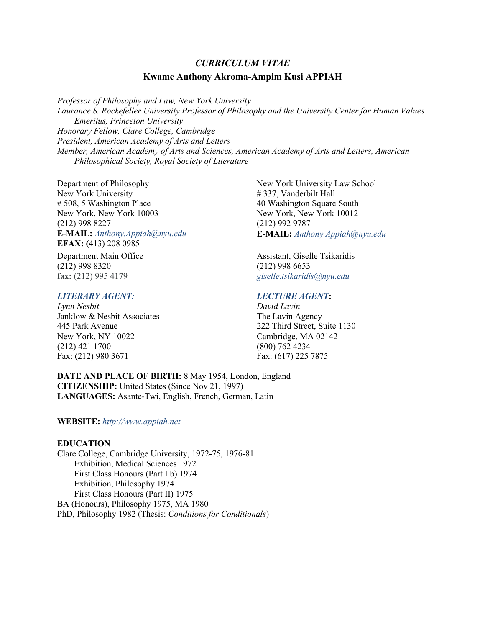# *CURRICULUM VITAE* **Kwame Anthony Akroma-Ampim Kusi APPIAH**

*Professor of Philosophy and Law, New York University Laurance S. Rockefeller University Professor of Philosophy and the University Center for Human Values Emeritus, Princeton University Honorary Fellow, Clare College, Cambridge President, American Academy of Arts and Letters Member, American Academy of Arts and Sciences, American Academy of Arts and Letters, American Philosophical Society, Royal Society of Literature*

Department of Philosophy New York University # 508, 5 Washington Place New York, New York 10003 (212) 998 8227 **E-MAIL:** *Anthony.Appiah@nyu.edu* **EFAX: (**413) 208 0985

Department Main Office (212) 998 8320 **fax:** (212) 995 4179

# *LITERARY AGENT:*

*Lynn Nesbit* Janklow & Nesbit Associates 445 Park Avenue New York, NY 10022 (212) 421 1700 Fax: (212) 980 3671

New York University Law School # 337, Vanderbilt Hall 40 Washington Square South New York, New York 10012 (212) 992 9787 **E-MAIL:** *Anthony.Appiah@nyu.edu*

Assistant, Giselle Tsikaridis (212) 998 6653 *giselle.tsikaridis@nyu.edu*

# *LECTURE AGENT***:**

*David Lavin* The Lavin Agency 222 Third Street, Suite 1130 Cambridge, MA 02142 (800) 762 4234 Fax: (617) 225 7875

**DATE AND PLACE OF BIRTH:** 8 May 1954, London, England **CITIZENSHIP:** United States (Since Nov 21, 1997) **LANGUAGES:** Asante-Twi, English, French, German, Latin

# **WEBSITE:** *http://www.appiah.net*

## **EDUCATION**

Clare College, Cambridge University, 1972-75, 1976-81 Exhibition, Medical Sciences 1972 First Class Honours (Part I b) 1974 Exhibition, Philosophy 1974 First Class Honours (Part II) 1975 BA (Honours), Philosophy 1975, MA 1980 PhD, Philosophy 1982 (Thesis: *Conditions for Conditionals*)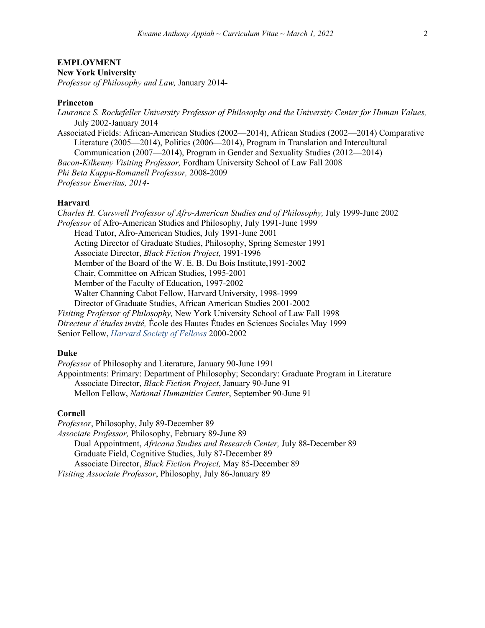# **EMPLOYMENT**

**New York University**

*Professor of Philosophy and Law,* January 2014-

### **Princeton**

*Laurance S. Rockefeller University Professor of Philosophy and the University Center for Human Values,* July 2002-January 2014 Associated Fields: African-American Studies (2002—2014), African Studies (2002—2014) Comparative Literature (2005—2014), Politics (2006—2014), Program in Translation and Intercultural Communication (2007—2014), Program in Gender and Sexuality Studies (2012—2014) *Bacon-Kilkenny Visiting Professor,* Fordham University School of Law Fall 2008 *Phi Beta Kappa-Romanell Professor,* 2008*-*2009 *Professor Emeritus, 2014-*

### **Harvard**

*Charles H. Carswell Professor of Afro-American Studies and of Philosophy,* July 1999-June 2002 *Professor* of Afro-American Studies and Philosophy, July 1991-June 1999 Head Tutor, Afro-American Studies, July 1991-June 2001 Acting Director of Graduate Studies, Philosophy, Spring Semester 1991 Associate Director, *Black Fiction Project,* 1991-1996 Member of the Board of the W. E. B. Du Bois Institute,1991-2002 Chair, Committee on African Studies, 1995-2001 Member of the Faculty of Education, 1997-2002 Walter Channing Cabot Fellow, Harvard University, 1998-1999 Director of Graduate Studies, African American Studies 2001-2002 *Visiting Professor of Philosophy,* New York University School of Law Fall 1998 *Directeur d'études invité,* École des Hautes Études en Sciences Sociales May 1999 Senior Fellow, *Harvard Society of Fellows* 2000-2002

#### **Duke**

*Professor* of Philosophy and Literature, January 90-June 1991 Appointments: Primary: Department of Philosophy; Secondary: Graduate Program in Literature Associate Director, *Black Fiction Project*, January 90-June 91 Mellon Fellow, *National Humanities Center*, September 90-June 91

## **Cornell**

*Professor*, Philosophy, July 89-December 89 *Associate Professor,* Philosophy, February 89-June 89 Dual Appointment, *Africana Studies and Research Center,* July 88-December 89 Graduate Field, Cognitive Studies, July 87-December 89 Associate Director, *Black Fiction Project,* May 85-December 89 *Visiting Associate Professor*, Philosophy, July 86-January 89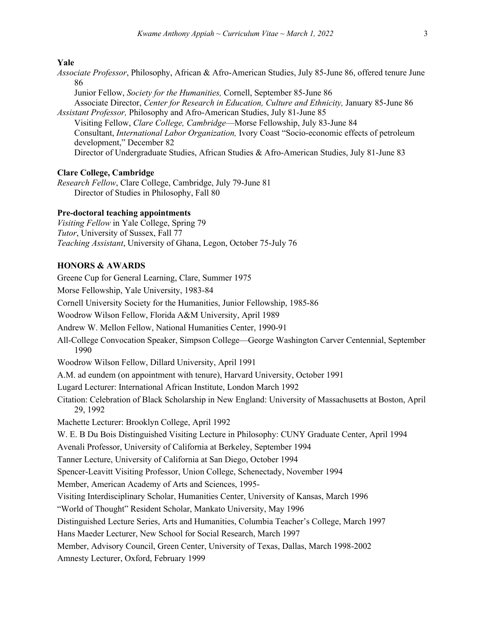#### **Yale**

- *Associate Professor*, Philosophy, African & Afro-American Studies, July 85-June 86, offered tenure June 86
- Junior Fellow, *Society for the Humanities,* Cornell, September 85-June 86 Associate Director, *Center for Research in Education, Culture and Ethnicity,* January 85-June 86 *Assistant Professor,* Philosophy and Afro-American Studies, July 81-June 85
- Visiting Fellow, *Clare College, Cambridge*—Morse Fellowship, July 83-June 84 Consultant, *International Labor Organization,* Ivory Coast "Socio-economic effects of petroleum development," December 82 Director of Undergraduate Studies, African Studies & Afro-American Studies, July 81-June 83

#### **Clare College, Cambridge**

*Research Fellow*, Clare College, Cambridge, July 79-June 81 Director of Studies in Philosophy, Fall 80

### **Pre-doctoral teaching appointments**

*Visiting Fellow* in Yale College, Spring 79 *Tutor*, University of Sussex, Fall 77 *Teaching Assistant*, University of Ghana, Legon, October 75-July 76

## **HONORS & AWARDS**

Greene Cup for General Learning, Clare, Summer 1975 Morse Fellowship, Yale University, 1983-84 Cornell University Society for the Humanities, Junior Fellowship, 1985-86 Woodrow Wilson Fellow, Florida A&M University, April 1989 Andrew W. Mellon Fellow, National Humanities Center, 1990-91 All-College Convocation Speaker, Simpson College—George Washington Carver Centennial, September 1990 Woodrow Wilson Fellow, Dillard University, April 1991 A.M. ad eundem (on appointment with tenure), Harvard University, October 1991 Lugard Lecturer: International African Institute, London March 1992 Citation: Celebration of Black Scholarship in New England: University of Massachusetts at Boston, April 29, 1992 Machette Lecturer: Brooklyn College, April 1992 W. E. B Du Bois Distinguished Visiting Lecture in Philosophy: CUNY Graduate Center, April 1994 Avenali Professor, University of California at Berkeley, September 1994 Tanner Lecture, University of California at San Diego, October 1994 Spencer-Leavitt Visiting Professor, Union College, Schenectady, November 1994 Member, American Academy of Arts and Sciences, 1995- Visiting Interdisciplinary Scholar, Humanities Center, University of Kansas, March 1996 "World of Thought" Resident Scholar, Mankato University, May 1996 Distinguished Lecture Series, Arts and Humanities, Columbia Teacher's College, March 1997 Hans Maeder Lecturer, New School for Social Research, March 1997 Member, Advisory Council, Green Center, University of Texas, Dallas, March 1998-2002 Amnesty Lecturer, Oxford, February 1999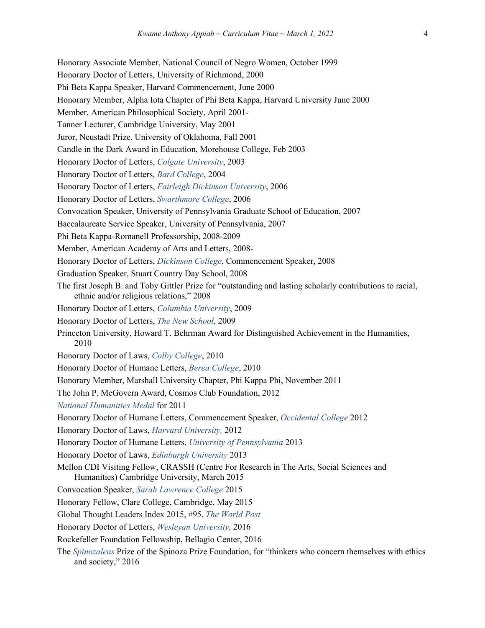Honorary Associate Member, National Council of Negro Women, October 1999 Honorary Doctor of Letters, University of Richmond, 2000 Phi Beta Kappa Speaker, Harvard Commencement, June 2000 Honorary Member, Alpha Iota Chapter of Phi Beta Kappa, Harvard University June 2000 Member, American Philosophical Society, April 2001- Tanner Lecturer, Cambridge University, May 2001 Juror, Neustadt Prize, University of Oklahoma, Fall 2001 Candle in the Dark Award in Education, Morehouse College, Feb 2003 Honorary Doctor of Letters, *Colgate University*, 2003 Honorary Doctor of Letters, *Bard College*, 2004 Honorary Doctor of Letters, *Fairleigh Dickinson University*, 2006 Honorary Doctor of Letters, *Swarthmore College*, 2006 Convocation Speaker, University of Pennsylvania Graduate School of Education, 2007 Baccalaureate Service Speaker, University of Pennsylvania, 2007 Phi Beta Kappa-Romanell Professorship, 2008-2009 Member, American Academy of Arts and Letters, 2008- Honorary Doctor of Letters, *Dickinson College*, Commencement Speaker, 2008 Graduation Speaker, Stuart Country Day School, 2008 The first Joseph B. and Toby Gittler Prize for "outstanding and lasting scholarly contributions to racial, ethnic and/or religious relations," 2008 Honorary Doctor of Letters, *Columbia University*, 2009 Honorary Doctor of Letters, *The New School*, 2009 Princeton University, Howard T. Behrman Award for Distinguished Achievement in the Humanities, 2010 Honorary Doctor of Laws, *Colby College*, 2010 Honorary Doctor of Humane Letters, *Berea College*, 2010 Honorary Member, Marshall University Chapter, Phi Kappa Phi, November 2011 The John P. McGovern Award, Cosmos Club Foundation, 2012 *National Humanities Medal* for 2011 Honorary Doctor of Humane Letters, Commencement Speaker, *Occidental College* 2012 Honorary Doctor of Laws, *Harvard University,* 2012 Honorary Doctor of Humane Letters, *University of Pennsylvania* 2013 Honorary Doctor of Laws, *Edinburgh University* 2013 Mellon CDI Visiting Fellow, CRASSH (Centre For Research in The Arts, Social Sciences and Humanities) Cambridge University, March 2015 Convocation Speaker, *Sarah Lawrence College* 2015 Honorary Fellow, Clare College, Cambridge, May 2015 Global Thought Leaders Index 2015, #95, *The World Post* Honorary Doctor of Letters, *Wesleyan University,* 2016 Rockefeller Foundation Fellowship, Bellagio Center, 2016 The *Spinozalens* Prize of the Spinoza Prize Foundation, for "thinkers who concern themselves with ethics and society," 2016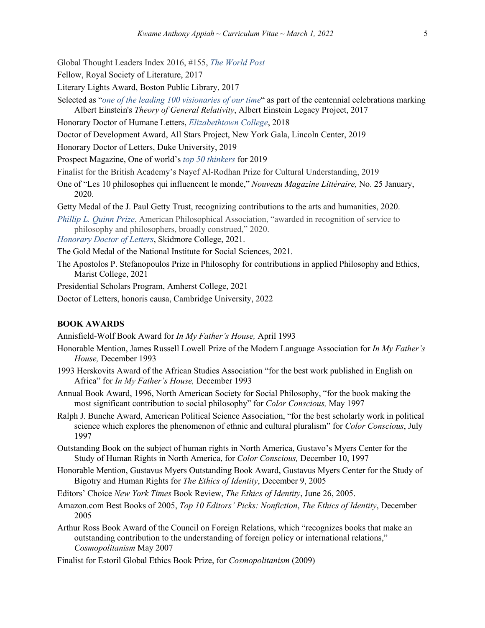Global Thought Leaders Index 2016, #155, *The World Post*

Fellow, Royal Society of Literature, 2017

- Literary Lights Award, Boston Public Library, 2017
- Selected as "*one of the leading 100 visionaries of our time*" as part of the centennial celebrations marking Albert Einstein's *Theory of General Relativity*, Albert Einstein Legacy Project, 2017
- Honorary Doctor of Humane Letters, *Elizabethtown College*, 2018
- Doctor of Development Award, All Stars Project, New York Gala, Lincoln Center, 2019
- Honorary Doctor of Letters, Duke University, 2019
- Prospect Magazine, One of world's *top 50 thinkers* for 2019
- Finalist for the British Academy's Nayef Al-Rodhan Prize for Cultural Understanding, 2019
- One of "Les 10 philosophes qui influencent le monde," *Nouveau Magazine Littéraire,* No. 25 January, 2020.
- Getty Medal of the J. Paul Getty Trust, recognizing contributions to the arts and humanities, 2020.
- *Phillip L. Quinn Prize*, American Philosophical Association, "awarded in recognition of service to philosophy and philosophers, broadly construed," 2020.
- *Honorary Doctor of Letters*, Skidmore College, 2021.
- The Gold Medal of the National Institute for Social Sciences, 2021.
- The Apostolos P. Stefanopoulos Prize in Philosophy for contributions in applied Philosophy and Ethics, Marist College, 2021
- Presidential Scholars Program, Amherst College, 2021
- Doctor of Letters, honoris causa, Cambridge University, 2022

## **BOOK AWARDS**

Annisfield-Wolf Book Award for *In My Father's House,* April 1993

- Honorable Mention, James Russell Lowell Prize of the Modern Language Association for *In My Father's House,* December 1993
- 1993 Herskovits Award of the African Studies Association "for the best work published in English on Africa" for *In My Father's House,* December 1993
- Annual Book Award, 1996, North American Society for Social Philosophy, "for the book making the most significant contribution to social philosophy" for *Color Conscious,* May 1997
- Ralph J. Bunche Award, American Political Science Association, "for the best scholarly work in political science which explores the phenomenon of ethnic and cultural pluralism" for *Color Conscious*, July 1997
- Outstanding Book on the subject of human rights in North America, Gustavo's Myers Center for the Study of Human Rights in North America, for *Color Conscious,* December 10, 1997
- Honorable Mention, Gustavus Myers Outstanding Book Award, Gustavus Myers Center for the Study of Bigotry and Human Rights for *The Ethics of Identity*, December 9, 2005
- Editors' Choice *New York Times* Book Review, *The Ethics of Identity*, June 26, 2005.
- Amazon.com Best Books of 2005, *Top 10 Editors' Picks: Nonfiction*, *The Ethics of Identity*, December 2005
- Arthur Ross Book Award of the Council on Foreign Relations, which "recognizes books that make an outstanding contribution to the understanding of foreign policy or international relations," *Cosmopolitanism* May 2007
- Finalist for Estoril Global Ethics Book Prize, for *Cosmopolitanism* (2009)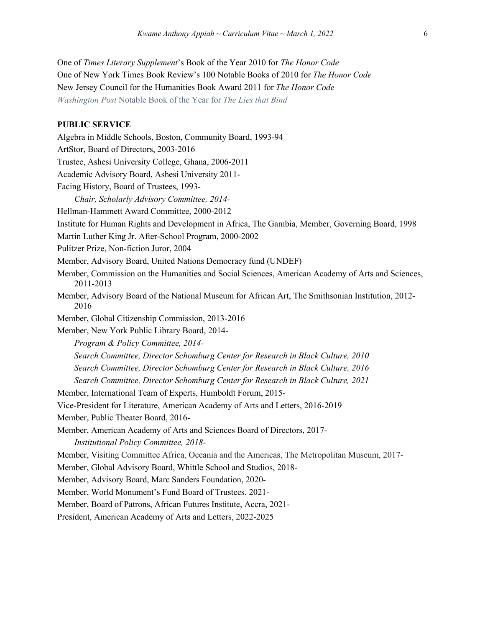One of *Times Literary Supplement*'s Book of the Year 2010 for *The Honor Code* One of New York Times Book Review's 100 Notable Books of 2010 for *The Honor Code* New Jersey Council for the Humanities Book Award 2011 for *The Honor Code Washington Post* Notable Book of the Year for *The Lies that Bind*

### **PUBLIC SERVICE**

Algebra in Middle Schools, Boston, Community Board, 1993-94 ArtStor, Board of Directors, 2003-2016 Trustee, Ashesi University College, Ghana, 2006-2011 Academic Advisory Board, Ashesi University 2011- Facing History, Board of Trustees, 1993- *Chair, Scholarly Advisory Committee, 2014-* Hellman-Hammett Award Committee, 2000-2012 Institute for Human Rights and Development in Africa, The Gambia, Member, Governing Board, 1998 Martin Luther King Jr. After-School Program, 2000-2002 Pulitzer Prize, Non-fiction Juror, 2004 Member, Advisory Board, United Nations Democracy fund (UNDEF) Member, Commission on the Humanities and Social Sciences, American Academy of Arts and Sciences, 2011-2013 Member, Advisory Board of the National Museum for African Art, The Smithsonian Institution, 2012- 2016 Member, Global Citizenship Commission, 2013-2016 Member, New York Public Library Board, 2014- *Program & Policy Committee, 2014- Search Committee, Director Schomburg Center for Research in Black Culture, 2010 Search Committee, Director Schomburg Center for Research in Black Culture, 2016 Search Committee, Director Schomburg Center for Research in Black Culture, 2021* Member, International Team of Experts, Humboldt Forum, 2015- Vice-President for Literature, American Academy of Arts and Letters, 2016-2019 Member, Public Theater Board, 2016- Member, American Academy of Arts and Sciences Board of Directors, 2017- *Institutional Policy Committee, 2018-* Member, Visiting Committee Africa, Oceania and the Americas, The Metropolitan Museum, 2017- Member, Global Advisory Board, Whittle School and Studios, 2018- Member, Advisory Board, Marc Sanders Foundation, 2020- Member, World Monument's Fund Board of Trustees, 2021- Member, Board of Patrons, African Futures Institute, Accra, 2021-

President, American Academy of Arts and Letters, 2022-2025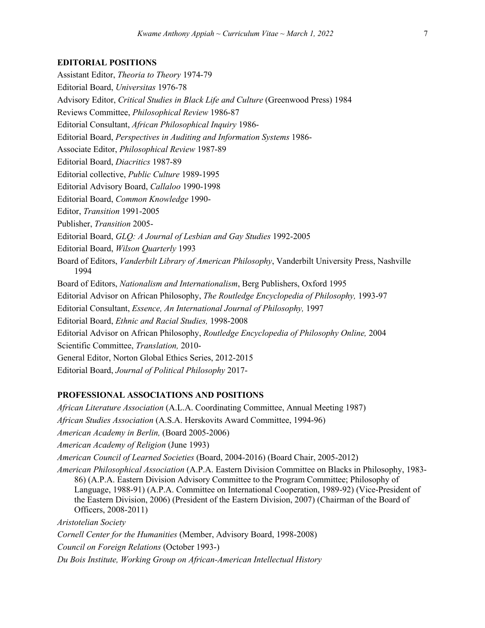#### **EDITORIAL POSITIONS**

Assistant Editor, *Theoria to Theory* 1974-79 Editorial Board, *Universitas* 1976-78 Advisory Editor, *Critical Studies in Black Life and Culture* (Greenwood Press) 1984 Reviews Committee, *Philosophical Review* 1986-87 Editorial Consultant, *African Philosophical Inquiry* 1986- Editorial Board, *Perspectives in Auditing and Information Systems* 1986- Associate Editor, *Philosophical Review* 1987-89 Editorial Board, *Diacritics* 1987-89 Editorial collective, *Public Culture* 1989-1995 Editorial Advisory Board, *Callaloo* 1990-1998 Editorial Board, *Common Knowledge* 1990- Editor, *Transition* 1991-2005 Publisher, *Transition* 2005- Editorial Board, *GLQ: A Journal of Lesbian and Gay Studies* 1992-2005 Editorial Board, *Wilson Quarterly* 1993 Board of Editors, *Vanderbilt Library of American Philosophy*, Vanderbilt University Press, Nashville 1994 Board of Editors, *Nationalism and Internationalism*, Berg Publishers, Oxford 1995 Editorial Advisor on African Philosophy, *The Routledge Encyclopedia of Philosophy,* 1993-97 Editorial Consultant, *Essence, An International Journal of Philosophy,* 1997 Editorial Board, *Ethnic and Racial Studies,* 1998-2008 Editorial Advisor on African Philosophy, *Routledge Encyclopedia of Philosophy Online,* 2004 Scientific Committee, *Translation,* 2010- General Editor, Norton Global Ethics Series, 2012-2015 Editorial Board, *Journal of Political Philosophy* 2017-

# **PROFESSIONAL ASSOCIATIONS AND POSITIONS**

*African Literature Association* (A.L.A. Coordinating Committee, Annual Meeting 1987) *African Studies Association* (A.S.A. Herskovits Award Committee, 1994-96) *American Academy in Berlin,* (Board 2005-2006) *American Academy of Religion* (June 1993) *American Council of Learned Societies* (Board, 2004-2016) (Board Chair, 2005-2012) *American Philosophical Association* (A.P.A. Eastern Division Committee on Blacks in Philosophy, 1983- 86) (A.P.A. Eastern Division Advisory Committee to the Program Committee; Philosophy of Language, 1988-91) (A.P.A. Committee on International Cooperation, 1989-92) (Vice-President of the Eastern Division, 2006) (President of the Eastern Division, 2007) (Chairman of the Board of Officers, 2008-2011) *Aristotelian Society Cornell Center for the Humanities* (Member, Advisory Board, 1998-2008)

*Council on Foreign Relations* (October 1993-)

*Du Bois Institute, Working Group on African-American Intellectual History*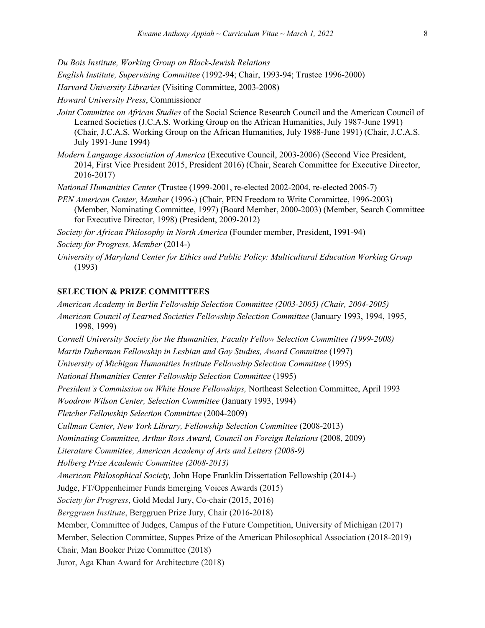*Du Bois Institute, Working Group on Black-Jewish Relations*

*English Institute, Supervising Committee* (1992-94; Chair, 1993-94; Trustee 1996-2000)

*Harvard University Libraries* (Visiting Committee, 2003-2008)

*Howard University Press*, Commissioner

- *Joint Committee on African Studies* of the Social Science Research Council and the American Council of Learned Societies (J.C.A.S. Working Group on the African Humanities, July 1987-June 1991) (Chair, J.C.A.S. Working Group on the African Humanities, July 1988-June 1991) (Chair, J.C.A.S. July 1991-June 1994)
- *Modern Language Association of America* (Executive Council, 2003-2006) (Second Vice President, 2014, First Vice President 2015, President 2016) (Chair, Search Committee for Executive Director, 2016-2017)

*National Humanities Center* (Trustee (1999-2001, re-elected 2002-2004, re-elected 2005-7)

*PEN American Center, Member* (1996-) (Chair, PEN Freedom to Write Committee, 1996-2003) (Member, Nominating Committee, 1997) (Board Member, 2000-2003) (Member, Search Committee for Executive Director, 1998) (President, 2009-2012)

*Society for African Philosophy in North America* (Founder member, President, 1991-94)

- *Society for Progress, Member* (2014-)
- *University of Maryland Center for Ethics and Public Policy: Multicultural Education Working Group* (1993)

## **SELECTION & PRIZE COMMITTEES**

*American Academy in Berlin Fellowship Selection Committee (2003-2005) (Chair, 2004-2005) American Council of Learned Societies Fellowship Selection Committee* (January 1993, 1994, 1995, 1998, 1999) *Cornell University Society for the Humanities, Faculty Fellow Selection Committee (1999-2008) Martin Duberman Fellowship in Lesbian and Gay Studies, Award Committee* (1997) *University of Michigan Humanities Institute Fellowship Selection Committee* (1995) *National Humanities Center Fellowship Selection Committee* (1995) *President's Commission on White House Fellowships,* Northeast Selection Committee, April 1993 *Woodrow Wilson Center, Selection Committee* (January 1993, 1994) *Fletcher Fellowship Selection Committee* (2004-2009) *Cullman Center, New York Library, Fellowship Selection Committee* (2008-2013) *Nominating Committee, Arthur Ross Award, Council on Foreign Relations* (2008, 2009) *Literature Committee, American Academy of Arts and Letters (2008-9) Holberg Prize Academic Committee (2008-2013) American Philosophical Society,* John Hope Franklin Dissertation Fellowship (2014-) Judge, FT/Oppenheimer Funds Emerging Voices Awards (2015) *Society for Progress*, Gold Medal Jury, Co-chair (2015, 2016) *Berggruen Institute*, Berggruen Prize Jury, Chair (2016-2018) Member, Committee of Judges, Campus of the Future Competition, University of Michigan (2017) Member, Selection Committee, Suppes Prize of the American Philosophical Association (2018-2019) Chair, Man Booker Prize Committee (2018) Juror, Aga Khan Award for Architecture (2018)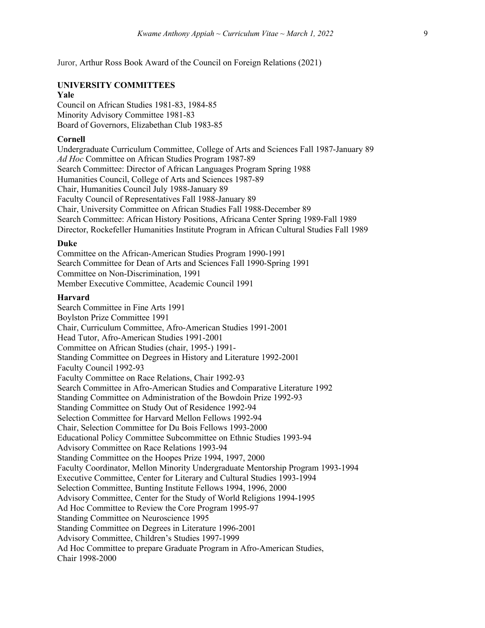Juror, Arthur Ross Book Award of the Council on Foreign Relations (2021)

# **UNIVERSITY COMMITTEES**

#### **Yale**

Council on African Studies 1981-83, 1984-85 Minority Advisory Committee 1981-83 Board of Governors, Elizabethan Club 1983-85

# **Cornell**

Undergraduate Curriculum Committee, College of Arts and Sciences Fall 1987-January 89 *Ad Hoc* Committee on African Studies Program 1987-89 Search Committee: Director of African Languages Program Spring 1988 Humanities Council, College of Arts and Sciences 1987-89 Chair, Humanities Council July 1988-January 89 Faculty Council of Representatives Fall 1988-January 89 Chair, University Committee on African Studies Fall 1988-December 89 Search Committee: African History Positions, Africana Center Spring 1989-Fall 1989 Director, Rockefeller Humanities Institute Program in African Cultural Studies Fall 1989

#### **Duke**

Committee on the African-American Studies Program 1990-1991 Search Committee for Dean of Arts and Sciences Fall 1990-Spring 1991 Committee on Non-Discrimination, 1991 Member Executive Committee, Academic Council 1991

## **Harvard**

Search Committee in Fine Arts 1991 Boylston Prize Committee 1991 Chair, Curriculum Committee, Afro-American Studies 1991-2001 Head Tutor, Afro-American Studies 1991-2001 Committee on African Studies (chair, 1995-) 1991- Standing Committee on Degrees in History and Literature 1992-2001 Faculty Council 1992-93 Faculty Committee on Race Relations, Chair 1992-93 Search Committee in Afro-American Studies and Comparative Literature 1992 Standing Committee on Administration of the Bowdoin Prize 1992-93 Standing Committee on Study Out of Residence 1992-94 Selection Committee for Harvard Mellon Fellows 1992-94 Chair, Selection Committee for Du Bois Fellows 1993-2000 Educational Policy Committee Subcommittee on Ethnic Studies 1993-94 Advisory Committee on Race Relations 1993-94 Standing Committee on the Hoopes Prize 1994, 1997, 2000 Faculty Coordinator, Mellon Minority Undergraduate Mentorship Program 1993-1994 Executive Committee, Center for Literary and Cultural Studies 1993-1994 Selection Committee, Bunting Institute Fellows 1994, 1996, 2000 Advisory Committee, Center for the Study of World Religions 1994-1995 Ad Hoc Committee to Review the Core Program 1995-97 Standing Committee on Neuroscience 1995 Standing Committee on Degrees in Literature 1996-2001 Advisory Committee, Children's Studies 1997-1999 Ad Hoc Committee to prepare Graduate Program in Afro-American Studies, Chair 1998-2000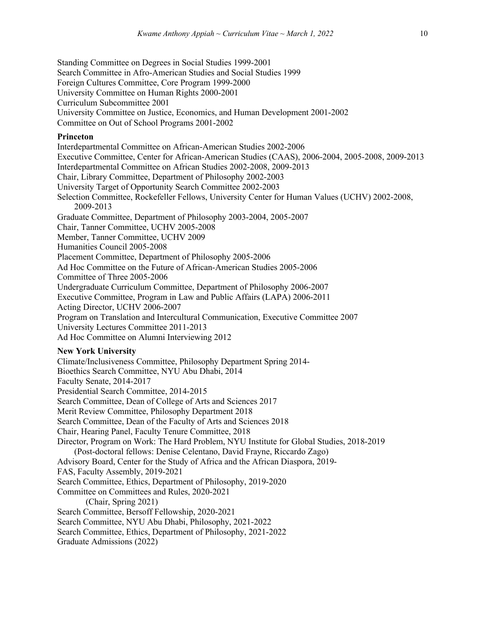Standing Committee on Degrees in Social Studies 1999-2001 Search Committee in Afro-American Studies and Social Studies 1999 Foreign Cultures Committee, Core Program 1999-2000 University Committee on Human Rights 2000-2001 Curriculum Subcommittee 2001 University Committee on Justice, Economics, and Human Development 2001-2002 Committee on Out of School Programs 2001-2002 **Princeton** Interdepartmental Committee on African-American Studies 2002-2006 Executive Committee, Center for African-American Studies (CAAS), 2006-2004, 2005-2008, 2009-2013 Interdepartmental Committee on African Studies 2002-2008, 2009-2013 Chair, Library Committee, Department of Philosophy 2002-2003 University Target of Opportunity Search Committee 2002-2003 Selection Committee, Rockefeller Fellows, University Center for Human Values (UCHV) 2002-2008, 2009-2013 Graduate Committee, Department of Philosophy 2003-2004, 2005-2007 Chair, Tanner Committee, UCHV 2005-2008 Member, Tanner Committee, UCHV 2009 Humanities Council 2005-2008 Placement Committee, Department of Philosophy 2005-2006 Ad Hoc Committee on the Future of African-American Studies 2005-2006 Committee of Three 2005-2006 Undergraduate Curriculum Committee, Department of Philosophy 2006-2007 Executive Committee, Program in Law and Public Affairs (LAPA) 2006-2011 Acting Director, UCHV 2006-2007 Program on Translation and Intercultural Communication, Executive Committee 2007 University Lectures Committee 2011-2013 Ad Hoc Committee on Alumni Interviewing 2012 **New York University** Climate/Inclusiveness Committee, Philosophy Department Spring 2014- Bioethics Search Committee, NYU Abu Dhabi, 2014 Faculty Senate, 2014-2017 Presidential Search Committee, 2014-2015 Search Committee, Dean of College of Arts and Sciences 2017 Merit Review Committee, Philosophy Department 2018 Search Committee, Dean of the Faculty of Arts and Sciences 2018 Chair, Hearing Panel, Faculty Tenure Committee, 2018 Director, Program on Work: The Hard Problem, NYU Institute for Global Studies, 2018-2019 (Post-doctoral fellows: Denise Celentano, David Frayne, Riccardo Zago) Advisory Board, Center for the Study of Africa and the African Diaspora, 2019- FAS, Faculty Assembly, 2019-2021 Search Committee, Ethics, Department of Philosophy, 2019-2020 Committee on Committees and Rules, 2020-2021 (Chair, Spring 2021) Search Committee, Bersoff Fellowship, 2020-2021 Search Committee, NYU Abu Dhabi, Philosophy, 2021-2022 Search Committee, Ethics, Department of Philosophy, 2021-2022 Graduate Admissions (2022)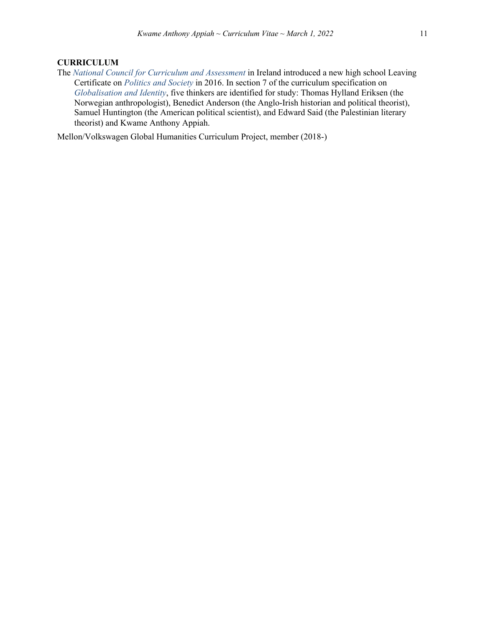## **CURRICULUM**

The *National Council for Curriculum and Assessment* in Ireland introduced a new high school Leaving Certificate on *Politics and Society* in 2016. In section 7 of the curriculum specification on *Globalisation and Identity*, five thinkers are identified for study: Thomas Hylland Eriksen (the Norwegian anthropologist), Benedict Anderson (the Anglo-Irish historian and political theorist), Samuel Huntington (the American political scientist), and Edward Said (the Palestinian literary theorist) and Kwame Anthony Appiah.

Mellon/Volkswagen Global Humanities Curriculum Project, member (2018-)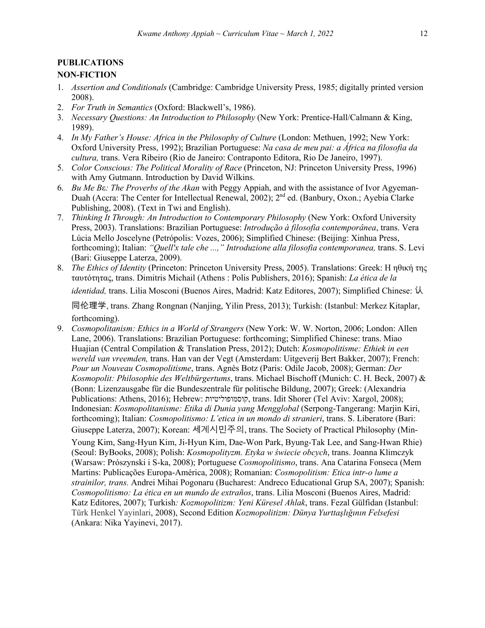## **PUBLICATIONS**

## **NON-FICTION**

- 1. *Assertion and Conditionals* (Cambridge: Cambridge University Press, 1985; digitally printed version 2008).
- 2. *For Truth in Semantics* (Oxford: Blackwell's, 1986).
- 3. *Necessary Questions: An Introduction to Philosophy* (New York: Prentice-Hall/Calmann & King, 1989).
- 4. *In My Father's House: Africa in the Philosophy of Culture* (London: Methuen, 1992; New York: Oxford University Press, 1992); Brazilian Portuguese: *Na casa de meu pai: a África na filosofia da cultura,* trans. Vera Ribeiro (Rio de Janeiro: Contraponto Editora, Rio De Janeiro, 1997).
- 5. *Color Conscious: The Political Morality of Race* (Princeton, NJ: Princeton University Press, 1996) with Amy Gutmann. Introduction by David Wilkins.
- 6. *Bu Me B*ε*: The Proverbs of the Akan* with Peggy Appiah, and with the assistance of Ivor Agyeman-Duah (Accra: The Center for Intellectual Renewal, 2002);  $2^{nd}$  ed. (Banbury, Oxon.; Ayebia Clarke Publishing, 2008). (Text in Twi and English).
- 7. *Thinking It Through: An Introduction to Contemporary Philosophy* (New York: Oxford University Press, 2003). Translations: Brazilian Portuguese: *Introdução à filosofia contemporânea*, trans. Vera Lúcia Mello Joscelyne (Petrópolis: Vozes, 2006); Simplified Chinese: (Beijing: Xinhua Press, forthcoming); Italian: *"Quell'x tale che ...," Introduzione alla filosofia contemporanea,* trans. S. Levi (Bari: Giuseppe Laterza, 2009).
- 8. *The Ethics of Identity* (Princeton: Princeton University Press, 2005). Translations: Greek: Η ηθική της ταυτότητας, trans. Dimitris Michail (Athens : Polis Publishers, 2016); Spanish: *La ética de la*

*identidad,* trans. Lilia Mosconi (Buenos Aires, Madrid: Katz Editores, 2007); Simplified Chinese: !

"#\$%, trans. Zhang Rongnan (Nanjing, Yilin Press, 2013); Turkish: (Istanbul: Merkez Kitaplar, forthcoming).

9. *Cosmopolitanism: Ethics in a World of Strangers* (New York: W. W. Norton, 2006; London: Allen Lane, 2006). Translations: Brazilian Portuguese: forthcoming; Simplified Chinese: trans. Miao Huajian (Central Compilation & Translation Press, 2012); Dutch: *Kosmopolitisme: Ethiek in een wereld van vreemden,* trans. Han van der Vegt (Amsterdam: Uitgeverij Bert Bakker, 2007); French: *Pour un Nouveau Cosmopolitisme*, trans. Agnès Botz (Paris: Odile Jacob, 2008); German: *Der Kosmopolit: Philosophie des Weltbürgertums*, trans. Michael Bischoff (Munich: C. H. Beck, 2007) & (Bonn: Lizenzausgabe für die Bundeszentrale für politische Bildung, 2007); Greek: (Alexandria Publications: Athens, 2016); Hebrew: תויטילופומסוק , trans. Idit Shorer (Tel Aviv: Xargol, 2008); Indonesian: *Kosmopolitanisme: Etika di Dunia yang Mengglobal* (Serpong-Tangerang: Marjin Kiri, forthcoming); Italian: *Cosmopolitismo: L'etica in un mondo di stranieri*, trans. S. Liberatore (Bari: Giuseppe Laterza, 2007); Korean: 세계시민주의, trans. The Society of Practical Philosophy (Min-Young Kim, Sang-Hyun Kim, Ji-Hyun Kim, Dae-Won Park, Byung-Tak Lee, and Sang-Hwan Rhie) (Seoul: ByBooks, 2008); Polish: *Kosmopolityzm. Etyka w świecie obcych*, trans. Joanna Klimczyk (Warsaw: Prószynski i S-ka, 2008); Portuguese *Cosmopolitismo*, trans. Ana Catarina Fonseca (Mem Martins: Publicações Europa-América, 2008); Romanian: *Cosmopolitism: Etica intr-o lume a strainilor, trans.* Andrei Mihai Pogonaru (Bucharest: Andreco Educational Grup SA, 2007); Spanish: *Cosmopolitismo: La ética en un mundo de extraños*, trans. Lilia Mosconi (Buenos Aires, Madrid: Katz Editores, 2007); Turkish*: Kozmopolitizm: Yeni Küresel Ahlak*, trans. Fezal Gülfidan (Istanbul: Türk Henkel Yayinlari, 2008), Second Edition *Kozmopolitizm: Dünya Yurttaşlığının Felsefesi* (Ankara: Nika Yayinevi, 2017).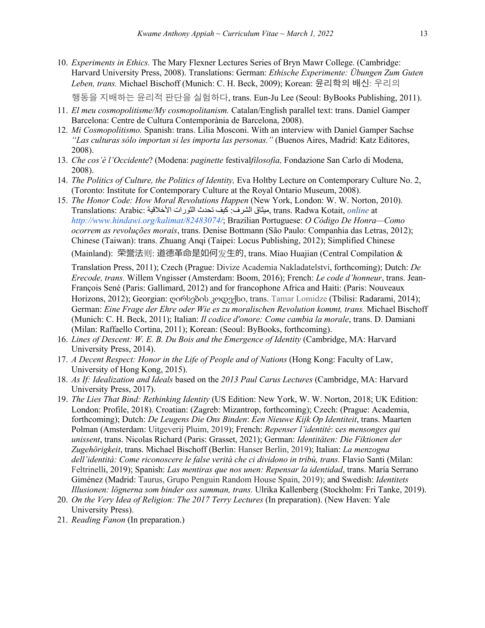- 10. *Experiments in Ethics.* The Mary Flexner Lectures Series of Bryn Mawr College. (Cambridge: Harvard University Press, 2008). Translations: German: *Ethische Experimente: Übungen Zum Guten Leben, trans.* Michael Bischoff (Munich: C. H. Beck, 2009); Korean: 윤리학의 배신: 우리의 행동을 지배하는 윤리적 판단을 실험하다, trans. Eun-Ju Lee (Seoul: ByBooks Publishing, 2011).
- 11. *El meu cosmopolitisme/My cosmopolitanism.* Catalan/English parallel text: trans. Daniel Gamper Barcelona: Centre de Cultura Contemporània de Barcelona, 2008).
- 12. *Mi Cosmopolitismo.* Spanish: trans. Lilia Mosconi. With an interview with Daniel Gamper Sachse *"Las culturas sólo importan si les importa las personas."* (Buenos Aires, Madrid: Katz Editores, 2008).
- 13. *Che cos'è l'Occidente*? (Modena: *paginette* festival*filosofia,* Fondazione San Carlo di Modena, 2008).
- 14. *The Politics of Culture, the Politics of Identity,* Eva Holtby Lecture on Contemporary Culture No. 2, (Toronto: Institute for Contemporary Culture at the Royal Ontario Museum, 2008).
- 15. *The Honor Code: How Moral Revolutions Happen* (New York, London: W. W. Norton, 2010). Translations: Arabic: ةیقلاخلأا تاروثلا ثدحت فیك فرشلا: قاثیم , trans. Radwa Kotait, *online* at *http://www.hindawi.org/kalimat/82483074/*; Brazilian Portuguese: *O Código De Honra—Como ocorrem as revoluções morais*, trans. Denise Bottmann (São Paulo: Companhia das Letras, 2012); Chinese (Taiwan): trans. Zhuang Anqi (Taipei: Locus Publishing, 2012); Simplified Chinese (Mainland): 荣誉法则: 道德革命是如何发生的, trans. Miao Huajian (Central Compilation &

Translation Press, 2011); Czech (Prague: Divize Academia Nakladatelství, forthcoming); Dutch: *De Erecode, trans.* Willem Vngisser (Amsterdam: Boom, 2016); French: *Le code d'honneur*, trans. Jean-François Sené (Paris: Gallimard, 2012) and for francophone Africa and Haiti: (Paris: Nouveaux Horizons, 2012); Georgian: ღირსების კოდექსი, trans. Tamar Lomidze (Tbilisi: Radarami, 2014); German: *Eine Frage der Ehre oder Wie es zu moralischen Revolution kommt, trans.* Michael Bischoff (Munich: C. H. Beck, 2011); Italian: *Il codice d'onore: Come cambia la morale*, trans. D. Damiani (Milan: Raffaello Cortina, 2011); Korean: (Seoul: ByBooks, forthcoming).

- 16. *Lines of Descent: W. E. B. Du Bois and the Emergence of Identity* (Cambridge, MA: Harvard University Press, 2014).
- 17. *A Decent Respect: Honor in the Life of People and of Nations* (Hong Kong: Faculty of Law, University of Hong Kong, 2015).
- 18. *As If: Idealization and Ideals* based on the *2013 Paul Carus Lectures* (Cambridge, MA: Harvard University Press, 2017).
- 19. *The Lies That Bind: Rethinking Identity* (US Edition: New York, W. W. Norton, 2018; UK Edition: London: Profile, 2018). Croatian: (Zagreb: Mizantrop, forthcoming); Czech: (Prague: Academia, forthcoming); Dutch: *De Leugens Die Ons Binden*: *Een Nieuwe Kijk Op Identiteit*, trans. Maarten Polman (Amsterdam: Uitgeverij Pluim, 2019); French: *Repenser l'identité*: c*es mensonges qui unissent*, trans. Nicolas Richard (Paris: Grasset, 2021); German: *Identitäten: Die Fiktionen der Zugehörigkeit*, trans. Michael Bischoff (Berlin: Hanser Berlin, 2019); Italian: *La menzogna dell'identità: Come riconoscere le false verità che ci dividono in tribù, trans.* Flavio Santi (Milan: Feltrinelli, 2019); Spanish: *Las mentiras que nos unen: Repensar la identidad*, trans. María Serrano Giménez (Madrid: Taurus, Grupo Penguin Random House Spain, 2019); and Swedish: *Identitets Illusionen: lögnerna som binder oss samman, trans.* Ulrika Kallenberg (Stockholm: Fri Tanke, 2019).
- 20. *On the Very Idea of Religion: The 2017 Terry Lectures* (In preparation). (New Haven: Yale University Press).
- 21. *Reading Fanon* (In preparation.)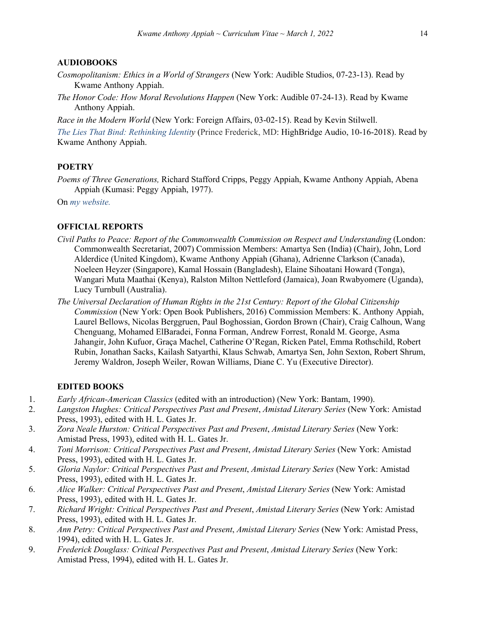### **AUDIOBOOKS**

- *Cosmopolitanism: Ethics in a World of Strangers* (New York: Audible Studios, 07-23-13). Read by Kwame Anthony Appiah.
- *The Honor Code: How Moral Revolutions Happen* (New York: Audible 07-24-13). Read by Kwame Anthony Appiah.

*Race in the Modern World* (New York: Foreign Affairs, 03-02-15). Read by Kevin Stilwell.

*The Lies That Bind: Rethinking Identity* (Prince Frederick, MD: HighBridge Audio, 10-16-2018). Read by Kwame Anthony Appiah.

## **POETRY**

*Poems of Three Generations,* Richard Stafford Cripps, Peggy Appiah, Kwame Anthony Appiah, Abena Appiah (Kumasi: Peggy Appiah, 1977).

On *my website.*

## **OFFICIAL REPORTS**

- *Civil Paths to Peace: Report of the Commonwealth Commission on Respect and Understanding* (London: Commonwealth Secretariat, 2007) Commission Members: Amartya Sen (India) (Chair), John, Lord Alderdice (United Kingdom), Kwame Anthony Appiah (Ghana), Adrienne Clarkson (Canada), Noeleen Heyzer (Singapore), Kamal Hossain (Bangladesh), Elaine Sihoatani Howard (Tonga), Wangari Muta Maathai (Kenya), Ralston Milton Nettleford (Jamaica), Joan Rwabyomere (Uganda), Lucy Turnbull (Australia).
- *The Universal Declaration of Human Rights in the 21st Century: Report of the Global Citizenship Commission* (New York: Open Book Publishers, 2016) Commission Members: K. Anthony Appiah, Laurel Bellows, Nicolas Berggruen, Paul Boghossian, Gordon Brown (Chair), Craig Calhoun, Wang Chenguang, Mohamed ElBaradei, Fonna Forman, Andrew Forrest, Ronald M. George, Asma Jahangir, John Kufuor, Graça Machel, Catherine O'Regan, Ricken Patel, Emma Rothschild, Robert Rubin, Jonathan Sacks, Kailash Satyarthi, Klaus Schwab, Amartya Sen, John Sexton, Robert Shrum, Jeremy Waldron, Joseph Weiler, Rowan Williams, Diane C. Yu (Executive Director).

### **EDITED BOOKS**

- 1. *Early African-American Classics* (edited with an introduction) (New York: Bantam, 1990).
- 2. *Langston Hughes: Critical Perspectives Past and Present*, *Amistad Literary Series* (New York: Amistad Press, 1993), edited with H. L. Gates Jr.
- 3. *Zora Neale Hurston: Critical Perspectives Past and Present*, *Amistad Literary Series* (New York: Amistad Press, 1993), edited with H. L. Gates Jr.
- 4. *Toni Morrison: Critical Perspectives Past and Present*, *Amistad Literary Series* (New York: Amistad Press, 1993), edited with H. L. Gates Jr.
- 5. *Gloria Naylor: Critical Perspectives Past and Present*, *Amistad Literary Series* (New York: Amistad Press, 1993), edited with H. L. Gates Jr.
- 6. *Alice Walker: Critical Perspectives Past and Present*, *Amistad Literary Series* (New York: Amistad Press, 1993), edited with H. L. Gates Jr.
- 7. *Richard Wright: Critical Perspectives Past and Present*, *Amistad Literary Series* (New York: Amistad Press, 1993), edited with H. L. Gates Jr.
- 8. *Ann Petry: Critical Perspectives Past and Present*, *Amistad Literary Series* (New York: Amistad Press, 1994), edited with H. L. Gates Jr.
- 9. *Frederick Douglass: Critical Perspectives Past and Present*, *Amistad Literary Series* (New York: Amistad Press, 1994), edited with H. L. Gates Jr.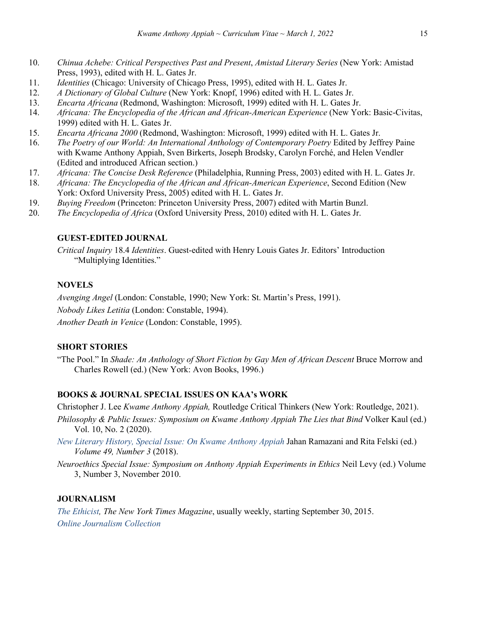- 10. *Chinua Achebe: Critical Perspectives Past and Present*, *Amistad Literary Series* (New York: Amistad Press, 1993), edited with H. L. Gates Jr.
- 11. *Identities* (Chicago: University of Chicago Press, 1995), edited with H. L. Gates Jr.
- 12. *A Dictionary of Global Culture* (New York: Knopf, 1996) edited with H. L. Gates Jr.
- 13. *Encarta Africana* (Redmond, Washington: Microsoft, 1999) edited with H. L. Gates Jr.
- 14. *Africana: The Encyclopedia of the African and African-American Experience* (New York: Basic-Civitas, 1999) edited with H. L. Gates Jr.
- 15. *Encarta Africana 2000* (Redmond, Washington: Microsoft, 1999) edited with H. L. Gates Jr.
- 16. *The Poetry of our World: An International Anthology of Contemporary Poetry* Edited by Jeffrey Paine with Kwame Anthony Appiah, Sven Birkerts, Joseph Brodsky, Carolyn Forché, and Helen Vendler (Edited and introduced African section.)
- 17. *Africana: The Concise Desk Reference* (Philadelphia, Running Press, 2003) edited with H. L. Gates Jr.
- 18. *Africana: The Encyclopedia of the African and African-American Experience*, Second Edition (New York: Oxford University Press, 2005) edited with H. L. Gates Jr.
- 19. *Buying Freedom* (Princeton: Princeton University Press, 2007) edited with Martin Bunzl.
- 20. *The Encyclopedia of Africa* (Oxford University Press, 2010) edited with H. L. Gates Jr.

# **GUEST-EDITED JOURNAL**

*Critical Inquiry* 18.4 *Identities*. Guest-edited with Henry Louis Gates Jr. Editors' Introduction "Multiplying Identities."

## **NOVELS**

*Avenging Angel* (London: Constable, 1990; New York: St. Martin's Press, 1991).

*Nobody Likes Letitia* (London: Constable, 1994).

*Another Death in Venice* (London: Constable, 1995).

# **SHORT STORIES**

"The Pool." In *Shade: An Anthology of Short Fiction by Gay Men of African Descent* Bruce Morrow and Charles Rowell (ed.) (New York: Avon Books, 1996.)

# **BOOKS & JOURNAL SPECIAL ISSUES ON KAA's WORK**

Christopher J. Lee *Kwame Anthony Appiah,* Routledge Critical Thinkers (New York: Routledge, 2021).

- *Philosophy & Public Issues: Symposium on Kwame Anthony Appiah The Lies that Bind Volker Kaul (ed.)* Vol. 10, No. 2 (2020).
- *New Literary History, Special Issue: On Kwame Anthony Appiah* Jahan Ramazani and Rita Felski (ed.) *Volume 49, Number 3* (2018).
- *Neuroethics Special Issue: Symposium on Anthony Appiah Experiments in Ethics* Neil Levy (ed.) Volume 3, Number 3, November 2010.

## **JOURNALISM**

*The Ethicist, The New York Times Magazine*, usually weekly, starting September 30, 2015. *Online Journalism Collection*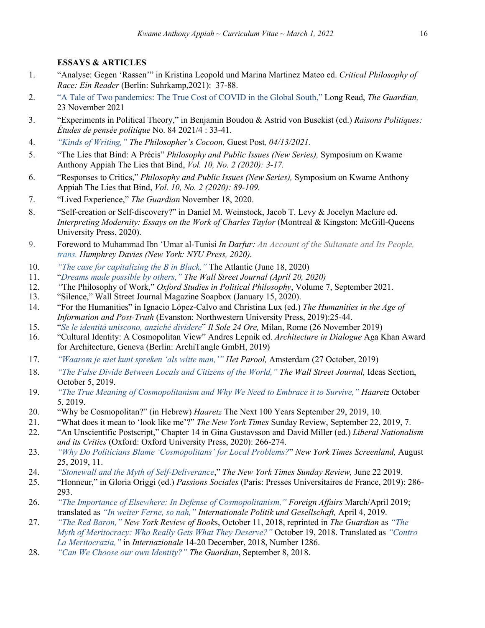# **ESSAYS & ARTICLES**

- 1. "Analyse: Gegen 'Rassen'" in Kristina Leopold und Marina Martinez Mateo ed. *Critical Philosophy of Race: Ein Reader* (Berlin: Suhrkamp,2021): 37-88.
- 2. "A Tale of Two pandemics: The True Cost of COVID in the Global South," Long Read, *The Guardian,*  23 November 2021
- 3. "Experiments in Political Theory," in Benjamin Boudou & Astrid von Busekist (ed.) *Raisons Politiques: Études de pensée politique* No. 84 2021/4 : 33-41.
- 4. *"Kinds of Writing," The Philosopher's Cocoon,* Guest Post*, 04/13/2021.*
- 5. "The Lies that Bind: A Précis" *Philosophy and Public Issues (New Series),* Symposium on Kwame Anthony Appiah The Lies that Bind, *Vol. 10, No. 2 (2020): 3-17.*
- 6. "Responses to Critics," *Philosophy and Public Issues (New Series),* Symposium on Kwame Anthony Appiah The Lies that Bind, *Vol. 10, No. 2 (2020): 89-109.*
- 7. "Lived Experience," *The Guardian* November 18, 2020.
- 8. "Self-creation or Self-discovery?" in Daniel M. Weinstock, Jacob T. Levy & Jocelyn Maclure ed. *Interpreting Modernity: Essays on the Work of Charles Taylor* (Montreal & Kingston: McGill-Queens University Press, 2020).
- 9. Foreword to Muhammad Ibn 'Umar al-Tunisi *In Darfur: An Account of the Sultanate and Its People, trans. Humphrey Davies (New York: NYU Press, 2020).*
- 10. *"The case for capitalizing the B in Black,"* The Atlantic (June 18, 2020)
- 11. "*Dreams made possible by others," The Wall Street Journal (April 20, 2020)*
- 12. *"*The Philosophy of Work," *Oxford Studies in Political Philosophy*, Volume 7, September 2021.
- 13. "Silence," Wall Street Journal Magazine Soapbox (January 15, 2020).
- 14. "For the Humanities" in Ignacio López-Calvo and Christina Lux (ed.) *The Humanities in the Age of Information and Post-Truth* (Evanston: Northwestern University Press, 2019):25-44.
- 15. "*Se le identità uniscono, anziché dividere*" *Il Sole 24 Ore,* Milan, Rome (26 November 2019)
- 16. "Cultural Identity: A Cosmopolitan View" Andres Lepnik ed. *Architecture in Dialogue* Aga Khan Award for Architecture, Geneva (Berlin: ArchiTangle GmbH, 2019)
- 17. *"Waarom je niet kunt spreken 'als witte man,'" Het Parool,* Amsterdam (27 October, 2019)
- 18. *"The False Divide Between Locals and Citizens of the World," The Wall Street Journal,* Ideas Section, October 5, 2019.
- 19. *"The True Meaning of Cosmopolitanism and Why We Need to Embrace it to Survive," Haaretz* October 5, 2019.
- 20. "Why be Cosmopolitan?" (in Hebrew) *Haaretz* The Next 100 Years September 29, 2019, 10.
- 21. "What does it mean to 'look like me'?" *The New York Times* Sunday Review, September 22, 2019, 7.
- 22. "An Unscientific Postscript," Chapter 14 in Gina Gustavsson and David Miller (ed.) *Liberal Nationalism and its Critics* (Oxford: Oxford University Press, 2020): 266-274.
- 23. *"Why Do Politicians Blame 'Cosmopolitans' for Local Problems?*" *New York Times Screenland,* August 25, 2019, 11.
- 24. *"Stonewall and the Myth of Self-Deliverance*," *The New York Times Sunday Review,* June 22 2019.
- 25. "Honneur," in Gloria Origgi (ed.) *Passions Sociales* (Paris: Presses Universitaires de France, 2019): 286- 293.
- 26. *"The Importance of Elsewhere: In Defense of Cosmopolitanism," Foreign Affairs* March/April 2019; translated as *"In weiter Ferne, so nah," Internationale Politik und Gesellschaft,* April 4, 2019.
- 27. *"The Red Baron," New York Review of Book*s, October 11, 2018, reprinted in *The Guardian* as *"The Myth of Meritocracy: Who Really Gets What They Deserve?"* October 19, 2018. Translated as *"Contro La Meritocrazia,"* in *Internazionale* 14-20 December, 2018, Number 1286.
- 28. *"Can We Choose our own Identity?" The Guardian*, September 8, 2018.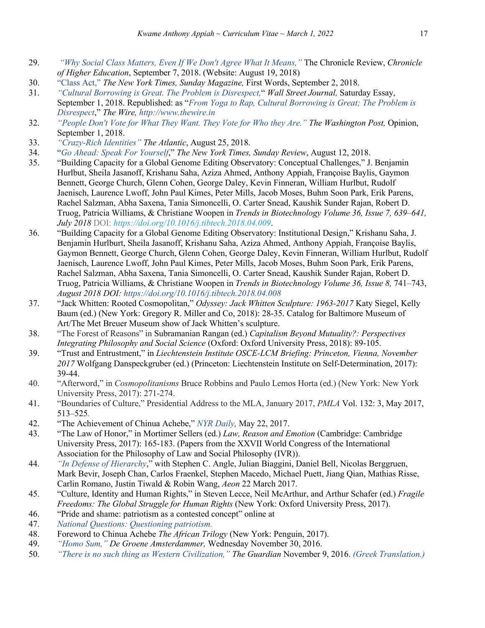- 29. *"Why Social Class Matters, Even If We Don't Agree What It Means,"* The Chronicle Review, *Chronicle of Higher Education*, September 7, 2018. (Website: August 19, 2018)
- 30. "Class Act," *The New York Times, Sunday Magazine,* First Words, September 2, 2018.
- 31. *"Cultural Borrowing is Great. The Problem is Disrespect,*" *Wall Street Journal,* Saturday Essay, September 1, 2018. Republished: as "*From Yoga to Rap, Cultural Borrowing is Great; The Problem is Disrespect*," *The Wire, http://www.thewire.in*
- 32. *"People Don't Vote for What They Want. They Vote for Who they Are." The Washington Post,* Opinion, September 1, 2018.
- 33. *"Crazy-Rich Identities" The Atlantic*, August 25, 2018.
- 34. "*Go Ahead: Speak For Yourself*," *The New York Times, Sunday Review*, August 12, 2018.
- 35. "Building Capacity for a Global Genome Editing Observatory: Conceptual Challenges," J. Benjamin Hurlbut, Sheila Jasanoff, Krishanu Saha, Aziza Ahmed, Anthony Appiah, Françoise Baylis, Gaymon Bennett, George Church, Glenn Cohen, George Daley, Kevin Finneran, William Hurlbut, Rudolf Jaenisch, Laurence Lwoff, John Paul Kimes, Peter Mills, Jacob Moses, Buhm Soon Park, Erik Parens, Rachel Salzman, Abha Saxena, Tania Simoncelli, O. Carter Snead, Kaushik Sunder Rajan, Robert D. Truog, Patricia Williams, & Christiane Woopen in *Trends in Biotechnology Volume 36, Issue 7, 639–641, July 2018* DOI: *https://doi.org/10.1016/j.tibtech.2018.04.009*.
- 36. "Building Capacity for a Global Genome Editing Observatory: Institutional Design," Krishanu Saha, J. Benjamin Hurlburt, Sheila Jasanoff, Krishanu Saha, Aziza Ahmed, Anthony Appiah, Françoise Baylis, Gaymon Bennett, George Church, Glenn Cohen, George Daley, Kevin Finneran, William Hurlbut, Rudolf Jaenisch, Laurence Lwoff, John Paul Kimes, Peter Mills, Jacob Moses, Buhm Soon Park, Erik Parens, Rachel Salzman, Abha Saxena, Tania Simoncelli, O. Carter Snead, Kaushik Sunder Rajan, Robert D. Truog, Patricia Williams, & Christiane Woopen in *Trends in Biotechnology Volume 36, Issue 8,* 741–743, *August 2018 DOI: https://doi.org/10.1016/j.tibtech.2018.04.008*
- 37. "Jack Whitten: Rooted Cosmopolitan," *Odyssey: Jack Whitten Sculpture: 1963-2017* Katy Siegel, Kelly Baum (ed.) (New York: Gregory R. Miller and Co, 2018): 28-35. Catalog for Baltimore Museum of Art/The Met Breuer Museum show of Jack Whitten's sculpture.
- 38. "The Forest of Reasons" in Subramanian Rangan (ed.) *Capitalism Beyond Mutuality?: Perspectives Integrating Philosophy and Social Science* (Oxford: Oxford University Press, 2018): 89-105.
- 39. "Trust and Entrustment," in *Liechtenstein Institute OSCE-LCM Briefing: Princeton, Vienna, November 2017* Wolfgang Danspeckgruber (ed.) (Princeton: Liechtenstein Institute on Self-Determination, 2017): 39-44.
- 40. "Afterword," in *Cosmopolitanisms* Bruce Robbins and Paulo Lemos Horta (ed.) (New York: New York University Press, 2017): 271-274.
- 41. "Boundaries of Culture," Presidential Address to the MLA, January 2017, *PMLA* Vol. 132: 3, May 2017, 513–525*.*
- 42. "The Achievement of Chinua Achebe," *NYR Daily,* May 22, 2017.
- 43. "The Law of Honor," in Mortimer Sellers (ed.) *Law, Reason and Emotion* (Cambridge: Cambridge University Press, 2017): 165-183. (Papers from the XXVII World Congress of the International Association for the Philosophy of Law and Social Philosophy (IVR)).
- 44. *"In Defense of Hierarchy*," with Stephen C. Angle, Julian Biaggini, Daniel Bell, Nicolas Berggruen, Mark Bevir, Joseph Chan, Carlos Fraenkel, Stephen Macedo, Michael Puett, Jiang Qian, Mathias Risse, Carlin Romano, Justin Tiwald & Robin Wang, *Aeon* 22 March 2017.
- 45. "Culture, Identity and Human Rights," in Steven Lecce, Neil McArthur, and Arthur Schafer (ed.) *Fragile Freedoms: The Global Struggle for Human Rights* (New York: Oxford University Press, 2017).
- 46. "Pride and shame: patriotism as a contested concept" online at
- 47. *National Questions: Questioning patriotism.*
- 48. Foreword to Chinua Achebe *The African Trilogy* (New York: Penguin, 2017).
- 49. *"Homo Sum," De Groene Amsterdammer,* Wednesday November 30, 2016.
- 50. *"There is no such thing as Western Civilization," The Guardian* November 9, 2016. *(Greek Translation.)*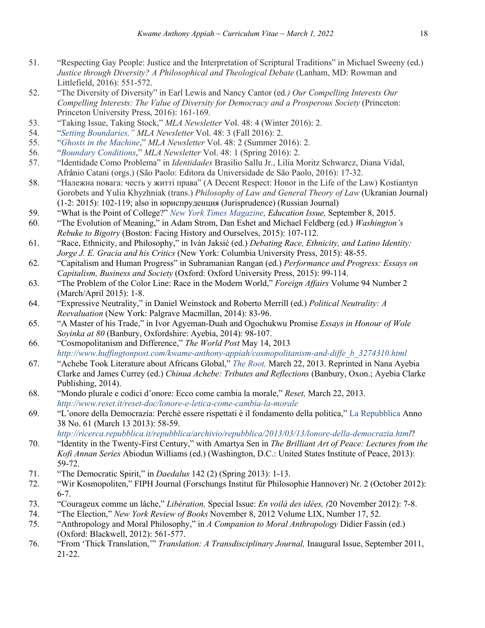- 51. "Respecting Gay People: Justice and the Interpretation of Scriptural Traditions" in Michael Sweeny (ed.) *Justice through Diversity? A Philosophical and Theological Debate* (Lanham, MD: Rowman and Littlefield, 2016): 551-572.
- 52. "The Diversity of Diversity" in Earl Lewis and Nancy Cantor (ed*.) Our Compelling Interests Our Compelling Interests: The Value of Diversity for Democracy and a Prosperous Society* (Princeton: Princeton University Press, 2016): 161-169.
- 53. "Taking Issue, Taking Stock," *MLA Newsletter* Vol. 48: 4 (Winter 2016): 2.
- 54. "*Setting Boundaries," MLA Newsletter* Vol. 48: 3 (Fall 2016): 2.
- 55. "*Ghosts in the Machine*," *MLA Newsletter* Vol. 48: 2 (Summer 2016): 2.
- 56. "*Boundary Conditions*," *MLA Newsletter* Vol. 48: 1 (Spring 2016): 2.
- 57. "Identidade Como Problema" in *Identidades* Brasilio Sallu Jr., Lilia Moritz Schwarcz, Diana Vidal, Afrânio Catani (orgs.) (São Paolo: Editora da Universidade de São Paolo, 2016): 17-32.
- 58. "Належна повага: честь у житті права" (A Decent Respect: Honor in the Life of the Law) Kostiantyn Gorobets and Yulia Khyzhniak (trans.) *Philosophy of Law and General Theory of Law* (Ukranian Journal) (1-2: 2015): 102-119; also in юриспруденция (Jurisprudence) (Russian Journal)
- 59. "What is the Point of College?" *New York Times Magazine, Education Issue,* September 8, 2015.
- 60. "The Evolution of Meaning," in Adam Strom, Dan Eshet and Michael Feldberg (ed.) *Washington's Rebuke to Bigotry* (Boston: Facing History and Ourselves, 2015): 107-112.
- 61. "Race, Ethnicity, and Philosophy," in Ivàn Jaksić (ed.) *Debating Race, Ethnicity, and Latino Identity: Jorge J. E. Gracia and his Critics* (New York: Columbia University Press, 2015): 48-55.
- 62. "Capitalism and Human Progress" in Subramanian Rangan (ed.) *Performance and Progress: Essays on Capitalism, Business and Society* (Oxford: Oxford University Press, 2015): 99-114.
- 63. "The Problem of the Color Line: Race in the Modern World," *Foreign Affairs* Volume 94 Number 2 (March/April 2015): 1-8.
- 64. "Expressive Neutrality," in Daniel Weinstock and Roberto Merrill (ed.) *Political Neutrality: A Reevaluation* (New York: Palgrave Macmillan, 2014): 83-96.
- 65. "A Master of his Trade," in Ivor Agyeman-Duah and Ogochukwu Promise *Essays in Honour of Wole Soyinka at 80* (Banbury, Oxfordshire: Ayebia, 2014): 98-107.
- 66. "Cosmopolitanism and Difference," *The World Post* May 14, 2013 *http://www.huffingtonpost.com/kwame-anthony-appiah/cosmopolitanism-and-diffe\_b\_3274310.html*
- 67. "Achebe Took Literature about Africans Global," *The Root,* March 22, 2013. Reprinted in Nana Ayebia Clarke and James Currey (ed.) *Chinua Achebe: Tributes and Reflections* (Banbury, Oxon.; Ayebia Clarke Publishing, 2014).
- 68. "Mondo plurale e codici d'onore: Ecco come cambia la morale," *Reset,* March 22, 2013. *http://www.reset.it/reset-doc/lonore-e-letica-come-cambia-la-morale*
- 69. "L'onore della Democrazia: Perché essere rispettati è il fondamento della politica," La Repubblica Anno 38 No. 61 (March 13 2013): 58-59.

*http://ricerca.repubblica.it/repubblica/archivio/repubblica/2013/03/13/lonore-della-democrazia.html*?

- 70. "Identity in the Twenty-First Century," with Amartya Sen in *The Brilliant Art of Peace: Lectures from the Kofi Annan Series* Abiodun Williams (ed.) (Washington, D.C.: United States Institute of Peace, 2013): 59-72.
- 71. "The Democratic Spirit," in *Daedalus* 142 (2) (Spring 2013): 1-13.
- 72. "Wir Kosmopoliten," FIPH Journal (Forschungs Institut für Philosophie Hannover) Nr. 2 (October 2012): 6-7.
- 73. "Courageux comme un lâche," *Libération,* Special Issue: *En voilà des idées, (*20 November 2012): 7-8.
- 74. "The Election," *New York Review of Books* November 8, 2012 Volume LIX, Number 17, 52.
- 75. "Anthropology and Moral Philosophy," in *A Companion to Moral Anthropology* Didier Fassin (ed.) (Oxford: Blackwell, 2012): 561-577.
- 76. "From 'Thick Translation,'" *Translation: A Transdisciplinary Journal,* Inaugural Issue, September 2011, 21-22.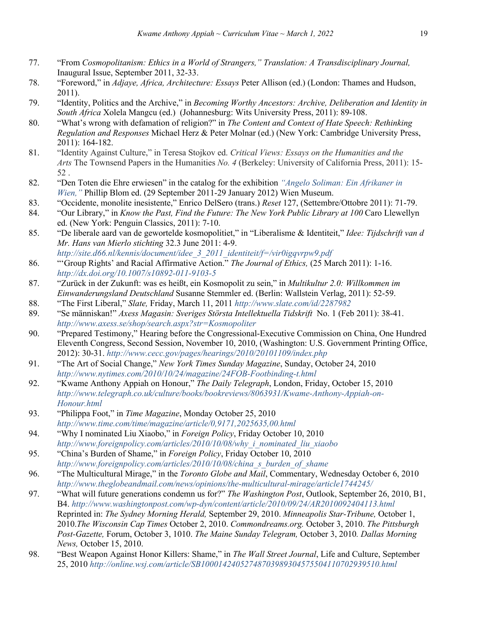- 77. "From *Cosmopolitanism: Ethics in a World of Strangers," Translation: A Transdisciplinary Journal,*  Inaugural Issue, September 2011, 32-33.
- 78. "Foreword," in *Adjaye, Africa, Architecture: Essays* Peter Allison (ed.) (London: Thames and Hudson, 2011).
- 79. "Identity, Politics and the Archive," in *Becoming Worthy Ancestors: Archive, Deliberation and Identity in South Africa* Xolela Mangcu (ed.) (Johannesburg: Wits University Press, 2011): 89-108.
- 80. "What's wrong with defamation of religion?" in *The Content and Context of Hate Speech: Rethinking Regulation and Responses* Michael Herz & Peter Molnar (ed.) (New York: Cambridge University Press, 2011): 164-182.
- 81. "Identity Against Culture," in Teresa Stojkov ed. *Critical Views: Essays on the Humanities and the Arts* The Townsend Papers in the Humanities *No. 4* (Berkeley: University of California Press, 2011): 15- 52 .
- 82. "Den Toten die Ehre erwiesen" in the catalog for the exhibition *"Angelo Soliman: Ein Afrikaner in Wien,"* Phillip Blom ed. (29 September 2011-29 January 2012) Wien Museum.
- 83. "Occidente, monolite inesistente," Enrico DelSero (trans.) *Reset* 127, (Settembre/Ottobre 2011): 71-79.
- 84. "Our Library," in *Know the Past, Find the Future: The New York Public Library at 100* Caro Llewellyn ed. (New York: Penguin Classics, 2011): 7-10.
- 85. "De liberale aard van de gewortelde kosmopolitiet," in "Liberalisme & Identiteit," *Idee: Tijdschrift van d Mr. Hans van Mierlo stichting* 32.3 June 2011: 4-9. *http://site.d66.nl/kennis/document/idee\_3\_2011\_identiteit/f=/vir0igqvrpw9.pdf*
- 86. "'Group Rights' and Racial Affirmative Action." *The Journal of Ethics,* (25 March 2011): 1-16. *http://dx.doi.org/10.1007/s10892-011-9103-5*
- 87. "Zurück in der Zukunft: was es heißt, ein Kosmopolit zu sein," in *Multikultur 2.0: Willkommen im Einwanderungsland Deutschland* Susanne Stemmler ed. (Berlin: Wallstein Verlag, 2011): 52-59.
- 88. "The First Liberal," *Slate,* Friday, March 11, 2011 *http://www.slate.com/id/2287982*
- 89. "Se människan!" *Axess Magasin: Sveriges Största Intellektuella Tidskrift* No. 1 (Feb 2011): 38-41. *http://www.axess.se/shop/search.aspx?str=Kosmopoliter*
- 90. "Prepared Testimony," Hearing before the Congressional-Executive Commission on China, One Hundred Eleventh Congress, Second Session, November 10, 2010, (Washington: U.S. Government Printing Office, 2012): 30-31. *http://www.cecc.gov/pages/hearings/2010/20101109/index.php*
- 91. "The Art of Social Change," *New York Times Sunday Magazine*, Sunday, October 24, 2010 *http://www.nytimes.com/2010/10/24/magazine/24FOB-Footbinding-t.html*
- 92. "Kwame Anthony Appiah on Honour," *The Daily Telegraph*, London, Friday, October 15, 2010 *http://www.telegraph.co.uk/culture/books/bookreviews/8063931/Kwame-Anthony-Appiah-on-Honour.html*
- 93. "Philippa Foot," in *Time Magazine*, Monday October 25, 2010 *http://www.time.com/time/magazine/article/0,9171,2025635,00.html*
- 94. "Why I nominated Liu Xiaobo," in *Foreign Policy*, Friday October 10, 2010 *http://www.foreignpolicy.com/articles/2010/10/08/why\_i\_nominated\_liu\_xiaobo*
- 95. "China's Burden of Shame," in *Foreign Policy*, Friday October 10, 2010 *http://www.foreignpolicy.com/articles/2010/10/08/china\_s\_burden\_of\_shame*
- 96. "The Multicultural Mirage," in the *Toronto Globe and Mail*, Commentary, Wednesday October 6, 2010 *http://www.theglobeandmail.com/news/opinions/the-multicultural-mirage/article1744245/*
- 97. "What will future generations condemn us for?" *The Washington Post*, Outlook, September 26, 2010, B1, B4. *http://www.washingtonpost.com/wp-dyn/content/article/2010/09/24/AR2010092404113.html* Reprinted in: *The Sydney Morning Herald,* September 29, 2010. *Minneapolis Star-Tribune,* October 1, 2010.*The Wisconsin Cap Times* October 2, 2010. *Commondreams.org.* October 3, 2010. *The Pittsburgh Post-Gazette,* Forum, October 3, 1010. *The Maine Sunday Telegram,* October 3, 2010*. Dallas Morning News,* October 15, 2010.
- 98. "Best Weapon Against Honor Killers: Shame," in *The Wall Street Journal*, Life and Culture, September 25, 2010 *http://online.wsj.com/article/SB10001424052748703989304575504110702939510.html*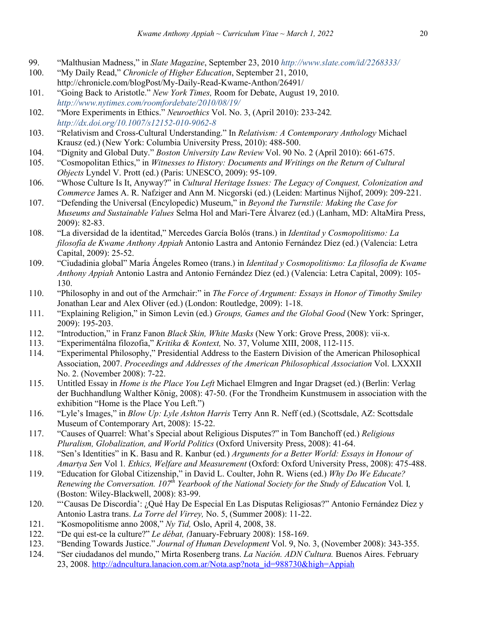- 99. "Malthusian Madness," in *Slate Magazine*, September 23, 2010 *http://www.slate.com/id/2268333/*
- 100. "My Daily Read," *Chronicle of Higher Education*, September 21, 2010, http://chronicle.com/blogPost/My-Daily-Read-Kwame-Anthon/26491/
- 101. "Going Back to Aristotle." *New York Times,* Room for Debate, August 19, 2010. *http://www.nytimes.com/roomfordebate/2010/08/19/*
- 102. "More Experiments in Ethics." *Neuroethics* Vol. No. 3, (April 2010): 233-242*. http://dx.doi.org/10.1007/s12152-010-9062-8*
- 103. "Relativism and Cross-Cultural Understanding." In *Relativism: A Contemporary Anthology* Michael Krausz (ed.) (New York: Columbia University Press, 2010): 488-500.
- 104. "Dignity and Global Duty." *Boston University Law Review* Vol. 90 No. 2 (April 2010): 661-675.
- 105. "Cosmopolitan Ethics," in *Witnesses to History: Documents and Writings on the Return of Cultural Objects* Lyndel V. Prott (ed.) (Paris: UNESCO, 2009): 95-109.
- 106. "Whose Culture Is It, Anyway?" in *Cultural Heritage Issues: The Legacy of Conquest, Colonization and Commerce* James A. R. Nafziger and Ann M. Nicgorski (ed.) (Leiden: Martinus Nijhof, 2009): 209-221.
- 107. "Defending the Universal (Encylopedic) Museum," in *Beyond the Turnstile: Making the Case for Museums and Sustainable Values* Selma Hol and Mari-Tere Álvarez (ed.) (Lanham, MD: AltaMira Press, 2009): 82-83.
- 108. "La diversidad de la identitad," Mercedes García Bolós (trans.) in *Identitad y Cosmopolitismo: La filosofía de Kwame Anthony Appiah* Antonio Lastra and Antonio Fernández Díez (ed.) (Valencia: Letra Capital, 2009): 25-52.
- 109. "Ciudadinia global" María Ángeles Romeo (trans.) in *Identitad y Cosmopolitismo: La filosofía de Kwame Anthony Appiah* Antonio Lastra and Antonio Fernández Díez (ed.) (Valencia: Letra Capital, 2009): 105- 130.
- 110. "Philosophy in and out of the Armchair:" in *The Force of Argument: Essays in Honor of Timothy Smiley* Jonathan Lear and Alex Oliver (ed.) (London: Routledge, 2009): 1-18.
- 111. "Explaining Religion," in Simon Levin (ed.) *Groups, Games and the Global Good* (New York: Springer, 2009): 195-203.
- 112. "Introduction," in Franz Fanon *Black Skin, White Masks* (New York: Grove Press, 2008): vii-x.
- 113. "Experimentálna filozofia," *Kritika & Kontext,* No. 37, Volume XIII, 2008, 112-115.
- 114. "Experimental Philosophy," Presidential Address to the Eastern Division of the American Philosophical Association, 2007. *Proceedings and Addresses of the American Philosophical Association* Vol. LXXXII No. 2. (November 2008): 7-22.
- 115. Untitled Essay in *Home is the Place You Left* Michael Elmgren and Ingar Dragset (ed.) (Berlin: Verlag der Buchhandlung Walther König, 2008): 47-50. (For the Trondheim Kunstmusem in association with the exhibition "Home is the Place You Left.")
- 116. "Lyle's Images," in *Blow Up: Lyle Ashton Harris* Terry Ann R. Neff (ed.) (Scottsdale, AZ: Scottsdale Museum of Contemporary Art, 2008): 15-22.
- 117. "Causes of Quarrel: What's Special about Religious Disputes?" in Tom Banchoff (ed.) *Religious Pluralism, Globalization, and World Politics* (Oxford University Press, 2008): 41-64.
- 118. "Sen's Identities" in K. Basu and R. Kanbur (ed*.*) *Arguments for a Better World: Essays in Honour of Amartya Sen* Vol 1*. Ethics, Welfare and Measurement* (Oxford: Oxford University Press, 2008): 475-488.
- 119. "Education for Global Citizenship," in David L. Coulter, John R. Wiens (ed.) *Why Do We Educate? Renewing the Conversation. 107th Yearbook of the National Society for the Study of Education* Vol*.* I*,*  (Boston: Wiley-Blackwell, 2008): 83-99.
- 120. "'Causas De Discordia': ¿Qué Hay De Especial En Las Disputas Religiosas?" Antonio Fernández Díez y Antonio Lastra trans. *La Torre del Virrey,* No. 5, (Summer 2008): 11-22.
- 121. "Kosmopolitisme anno 2008," *Ny Tid,* Oslo, April 4, 2008, 38.
- 122. "De qui est-ce la culture?" *Le débat, (*January-February 2008): 158-169.
- 123. "Bending Towards Justice." *Journal of Human Development* Vol. 9, No. 3, (November 2008): 343-355.
- 124. "Ser ciudadanos del mundo," Mirta Rosenberg trans. *La Nación. ADN Cultura.* Buenos Aires. February 23, 2008. http://adncultura.lanacion.com.ar/Nota.asp?nota\_id=988730&high=Appiah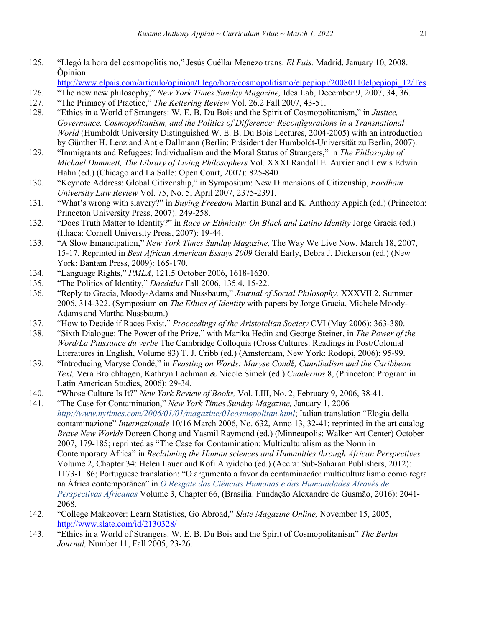125. "Llegó la hora del cosmopolitismo," Jesús Cuéllar Menezo trans. *El Pais.* Madrid. January 10, 2008. Òpinion.

http://www.elpais.com/articulo/opinion/Llego/hora/cosmopolitismo/elpepiopi/20080110elpepiopi\_12/Tes

- 126. "The new new philosophy," *New York Times Sunday Magazine,* Idea Lab, December 9, 2007, 34, 36.
- 127. "The Primacy of Practice," *The Kettering Review* Vol. 26.2 Fall 2007, 43-51.
- 128. "Ethics in a World of Strangers: W. E. B. Du Bois and the Spirit of Cosmopolitanism," in *Justice, Governance, Cosmopolitanism, and the Politics of Difference: Reconfigurations in a Transnational World* (Humboldt University Distinguished W. E. B. Du Bois Lectures, 2004-2005) with an introduction by Günther H. Lenz and Antje Dallmann (Berlin: Präsident der Humboldt-Universität zu Berlin, 2007).
- 129. "Immigrants and Refugees: Individualism and the Moral Status of Strangers," in *The Philosophy of Michael Dummett, The Library of Living Philosophers* Vol. XXXI Randall E. Auxier and Lewis Edwin Hahn (ed.) (Chicago and La Salle: Open Court, 2007): 825-840.
- 130. "Keynote Address: Global Citizenship," in Symposium: New Dimensions of Citizenship, *Fordham University Law Review* Vol. 75, No. 5, April 2007, 2375-2391.
- 131. "What's wrong with slavery?" in *Buying Freedom* Martin Bunzl and K. Anthony Appiah (ed.) (Princeton: Princeton University Press, 2007): 249-258.
- 132. "Does Truth Matter to Identity?" in *Race or Ethnicity: On Black and Latino Identity* Jorge Gracia (ed.) (Ithaca: Cornell University Press, 2007): 19-44.
- 133. "A Slow Emancipation," *New York Times Sunday Magazine,* The Way We Live Now, March 18, 2007, 15-17. Reprinted in *Best African American Essays 2009* Gerald Early, Debra J. Dickerson (ed.) (New York: Bantam Press, 2009): 165-170.
- 134. "Language Rights," *PMLA*, 121.5 October 2006, 1618-1620.
- 135. "The Politics of Identity," *Daedalus* Fall 2006, 135.4, 15-22.
- 136. "Reply to Gracia, Moody-Adams and Nussbaum," *Journal of Social Philosophy,* XXXVII.2, Summer 2006, 314-322. (Symposium on *The Ethics of Identity* with papers by Jorge Gracia, Michele Moody-Adams and Martha Nussbaum.)
- 137. "How to Decide if Races Exist," *Proceedings of the Aristotelian Society* CVI (May 2006): 363-380.
- 138. "Sixth Dialogue: The Power of the Prize," with Marika Hedin and George Steiner, in *The Power of the Word/La Puissance du verbe* The Cambridge Colloquia (Cross Cultures: Readings in Post/Colonial Literatures in English, Volume 83) T. J. Cribb (ed.) (Amsterdam, New York: Rodopi, 2006): 95-99.
- 139. "Introducing Maryse Condé," in *Feasting on Words: Maryse Cond*é*, Cannibalism and the Caribbean Text,* Vera Broichhagen, Kathryn Lachman & Nicole Simek (ed.) *Cuadernos* 8, (Princeton: Program in Latin American Studies, 2006): 29-34.
- 140. "Whose Culture Is It?" *New York Review of Books,* Vol. LIII, No. 2, February 9, 2006, 38-41.
- 141. "The Case for Contamination," *New York Times Sunday Magazine,* January 1, 2006 *http://www.nytimes.com/2006/01/01/magazine/01cosmopolitan.html*; Italian translation "Elogia della contaminazione" *Internazionale* 10/16 March 2006, No. 632, Anno 13, 32-41; reprinted in the art catalog *Brave New Worlds* Doreen Chong and Yasmil Raymond (ed.) (Minneapolis: Walker Art Center) October 2007, 179-185; reprinted as "The Case for Contamination: Multiculturalism as the Norm in Contemporary Africa" in *Reclaiming the Human sciences and Humanities through African Perspectives* Volume 2, Chapter 34: Helen Lauer and Kofi Anyidoho (ed.) (Accra: Sub-Saharan Publishers, 2012): 1173-1186; Portuguese translation: "O argumento a favor da contaminação: multiculturalismo como regra na África contemporânea" in *O Resgate das Ciências Humanas e das Humanidades Através de Perspectivas Africanas* Volume 3, Chapter 66, (Brasilia: Fundação Alexandre de Gusmão, 2016): 2041- 2068.
- 142. "College Makeover: Learn Statistics, Go Abroad," *Slate Magazine Online,* November 15, 2005, http://www.slate.com/id/2130328/
- 143. "Ethics in a World of Strangers: W. E. B. Du Bois and the Spirit of Cosmopolitanism" *The Berlin Journal,* Number 11, Fall 2005, 23-26.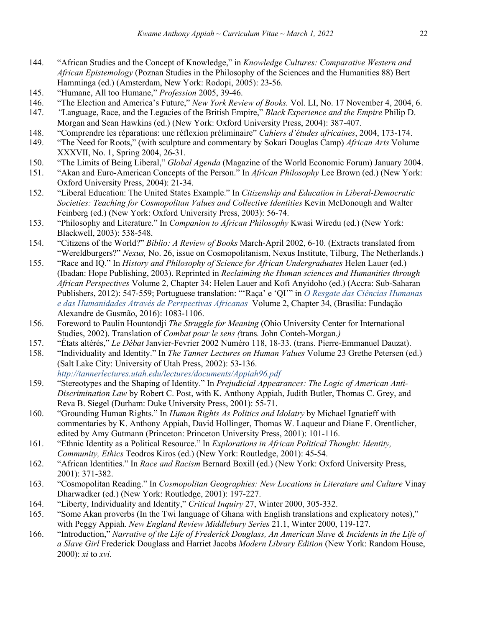- 144. "African Studies and the Concept of Knowledge," in *Knowledge Cultures: Comparative Western and African Epistemology* (Poznan Studies in the Philosophy of the Sciences and the Humanities 88) Bert Hamminga (ed.) (Amsterdam, New York: Rodopi, 2005): 23-56.
- 145. "Humane, All too Humane," *Profession* 2005, 39-46.
- 146. "The Election and America's Future," *New York Review of Books.* Vol. LI, No. 17 November 4, 2004, 6.
- 147. *"*Language, Race, and the Legacies of the British Empire," *Black Experience and the Empire* Philip D. Morgan and Sean Hawkins (ed.) (New York: Oxford University Press, 2004): 387-407.
- 148. "Comprendre les réparations: une réflexion préliminaire" *Cahiers d'études africaines*, 2004, 173-174.
- 149. "The Need for Roots," (with sculpture and commentary by Sokari Douglas Camp) *African Arts* Volume XXXVII, No. 1, Spring 2004, 26-31.
- 150. "The Limits of Being Liberal," *Global Agenda* (Magazine of the World Economic Forum) January 2004.
- 151. "Akan and Euro-American Concepts of the Person." In *African Philosophy* Lee Brown (ed.) (New York: Oxford University Press, 2004): 21-34.
- 152. "Liberal Education: The United States Example." In *Citizenship and Education in Liberal-Democratic Societies: Teaching for Cosmopolitan Values and Collective Identities* Kevin McDonough and Walter Feinberg (ed.) (New York: Oxford University Press, 2003): 56-74.
- 153. "Philosophy and Literature." In *Companion to African Philosophy* Kwasi Wiredu (ed.) (New York: Blackwell, 2003): 538-548.
- 154. "Citizens of the World?" *Biblio: A Review of Books* March-April 2002, 6-10. (Extracts translated from "Wereldburgers?" *Nexus,* No. 26, issue on Cosmopolitanism, Nexus Institute, Tilburg, The Netherlands.)
- 155. "Race and IQ." In *History and Philosophy of Science for African Undergraduates* Helen Lauer (ed.) (Ibadan: Hope Publishing, 2003). Reprinted in *Reclaiming the Human sciences and Humanities through African Perspectives* Volume 2, Chapter 34: Helen Lauer and Kofi Anyidoho (ed.) (Accra: Sub-Saharan Publishers, 2012): 547-559; Portuguese translation: "'Raça' e 'QI'" in *O Resgate das Ciências Humanas e das Humanidades Através de Perspectivas Africanas* Volume 2, Chapter 34, (Brasilia: Fundação Alexandre de Gusmão, 2016): 1083-1106.
- 156. Foreword to Paulin Hountondji *The Struggle for Meaning* (Ohio University Center for International Studies, 2002). Translation of *Combat pour le sens (*trans*.* John Conteh*-*Morgan*.)*
- 157. "États altérés," *Le Débat* Janvier-Fevrier 2002 Numéro 118, 18-33. (trans. Pierre-Emmanuel Dauzat).
- 158. "Individuality and Identity." In *The Tanner Lectures on Human Values* Volume 23 Grethe Petersen (ed.) (Salt Lake City: University of Utah Press, 2002): 53-136. *http://tannerlectures.utah.edu/lectures/documents/Appiah96.pdf*
- 159. "Stereotypes and the Shaping of Identity." In *Prejudicial Appearances: The Logic of American Anti-Discrimination Law* by Robert C. Post, with K. Anthony Appiah, Judith Butler, Thomas C. Grey, and Reva B. Siegel (Durham: Duke University Press, 2001): 55-71.
- 160. "Grounding Human Rights." In *Human Rights As Politics and Idolatry* by Michael Ignatieff with commentaries by K. Anthony Appiah, David Hollinger, Thomas W. Laqueur and Diane F. Orentlicher, edited by Amy Gutmann (Princeton: Princeton University Press, 2001): 101-116.
- 161. "Ethnic Identity as a Political Resource." In *Explorations in African Political Thought: Identity, Community, Ethics* Teodros Kiros (ed.) (New York: Routledge, 2001): 45-54.
- 162. "African Identities." In *Race and Racism* Bernard Boxill (ed.) (New York: Oxford University Press, 2001): 371-382.
- 163. "Cosmopolitan Reading." In *Cosmopolitan Geographies: New Locations in Literature and Culture* Vinay Dharwadker (ed.) (New York: Routledge, 2001): 197-227.
- 164. "Liberty, Individuality and Identity," *Critical Inquiry* 27, Winter 2000, 305-332.
- 165. "Some Akan proverbs (In the Twi language of Ghana with English translations and explicatory notes)," with Peggy Appiah. *New England Review Middlebury Series* 21.1, Winter 2000, 119-127.
- 166. "Introduction," *Narrative of the Life of Frederick Douglass, An American Slave & Incidents in the Life of a Slave Girl* Frederick Douglass and Harriet Jacobs *Modern Library Edition* (New York: Random House, 2000): *xi* to *xvi.*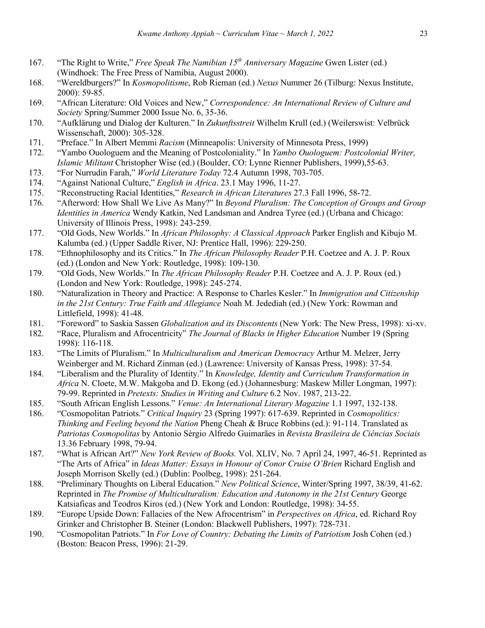- 167. "The Right to Write," *Free Speak The Namibian 15th Anniversary Magazine* Gwen Lister (ed.) (Windhoek: The Free Press of Namibia, August 2000).
- 168. "Wereldburgers?" In *Kosmopolitisme*, Rob Rieman (ed.) *Nexus* Nummer 26 (Tilburg: Nexus Institute, 2000): 59-85.
- 169. "African Literature: Old Voices and New," *Correspondence: An International Review of Culture and Society* Spring/Summer 2000 Issue No. 6, 35-36.
- 170. "Aufklärung und Dialog der Kulturen." In *Zukunftsstreit* Wilhelm Krull (ed.) (Weilerswist: Velbrück Wissenschaft, 2000): 305-328.
- 171. "Preface." In Albert Memmi *Racism* (Minneapolis: University of Minnesota Press, 1999)
- 172. "Yambo Ouologuem and the Meaning of Postcoloniality." In *Yambo Ouologuem: Postcolonial Writer, Islamic Militant* Christopher Wise (ed.) (Boulder, CO: Lynne Rienner Publishers, 1999),55-63.
- 173. "For Nurrudin Farah," *World Literature Today* 72.4 Autumn 1998, 703-705.
- 174. "Against National Culture," *English in Africa*. 23.1 May 1996, 11-27.
- 175. "Reconstructing Racial Identities," *Research in African Literatures* 27.3 Fall 1996, 58-72.
- 176. "Afterword: How Shall We Live As Many?" In *Beyond Pluralism: The Conception of Groups and Group Identities in America* Wendy Katkin, Ned Landsman and Andrea Tyree (ed.) (Urbana and Chicago: University of Illinois Press, 1998): 243-259.
- 177. "Old Gods, New Worlds." In *African Philosophy: A Classical Approach* Parker English and Kibujo M. Kalumba (ed.) (Upper Saddle River, NJ: Prentice Hall, 1996): 229-250.
- 178. "Ethnophilosophy and its Critics." In *The African Philosophy Reader* P.H. Coetzee and A. J. P. Roux (ed.) (London and New York: Routledge, 1998): 109-130.
- 179. "Old Gods, New Worlds." In *The African Philosophy Reader* P.H. Coetzee and A. J. P. Roux (ed.) (London and New York: Routledge, 1998): 245-274.
- 180. "Naturalization in Theory and Practice: A Response to Charles Kesler." In *Immigration and Citizenship in the 21st Century: True Faith and Allegiance* Noah M. Jedediah (ed.) (New York: Rowman and Littlefield, 1998): 41-48.
- 181. "Foreword" to Saskia Sassen *Globalization and its Discontents* (New York: The New Press, 1998): xi-xv.
- 182. "Race, Pluralism and Afrocentricity" *The Journal of Blacks in Higher Education* Number 19 (Spring 1998): 116-118.
- 183. "The Limits of Pluralism." In *Multiculturalism and American Democracy* Arthur M. Melzer, Jerry Weinberger and M. Richard Zinman (ed.) (Lawrence: University of Kansas Press, 1998): 37-54.
- 184. "Liberalism and the Plurality of Identity." In *Knowledge, Identity and Curriculum Transformation in Africa* N. Cloete, M.W. Makgoba and D. Ekong (ed.) (Johannesburg: Maskew Miller Longman, 1997): 79-99. Reprinted in *Pretexts: Studies in Writing and Culture* 6.2 Nov. 1987, 213-22.
- 185. "South African English Lessons." *Venue: An International Literary Magazine* 1.1 1997, 132-138.
- 186. "Cosmopolitan Patriots." *Critical Inquiry* 23 (Spring 1997): 617-639. Reprinted in *Cosmopolitics: Thinking and Feeling beyond the Nation* Pheng Cheah & Bruce Robbins (ed.): 91-114. Translated as *Patriotas Cosmopolitas* by Antonio Sérgio Alfredo Guimarães in *Revista Brasileira de Ciências Sociais* 13.36 February 1998, 79-94.
- 187. "What is African Art?" *New York Review of Books.* Vol. XLIV, No. 7 April 24, 1997, 46-51. Reprinted as "The Arts of Africa" in *Ideas Matter: Essays in Honour of Conor Cruise O'Brien* Richard English and Joseph Morrison Skelly (ed.) (Dublin: Poolbeg, 1998): 251-264.
- 188. "Preliminary Thoughts on Liberal Education." *New Political Science*, Winter/Spring 1997, 38/39, 41-62. Reprinted in *The Promise of Multiculturalism: Education and Autonomy in the 21st Century* George Katsiaficas and Teodros Kiros (ed.) (New York and London: Routledge, 1998): 34-55.
- 189. "Europe Upside Down: Fallacies of the New Afrocentrism" in *Perspectives on Africa*, ed. Richard Roy Grinker and Christopher B. Steiner (London: Blackwell Publishers, 1997): 728-731.
- 190. "Cosmopolitan Patriots." In *For Love of Country: Debating the Limits of Patriotism* Josh Cohen (ed.) (Boston: Beacon Press, 1996): 21-29.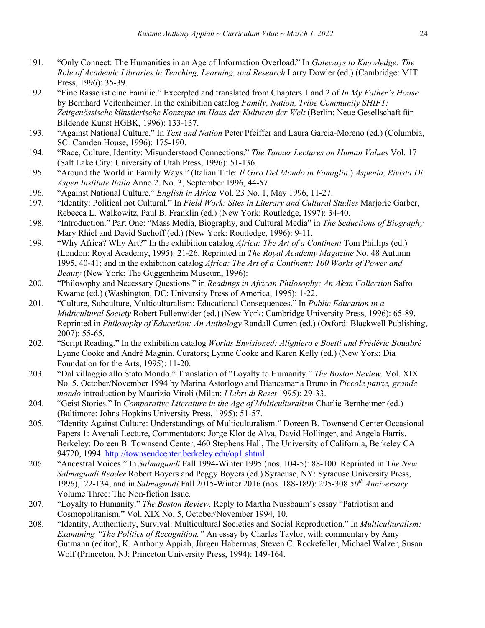- 191. "Only Connect: The Humanities in an Age of Information Overload." In *Gateways to Knowledge: The Role of Academic Libraries in Teaching, Learning, and Research* Larry Dowler (ed.) (Cambridge: MIT Press, 1996): 35-39.
- 192. "Eine Rasse ist eine Familie." Excerpted and translated from Chapters 1 and 2 of *In My Father's House* by Bernhard Veitenheimer. In the exhibition catalog *Family, Nation, Tribe Community SHIFT: Zeitgenössische künstlerische Konzepte im Haus der Kulturen der Welt* (Berlin: Neue Gesellschaft für Bildende Kunst HGBK, 1996): 133-137.
- 193. "Against National Culture." In *Text and Nation* Peter Pfeiffer and Laura Garcia-Moreno (ed.) (Columbia, SC: Camden House, 1996): 175-190.
- 194. "Race, Culture, Identity: Misunderstood Connections." *The Tanner Lectures on Human Values* Vol. 17 (Salt Lake City: University of Utah Press, 1996): 51-136.
- 195. "Around the World in Family Ways." (Italian Title: *Il Giro Del Mondo in Famiglia*.) *Aspenia, Rivista Di Aspen Institute Italia* Anno 2. No. 3, September 1996, 44-57.
- 196. "Against National Culture." *English in Africa* Vol. 23 No. 1, May 1996, 11-27.
- 197. "Identity: Political not Cultural." In *Field Work: Sites in Literary and Cultural Studies* Marjorie Garber, Rebecca L. Walkowitz, Paul B. Franklin (ed.) (New York: Routledge, 1997): 34-40.
- 198. "Introduction." Part One: "Mass Media, Biography, and Cultural Media" in *The Seductions of Biography* Mary Rhiel and David Suchoff (ed.) (New York: Routledge, 1996): 9-11.
- 199. "Why Africa? Why Art?" In the exhibition catalog *Africa: The Art of a Continent* Tom Phillips (ed.) (London: Royal Academy, 1995): 21-26. Reprinted in *The Royal Academy Magazine* No. 48 Autumn 1995, 40-41; and in the exhibition catalog *Africa: The Art of a Continent: 100 Works of Power and Beauty* (New York: The Guggenheim Museum, 1996):
- 200. "Philosophy and Necessary Questions." in *Readings in African Philosophy: An Akan Collection* Safro Kwame (ed.) (Washington, DC: University Press of America, 1995): 1-22.
- 201. "Culture, Subculture, Multiculturalism: Educational Consequences." In *Public Education in a Multicultural Society* Robert Fullenwider (ed.) (New York: Cambridge University Press, 1996): 65-89. Reprinted in *Philosophy of Education: An Anthology* Randall Curren (ed.) (Oxford: Blackwell Publishing, 2007): 55-65.
- 202. "Script Reading." In the exhibition catalog *Worlds Envisioned: Alighiero e Boetti and Frédéric Bouabré* Lynne Cooke and André Magnin, Curators; Lynne Cooke and Karen Kelly (ed.) (New York: Dia Foundation for the Arts, 1995): 11-20.
- 203. "Dal villaggio allo Stato Mondo." Translation of "Loyalty to Humanity." *The Boston Review.* Vol. XIX No. 5, October/November 1994 by Marina Astorlogo and Biancamaria Bruno in *Piccole patrie, grande mondo* introduction by Maurizio Viroli (Milan: *I Libri di Reset* 1995): 29-33.
- 204. "Geist Stories." In *Comparative Literature in the Age of Multiculturalism* Charlie Bernheimer (ed.) (Baltimore: Johns Hopkins University Press, 1995): 51-57.
- 205. "Identity Against Culture: Understandings of Multiculturalism." Doreen B. Townsend Center Occasional Papers 1: Avenali Lecture, Commentators: Jorge Klor de Alva, David Hollinger, and Angela Harris. Berkeley: Doreen B. Townsend Center, 460 Stephens Hall, The University of California, Berkeley CA 94720, 1994. http://townsendcenter.berkeley.edu/op1.shtml
- 206. "Ancestral Voices." In *Salmagundi* Fall 1994-Winter 1995 (nos. 104-5): 88-100. Reprinted in T*he New Salmagundi Reader* Robert Boyers and Peggy Boyers (ed.) Syracuse, NY: Syracuse University Press, 1996),122-134; and in *Salmagundi* Fall 2015-Winter 2016 (nos. 188-189): 295-308 *50th Anniversary*  Volume Three: The Non-fiction Issue.
- 207. "Loyalty to Humanity." *The Boston Review.* Reply to Martha Nussbaum's essay "Patriotism and Cosmopolitanism." Vol. XIX No. 5, October/November 1994, 10.
- 208. "Identity, Authenticity, Survival: Multicultural Societies and Social Reproduction." In *Multiculturalism: Examining "The Politics of Recognition."* An essay by Charles Taylor, with commentary by Amy Gutmann (editor), K. Anthony Appiah, Jürgen Habermas, Steven C. Rockefeller, Michael Walzer, Susan Wolf (Princeton, NJ: Princeton University Press, 1994): 149-164.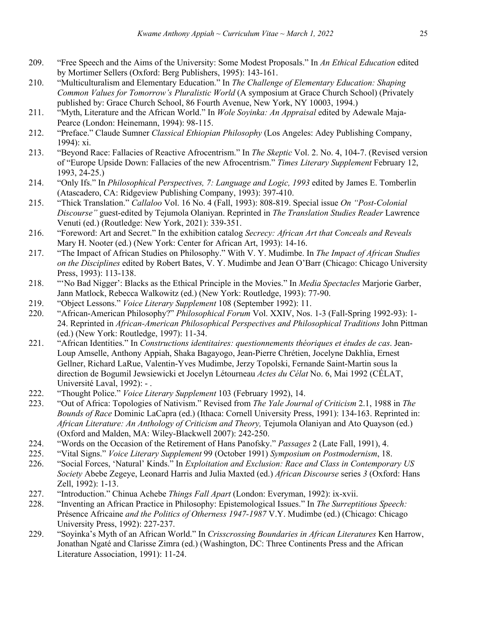- 209. "Free Speech and the Aims of the University: Some Modest Proposals." In *An Ethical Education* edited by Mortimer Sellers (Oxford: Berg Publishers, 1995): 143-161.
- 210. "Multiculturalism and Elementary Education." In *The Challenge of Elementary Education: Shaping Common Values for Tomorrow's Pluralistic World* (A symposium at Grace Church School) (Privately published by: Grace Church School, 86 Fourth Avenue, New York, NY 10003, 1994.)
- 211. "Myth, Literature and the African World." In *Wole Soyinka: An Appraisal* edited by Adewale Maja-Pearce (London: Heinemann, 1994): 98-115.
- 212. "Preface." Claude Sumner *Classical Ethiopian Philosophy* (Los Angeles: Adey Publishing Company, 1994): xi.
- 213. "Beyond Race: Fallacies of Reactive Afrocentrism." In *The Skeptic* Vol. 2. No. 4, 104-7. (Revised version of "Europe Upside Down: Fallacies of the new Afrocentrism." *Times Literary Supplement* February 12, 1993, 24-25.)
- 214. "Only Ifs." In *Philosophical Perspectives, 7: Language and Logic, 1993* edited by James E. Tomberlin (Atascadero, CA: Ridgeview Publishing Company, 1993): 397-410.
- 215. "Thick Translation." *Callaloo* Vol. 16 No. 4 (Fall, 1993): 808-819. Special issue *On "Post-Colonial Discourse"* guest-edited by Tejumola Olaniyan. Reprinted in *The Translation Studies Reader* Lawrence Venuti (ed.) (Routledge: New York, 2021): 339-351.
- 216. "Foreword: Art and Secret." In the exhibition catalog *Secrecy: African Art that Conceals and Reveals* Mary H. Nooter (ed.) (New York: Center for African Art, 1993): 14-16.
- 217. "The Impact of African Studies on Philosophy." With V. Y. Mudimbe. In *The Impact of African Studies on the Disciplines* edited by Robert Bates, V. Y. Mudimbe and Jean O'Barr (Chicago: Chicago University Press, 1993): 113-138.
- 218. "'No Bad Nigger': Blacks as the Ethical Principle in the Movies." In *Media Spectacles* Marjorie Garber, Jann Matlock, Rebecca Walkowitz (ed.) (New York: Routledge, 1993): 77-90.
- 219. "Object Lessons." *Voice Literary Supplement* 108 (September 1992): 11.
- 220. "African-American Philosophy?" *Philosophical Forum* Vol. XXIV, Nos. 1-3 (Fall-Spring 1992-93): 1- 24. Reprinted in *African-American Philosophical Perspectives and Philosophical Traditions* John Pittman (ed.) (New York: Routledge, 1997): 11-34.
- 221. "African Identities." In *Constructions identitaires: questionnements théoriques et études de cas*. Jean-Loup Amselle, Anthony Appiah, Shaka Bagayogo, Jean-Pierre Chrétien, Jocelyne Dakhlia, Ernest Gellner, Richard LaRue, Valentin-Yves Mudimbe, Jerzy Topolski, Fernande Saint-Martin sous la direction de Bogumil Jewsiewicki et Jocelyn Létourneau *Actes du Célat* No. 6, Mai 1992 (CÉLAT, Université Laval, 1992): - .
- 222. "Thought Police." *Voice Literary Supplement* 103 (February 1992), 14.
- 223. "Out of Africa: Topologies of Nativism." Revised from *The Yale Journal of Criticism* 2.1, 1988 in *The Bounds of Race* Dominic LaCapra (ed.) (Ithaca: Cornell University Press, 1991): 134-163. Reprinted in: *African Literature: An Anthology of Criticism and Theory,* Tejumola Olaniyan and Ato Quayson (ed.) (Oxford and Malden, MA: Wiley-Blackwell 2007): 242-250.
- 224. "Words on the Occasion of the Retirement of Hans Panofsky." *Passages* 2 (Late Fall, 1991), 4.
- 225. "Vital Signs." *Voice Literary Supplement* 99 (October 1991) *Symposium on Postmodernism*, 18.
- 226. "Social Forces, 'Natural' Kinds." In *Exploitation and Exclusion: Race and Class in Contemporary US Society* Abebe Zegeye, Leonard Harris and Julia Maxted (ed.) *African Discourse* series *3* (Oxford: Hans Zell, 1992): 1-13.
- 227. "Introduction." Chinua Achebe *Things Fall Apart* (London: Everyman, 1992): ix-xvii.
- 228. "Inventing an African Practice in Philosophy: Epistemological Issues." In *The Surreptitious Speech:*  Présence Africaine *and the Politics of Otherness 1947-1987* V.Y. Mudimbe (ed.) (Chicago: Chicago University Press, 1992): 227-237.
- 229. "Soyinka's Myth of an African World." In *Crisscrossing Boundaries in African Literatures* Ken Harrow, Jonathan Ngaté and Clarisse Zimra (ed.) (Washington, DC: Three Continents Press and the African Literature Association, 1991): 11-24.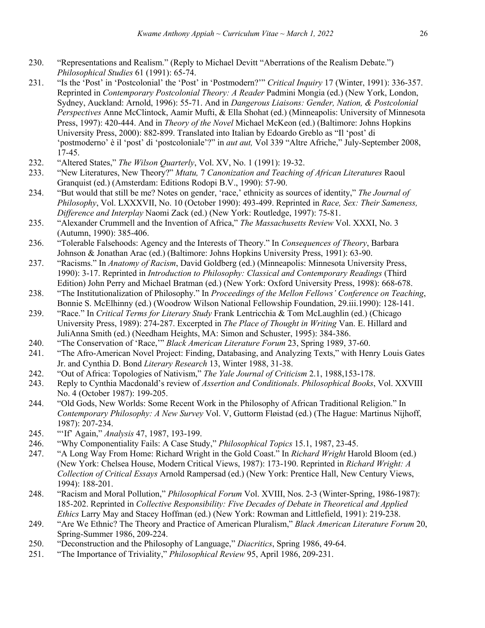- 230. "Representations and Realism." (Reply to Michael Devitt "Aberrations of the Realism Debate.") *Philosophical Studies* 61 (1991): 65-74.
- 231. "Is the 'Post' in 'Postcolonial' the 'Post' in 'Postmodern?'" *Critical Inquiry* 17 (Winter, 1991): 336-357. Reprinted in *Contemporary Postcolonial Theory: A Reader* Padmini Mongia (ed.) (New York, London, Sydney, Auckland: Arnold, 1996): 55-71. And in *Dangerous Liaisons: Gender, Nation, & Postcolonial Perspectives* Anne McClintock, Aamir Mufti, & Ella Shohat (ed.) (Minneapolis: University of Minnesota Press, 1997): 420-444. And in *Theory of the Novel* Michael McKeon (ed.) (Baltimore: Johns Hopkins University Press, 2000): 882-899. Translated into Italian by Edoardo Greblo as "Il 'post' di 'postmoderno' è il 'post' di 'postcoloniale'?" in *aut aut,* Vol 339 "Altre Afriche," July-September 2008, 17-45.
- 232. "Altered States," *The Wilson Quarterly*, Vol. XV, No. 1 (1991): 19-32.
- 233. "New Literatures, New Theory?" *Mtatu,* 7 *Canonization and Teaching of African Literatures* Raoul Granquist (ed.) (Amsterdam: Editions Rodopi B.V., 1990): 57-90.
- 234. "But would that still be me? Notes on gender, 'race,' ethnicity as sources of identity," *The Journal of Philosophy*, Vol. LXXXVII, No. 10 (October 1990): 493-499. Reprinted in *Race, Sex: Their Sameness, Difference and Interplay* Naomi Zack (ed.) (New York: Routledge, 1997): 75-81.
- 235. "Alexander Crummell and the Invention of Africa," *The Massachusetts Review* Vol. XXXI, No. 3 (Autumn, 1990): 385-406.
- 236. "Tolerable Falsehoods: Agency and the Interests of Theory." In *Consequences of Theory*, Barbara Johnson & Jonathan Arac (ed.) (Baltimore: Johns Hopkins University Press, 1991): 63-90.
- 237. "Racisms." In *Anatomy of Racism*, David Goldberg (ed.) (Minneapolis: Minnesota University Press, 1990): 3-17. Reprinted in *Introduction to Philosophy: Classical and Contemporary Readings* (Third Edition) John Perry and Michael Bratman (ed.) (New York: Oxford University Press, 1998): 668-678.
- 238. "The Institutionalization of Philosophy." In *Proceedings of the Mellon Fellows' Conference on Teaching*, Bonnie S. McElhinny (ed.) (Woodrow Wilson National Fellowship Foundation, 29.iii.1990): 128-141.
- 239. "Race." In *Critical Terms for Literary Study* Frank Lentricchia & Tom McLaughlin (ed.) (Chicago University Press, 1989): 274-287. Excerpted in *The Place of Thought in Writing* Van. E. Hillard and JuliAnna Smith (ed.) (Needham Heights, MA: Simon and Schuster, 1995): 384-386.
- 240. "The Conservation of 'Race,'" *Black American Literature Forum* 23, Spring 1989, 37-60.
- 241. "The Afro-American Novel Project: Finding, Databasing, and Analyzing Texts," with Henry Louis Gates Jr. and Cynthia D. Bond *Literary Research* 13, Winter 1988, 31-38.
- 242. "Out of Africa: Topologies of Nativism," *The Yale Journal of Criticism* 2.1, 1988,153-178.
- 243. Reply to Cynthia Macdonald's review of *Assertion and Conditionals*. *Philosophical Books*, Vol. XXVIII No. 4 (October 1987): 199-205.
- 244. "Old Gods, New Worlds: Some Recent Work in the Philosophy of African Traditional Religion." In *Contemporary Philosophy: A New Survey* Vol. V, Guttorm Fløistad (ed.) (The Hague: Martinus Nijhoff, 1987): 207-234.
- 245. "'If' Again," *Analysis* 47, 1987, 193-199.
- 246. "Why Componentiality Fails: A Case Study," *Philosophical Topics* 15.1, 1987, 23-45.
- 247. "A Long Way From Home: Richard Wright in the Gold Coast." In *Richard Wright* Harold Bloom (ed.) (New York: Chelsea House, Modern Critical Views, 1987): 173-190. Reprinted in *Richard Wright: A Collection of Critical Essays* Arnold Rampersad (ed.) (New York: Prentice Hall, New Century Views, 1994): 188-201.
- 248. "Racism and Moral Pollution," *Philosophical Forum* Vol. XVIII, Nos. 2-3 (Winter-Spring, 1986-1987): 185-202. Reprinted in *Collective Responsibility: Five Decades of Debate in Theoretical and Applied Ethics* Larry May and Stacey Hoffman (ed.) (New York: Rowman and Littlefield, 1991): 219-238.
- 249. "Are We Ethnic? The Theory and Practice of American Pluralism," *Black American Literature Forum* 20, Spring-Summer 1986, 209-224.
- 250. "Deconstruction and the Philosophy of Language," *Diacritics*, Spring 1986, 49-64.
- 251. "The Importance of Triviality," *Philosophical Review* 95, April 1986, 209-231.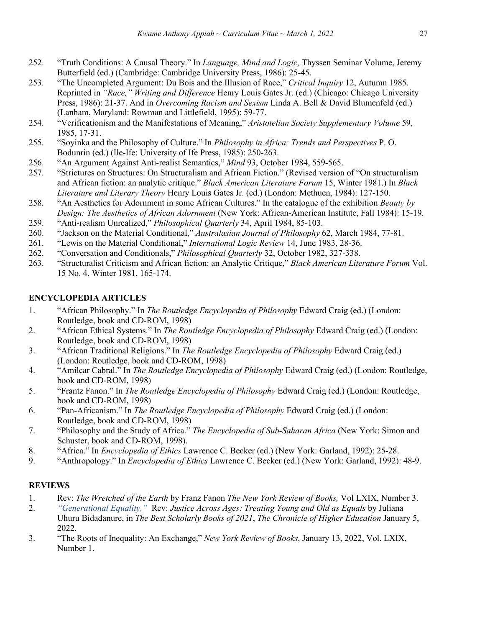- 252. "Truth Conditions: A Causal Theory." In *Language, Mind and Logic,* Thyssen Seminar Volume, Jeremy Butterfield (ed.) (Cambridge: Cambridge University Press, 1986): 25-45.
- 253. "The Uncompleted Argument: Du Bois and the Illusion of Race," *Critical Inquiry* 12, Autumn 1985. Reprinted in *"Race," Writing and Difference* Henry Louis Gates Jr. (ed.) (Chicago: Chicago University Press, 1986): 21-37. And in *Overcoming Racism and Sexism* Linda A. Bell & David Blumenfeld (ed.) (Lanham, Maryland: Rowman and Littlefield, 1995): 59-77.
- 254. "Verificationism and the Manifestations of Meaning," *Aristotelian Society Supplementary Volume* 59, 1985, 17-31.
- 255. "Soyinka and the Philosophy of Culture." In *Philosophy in Africa: Trends and Perspectives* P. O. Bodunrin (ed.) (Ile-Ife: University of Ife Press, 1985): 250-263.
- 256. "An Argument Against Anti-realist Semantics," *Mind* 93, October 1984, 559-565.
- 257. "Strictures on Structures: On Structuralism and African Fiction." (Revised version of "On structuralism and African fiction: an analytic critique." *Black American Literature Forum* 15, Winter 1981.) In *Black Literature and Literary Theory* Henry Louis Gates Jr. (ed.) (London: Methuen, 1984): 127-150.
- 258. "An Aesthetics for Adornment in some African Cultures." In the catalogue of the exhibition *Beauty by Design: The Aesthetics of African Adornment* (New York: African-American Institute, Fall 1984): 15-19.
- 259. "Anti-realism Unrealized," *Philosophical Quarterly* 34, April 1984, 85-103.
- 260. "Jackson on the Material Conditional," *Australasian Journal of Philosophy* 62, March 1984, 77-81.
- 261. "Lewis on the Material Conditional," *International Logic Review* 14, June 1983, 28-36.
- 262. "Conversation and Conditionals," *Philosophical Quarterly* 32, October 1982, 327-338.
- 263. "Structuralist Criticism and African fiction: an Analytic Critique," *Black American Literature Forum* Vol. 15 No. 4, Winter 1981, 165-174.

# **ENCYCLOPEDIA ARTICLES**

- 1. "African Philosophy." In *The Routledge Encyclopedia of Philosophy* Edward Craig (ed.) (London: Routledge, book and CD-ROM, 1998)
- 2. "African Ethical Systems." In *The Routledge Encyclopedia of Philosophy* Edward Craig (ed.) (London: Routledge, book and CD-ROM, 1998)
- 3. "African Traditional Religions." In *The Routledge Encyclopedia of Philosophy* Edward Craig (ed.) (London: Routledge, book and CD-ROM, 1998)
- 4. "Amílcar Cabral." In *The Routledge Encyclopedia of Philosophy* Edward Craig (ed.) (London: Routledge, book and CD-ROM, 1998)
- 5. "Frantz Fanon." In *The Routledge Encyclopedia of Philosophy* Edward Craig (ed.) (London: Routledge, book and CD-ROM, 1998)
- 6. "Pan-Africanism." In *The Routledge Encyclopedia of Philosophy* Edward Craig (ed.) (London: Routledge, book and CD-ROM, 1998)
- 7. "Philosophy and the Study of Africa." *The Encyclopedia of Sub-Saharan Africa* (New York: Simon and Schuster, book and CD-ROM, 1998).
- 8. "Africa." In *Encyclopedia of Ethics* Lawrence C. Becker (ed.) (New York: Garland, 1992): 25-28.
- 9. "Anthropology." In *Encyclopedia of Ethics* Lawrence C. Becker (ed.) (New York: Garland, 1992): 48-9.

#### **REVIEWS**

- 1. Rev: *The Wretched of the Earth* by Franz Fanon *The New York Review of Books,* Vol LXIX, Number 3.
- 2. *"Generational Equality,"* Rev: *Justice Across Ages: Treating Young and Old as Equals* by Juliana
- Uhuru Bidadanure, in *The Best Scholarly Books of 2021*, *The Chronicle of Higher Education* January 5, 2022.
- 3. "The Roots of Inequality: An Exchange," *New York Review of Books*, January 13, 2022, Vol. LXIX, Number 1.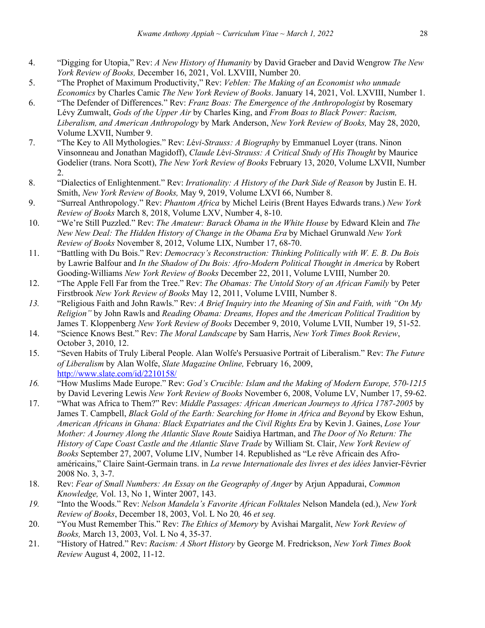- 4. "Digging for Utopia," Rev: *A New History of Humanity* by David Graeber and David Wengrow *The New York Review of Books,* December 16, 2021, Vol. LXVIII, Number 20.
- 5. "The Prophet of Maximum Productivity," Rev: *Veblen: The Making of an Economist who unmade Economics* by Charles Camic *The New York Review of Books*. January 14, 2021, Vol. LXVIII, Number 1.
- 6. "The Defender of Differences." Rev: *Franz Boas: The Emergence of the Anthropologist* by Rosemary Lévy Zumwalt, *Gods of the Upper Air* by Charles King, and *From Boas to Black Power: Racism, Liberalism, and American Anthropology* by Mark Anderson, *New York Review of Books,* May 28, 2020, Volume LXVII, Number 9.
- 7. "The Key to All Mythologies." Rev: *L*é*vi-Strauss: A Biography* by Emmanuel Loyer (trans. Ninon Vinsonneau and Jonathan Magidoff), *Claude L*é*vi-Strauss: A Critical Study of His Thought* by Maurice Godelier (trans. Nora Scott), *The New York Review of Books* February 13, 2020, Volume LXVII, Number 2.
- 8. "Dialectics of Enlightenment." Rev: *Irrationality: A History of the Dark Side of Reason* by Justin E. H. Smith, *New York Review of Books,* May 9, 2019, Volume LXVI 66, Number 8.
- 9. "Surreal Anthropology." Rev: *Phantom Africa* by Michel Leiris (Brent Hayes Edwards trans.) *New York Review of Books* March 8, 2018, Volume LXV, Number 4, 8-10.
- 10. "We're Still Puzzled." Rev: *The Amateur: Barack Obama in the White House* by Edward Klein and *The New New Deal: The Hidden History of Change in the Obama Era* by Michael Grunwald *New York Review of Books* November 8, 2012, Volume LIX, Number 17, 68-70.
- 11. "Battling with Du Bois." Rev: *Democracy's Reconstruction: Thinking Politically with W. E. B. Du Bois* by Lawrie Balfour and *In the Shadow of Du Bois: Afro-Modern Political Thought in America* by Robert Gooding-Williams *New York Review of Books* December 22, 2011, Volume LVIII, Number 20.
- 12. "The Apple Fell Far from the Tree." Rev: *The Obamas: The Untold Story of an African Family* by Peter Firstbrook *New York Review of Books* May 12, 2011, Volume LVIII, Number 8.
- *13.* "Religious Faith and John Rawls." Rev: *A Brief Inquiry into the Meaning of Sin and Faith, with "On My Religion"* by John Rawls and *Reading Obama: Dreams, Hopes and the American Political Tradition* by James T. Kloppenberg *New York Review of Books* December 9, 2010, Volume LVII, Number 19, 51-52.
- 14. "Science Knows Best." Rev: *The Moral Landscape* by Sam Harris, *New York Times Book Review*, October 3, 2010, 12.
- 15. "Seven Habits of Truly Liberal People. Alan Wolfe's Persuasive Portrait of Liberalism." Rev: *The Future of Liberalism* by Alan Wolfe, *Slate Magazine Online,* February 16, 2009, http://www.slate.com/id/2210158/
- *16.* "How Muslims Made Europe." Rev: *God's Crucible: Islam and the Making of Modern Europe, 570-1215*  by David Levering Lewis *New York Review of Books* November 6, 2008, Volume LV, Number 17, 59-62.
- 17. "What was Africa to Them?" Rev: *Middle Passages: African American Journeys to Africa 1787-2005* by James T. Campbell, *Black Gold of the Earth: Searching for Home in Africa and Beyond* by Ekow Eshun, *American Africans in Ghana: Black Expatriates and the Civil Rights Era* by Kevin J. Gaines, *Lose Your Mother: A Journey Along the Atlantic Slave Route* Saidiya Hartman, and *The Door of No Return: The History of Cape Coast Castle and the Atlantic Slave Trade* by William St. Clair, *New York Review of Books* September 27, 2007, Volume LIV, Number 14. Republished as "Le rêve Africain des Afroaméricains," Claire Saint-Germain trans. in *La revue Internationale des livres et des idées* Janvier-Février 2008 No. 3, 3-7.
- 18. Rev: *Fear of Small Numbers: An Essay on the Geography of Anger* by Arjun Appadurai, *Common Knowledge,* Vol. 13, No 1, Winter 2007, 143.
- *19.* "Into the Woods." Rev: *Nelson Mandela's Favorite African Folktales* Nelson Mandela (ed.), *New York Review of Books*, December 18, 2003, Vol. L No 20*,* 46 *et seq.*
- 20. "You Must Remember This." Rev: *The Ethics of Memory* by Avishai Margalit, *New York Review of Books,* March 13, 2003, Vol. L No 4, 35-37.
- 21. "History of Hatred." Rev: *Racism: A Short History* by George M. Fredrickson, *New York Times Book Review* August 4, 2002, 11-12.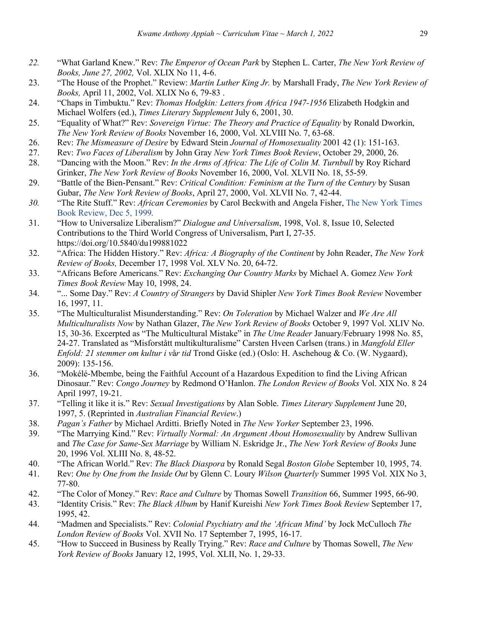- *22.* "What Garland Knew." Rev: *The Emperor of Ocean Park* by Stephen L. Carter, *The New York Review of Books, June 27, 2002,* Vol. XLIX No 11, 4-6.
- 23. "The House of the Prophet." Review: *Martin Luther King Jr.* by Marshall Frady, *The New York Review of Books,* April 11, 2002, Vol. XLIX No 6, 79-83 .
- 24. "Chaps in Timbuktu." Rev: *Thomas Hodgkin: Letters from Africa 1947-1956* Elizabeth Hodgkin and Michael Wolfers (ed.), *Times Literary Supplement* July 6, 2001, 30.
- 25. "Equality of What?" Rev: *Sovereign Virtue: The Theory and Practice of Equality* by Ronald Dworkin, *The New York Review of Books* November 16, 2000, Vol. XLVIII No. 7, 63-68.
- 26. Rev: *The Mismeasure of Desire* by Edward Stein *Journal of Homosexuality* 2001 42 (1): 151-163.
- 27. Rev: *Two Faces of Liberalism* by John Gray *New York Times Book Review*, October 29, 2000, 26.
- 28. "Dancing with the Moon." Rev: *In the Arms of Africa: The Life of Colin M. Turnbull* by Roy Richard Grinker, *The New York Review of Books* November 16, 2000, Vol. XLVII No. 18, 55-59.
- 29. "Battle of the Bien-Pensant." Rev: *Critical Condition: Feminism at the Turn of the Century* by Susan Gubar, *The New York Review of Books*, April 27, 2000, Vol. XLVII No. 7, 42-44.
- *30.* "The Rite Stuff." Rev: *African Ceremonies* by Carol Beckwith and Angela Fisher, The New York Times Book Review, Dec 5, 1999*.*
- 31. "How to Universalize Liberalism?" *Dialogue and Universalism*, 1998, Vol. 8, Issue 10, Selected Contributions to the Third World Congress of Universalism, Part I, 27-35. https://doi.org/10.5840/du199881022
- 32. "Africa: The Hidden History." Rev: *Africa: A Biography of the Continent* by John Reader, *The New York Review of Books,* December 17, 1998 Vol. XLV No. 20, 64-72.
- 33. "Africans Before Americans." Rev: *Exchanging Our Country Marks* by Michael A. Gomez *New York Times Book Review* May 10, 1998, 24.
- 34. "... Some Day." Rev: *A Country of Strangers* by David Shipler *New York Times Book Review* November 16, 1997, 11.
- 35. "The Multiculturalist Misunderstanding." Rev: *On Toleration* by Michael Walzer and *We Are All Multiculturalists Now* by Nathan Glazer, *The New York Review of Books* October 9, 1997 Vol. XLIV No. 15, 30-36. Excerpted as "The Multicultural Mistake" in *The Utne Reader* January/February 1998 No. 85, 24-27. Translated as "Misforstått multikulturalisme" Carsten Hveen Carlsen (trans.) in *Mangfold Eller Enfold: 21 stemmer om kultur i v*å*r tid* Trond Giske (ed.) (Oslo: H. Aschehoug & Co. (W. Nygaard), 2009): 135-156.
- 36. "Mokélé-Mbembe, being the Faithful Account of a Hazardous Expedition to find the Living African Dinosaur." Rev: *Congo Journey* by Redmond O'Hanlon. *The London Review of Books* Vol. XIX No. 8 24 April 1997, 19-21.
- 37. "Telling it like it is." Rev: *Sexual Investigations* by Alan Soble. *Times Literary Supplement* June 20, 1997, 5. (Reprinted in *Australian Financial Review*.)
- 38. *Pagan's Father* by Michael Arditti. Briefly Noted in *The New Yorker* September 23, 1996.
- 39. "The Marrying Kind." Rev: *Virtually Normal: An Argument About Homosexuality* by Andrew Sullivan and *The Case for Same-Sex Marriage* by William N. Eskridge Jr., *The New York Review of Books* June 20, 1996 Vol. XLIII No. 8, 48-52.
- 40. "The African World." Rev: *The Black Diaspora* by Ronald Segal *Boston Globe* September 10, 1995, 74.
- 41. Rev: *One by One from the Inside Out* by Glenn C. Loury *Wilson Quarterly* Summer 1995 Vol. XIX No 3, 77-80.
- 42. "The Color of Money." Rev: *Race and Culture* by Thomas Sowell *Transition* 66, Summer 1995, 66-90.
- 43. "Identity Crisis." Rev: *The Black Album* by Hanif Kureishi *New York Times Book Review* September 17, 1995, 42.
- 44. "Madmen and Specialists." Rev: *Colonial Psychiatry and the 'African Mind'* by Jock McCulloch *The London Review of Books* Vol. XVII No. 17 September 7, 1995, 16-17.
- 45. "How to Succeed in Business by Really Trying." Rev: *Race and Culture* by Thomas Sowell, *The New York Review of Books* January 12, 1995, Vol. XLII, No. 1, 29-33.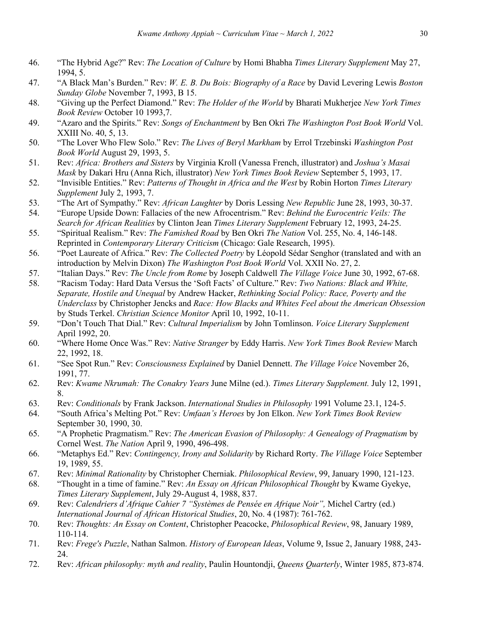- 46. "The Hybrid Age?" Rev: *The Location of Culture* by Homi Bhabha *Times Literary Supplement* May 27, 1994, 5.
- 47. "A Black Man's Burden." Rev: *W. E. B. Du Bois: Biography of a Race* by David Levering Lewis *Boston Sunday Globe* November 7, 1993, B 15.
- 48. "Giving up the Perfect Diamond." Rev: *The Holder of the World* by Bharati Mukherjee *New York Times Book Review* October 10 1993,7.
- 49. "Azaro and the Spirits." Rev: *Songs of Enchantment* by Ben Okri *The Washington Post Book World* Vol. XXIII No. 40, 5, 13.
- 50. "The Lover Who Flew Solo." Rev: *The Lives of Beryl Markham* by Errol Trzebinski *Washington Post Book World* August 29, 1993, 5.
- 51. Rev: *Africa: Brothers and Sisters* by Virginia Kroll (Vanessa French, illustrator) and *Joshua's Masai Mask* by Dakari Hru (Anna Rich, illustrator) *New York Times Book Review* September 5, 1993, 17.
- 52. "Invisible Entities." Rev: *Patterns of Thought in Africa and the West* by Robin Horton *Times Literary Supplement* July 2, 1993, 7.
- 53. "The Art of Sympathy." Rev: *African Laughter* by Doris Lessing *New Republic* June 28, 1993, 30-37.
- 54. "Europe Upside Down: Fallacies of the new Afrocentrism." Rev: *Behind the Eurocentric Veils: The Search for African Realities* by Clinton Jean *Times Literary Supplement* February 12, 1993, 24-25.
- 55. "Spiritual Realism." Rev: *The Famished Road* by Ben Okri *The Nation* Vol. 255, No. 4, 146-148. Reprinted in *Contemporary Literary Criticism* (Chicago: Gale Research, 1995).
- 56. "Poet Laureate of Africa." Rev: *The Collected Poetry* by Léopold Sédar Senghor (translated and with an introduction by Melvin Dixon) *The Washington Post Book World* Vol. XXII No. 27, 2.
- 57. "Italian Days." Rev: *The Uncle from Rome* by Joseph Caldwell *The Village Voice* June 30, 1992, 67-68.
- 58. "Racism Today: Hard Data Versus the 'Soft Facts' of Culture." Rev: *Two Nations: Black and White, Separate, Hostile and Unequal* by Andrew Hacker, *Rethinking Social Policy: Race, Poverty and the Underclass* by Christopher Jencks and *Race: How Blacks and Whites Feel about the American Obsession* by Studs Terkel. *Christian Science Monitor* April 10, 1992, 10-11.
- 59. "Don't Touch That Dial." Rev: *Cultural Imperialism* by John Tomlinson. *Voice Literary Supplement* April 1992, 20.
- 60. "Where Home Once Was." Rev: *Native Stranger* by Eddy Harris. *New York Times Book Review* March 22, 1992, 18.
- 61. "See Spot Run." Rev: *Consciousness Explained* by Daniel Dennett. *The Village Voice* November 26, 1991, 77.
- 62. Rev: *Kwame Nkrumah: The Conakry Years* June Milne (ed.). *Times Literary Supplement.* July 12, 1991, 8.
- 63. Rev: *Conditionals* by Frank Jackson. *International Studies in Philosophy* 1991 Volume 23.1, 124-5.
- 64. "South Africa's Melting Pot." Rev: *Umfaan's Heroes* by Jon Elkon. *New York Times Book Review* September 30, 1990, 30.
- 65. "A Prophetic Pragmatism." Rev: *The American Evasion of Philosophy: A Genealogy of Pragmatism* by Cornel West. *The Nation* April 9, 1990, 496-498.
- 66. "Metaphys Ed." Rev: *Contingency, Irony and Solidarity* by Richard Rorty. *The Village Voice* September 19, 1989, 55.
- 67. Rev: *Minimal Rationality* by Christopher Cherniak. *Philosophical Review*, 99, January 1990, 121-123.
- 68. "Thought in a time of famine." Rev: *An Essay on African Philosophical Thought* by Kwame Gyekye, *Times Literary Supplement*, July 29-August 4, 1988, 837.
- 69. Rev: *Calendriers d'Afrique Cahier 7 "Systèmes de Pensée en Afrique Noir",* Michel Cartry (ed.) *International Journal of African Historical Studies*, 20, No. 4 (1987): 761-762.
- 70. Rev: *Thoughts: An Essay on Content*, Christopher Peacocke, *Philosophical Review*, 98, January 1989, 110-114.
- 71. Rev: *Frege's Puzzle*, Nathan Salmon. *History of European Ideas*, Volume 9, Issue 2, January 1988, 243- 24.
- 72. Rev: *African philosophy: myth and reality*, Paulin Hountondji, *Queens Quarterly*, Winter 1985, 873-874.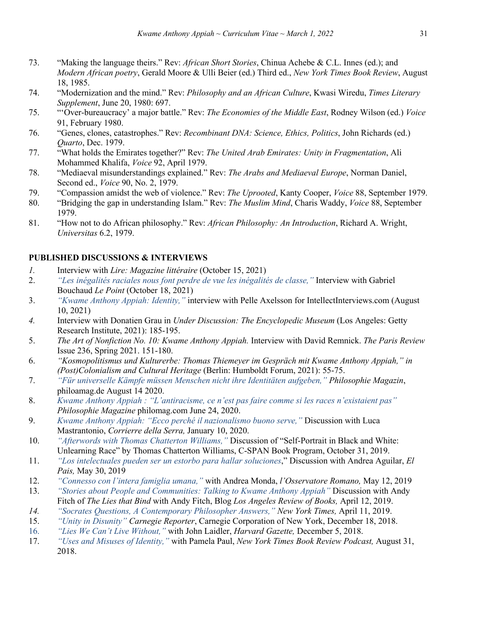- 73. "Making the language theirs." Rev: *African Short Stories*, Chinua Achebe & C.L. Innes (ed.); and *Modern African poetry*, Gerald Moore & Ulli Beier (ed.) Third ed., *New York Times Book Review*, August 18, 1985.
- 74. "Modernization and the mind." Rev: *Philosophy and an African Culture*, Kwasi Wiredu, *Times Literary Supplement*, June 20, 1980: 697.
- 75. "'Over-bureaucracy' a major battle." Rev: *The Economies of the Middle East*, Rodney Wilson (ed.) *Voice* 91, February 1980.
- 76. "Genes, clones, catastrophes." Rev: *Recombinant DNA: Science, Ethics, Politics*, John Richards (ed.) *Quarto*, Dec. 1979.
- 77. "What holds the Emirates together?" Rev: *The United Arab Emirates: Unity in Fragmentation*, Ali Mohammed Khalifa, *Voice* 92, April 1979.
- 78. "Mediaeval misunderstandings explained." Rev: *The Arabs and Mediaeval Europe*, Norman Daniel, Second ed., *Voice* 90, No. 2, 1979.
- 79. "Compassion amidst the web of violence." Rev: *The Uprooted*, Kanty Cooper, *Voice* 88, September 1979.
- 80. "Bridging the gap in understanding Islam." Rev: *The Muslim Mind*, Charis Waddy, *Voice* 88, September 1979.
- 81. "How not to do African philosophy." Rev: *African Philosophy: An Introduction*, Richard A. Wright, *Universitas* 6.2, 1979.

# **PUBLISHED DISCUSSIONS & INTERVIEWS**

- *1.* Interview with *Lire: Magazine littéraire* (October 15, 2021)
- 2. *"Les inégalités raciales nous font perdre de vue les inégalités de classe,"* Interview with Gabriel Bouchaud *Le Point* (October 18, 2021)
- 3. *"Kwame Anthony Appiah: Identity,"* interview with Pelle Axelsson for IntellectInterviews.com (August 10, 2021)
- *4.* Interview with Donatien Grau in *Under Discussion: The Encyclopedic Museum* (Los Angeles: Getty Research Institute, 2021): 185-195.
- 5. *The Art of Nonfiction No. 10: Kwame Anthony Appiah.* Interview with David Remnick. *The Paris Review* Issue 236, Spring 2021. 151-180.
- 6. *"Kosmopolitismus und Kulturerbe: Thomas Thiemeyer im Gespräch mit Kwame Anthony Appiah," in (Post)Colonialism and Cultural Heritage* (Berlin: Humboldt Forum, 2021): 55-75.
- 7. *"Für universelle Kämpfe müssen Menschen nicht ihre Identitäten aufgeben," Philosophie Magazin*, philoamag.de August 14 2020.
- 8. *Kwame Anthony Appiah : "L'antiracisme, ce n'est pas faire comme si les races n'existaient pas" Philosophie Magazine* philomag.com June 24, 2020.
- 9. *Kwame Anthony Appiah: "Ecco perché il nazionalismo buono serve,"* Discussion with Luca Mastrantonio, *Corrierre della Serra,* January 10, 2020.
- 10. *"Afterwords with Thomas Chatterton Williams,"* Discussion of "Self-Portrait in Black and White: Unlearning Race" by Thomas Chatterton Williams, C-SPAN Book Program, October 31, 2019.
- 11. *"Los intelectuales pueden ser un estorbo para hallar soluciones*," Discussion with Andrea Aguilar, *El Pais,* May 30, 2019
- 12. *"Connesso con l'intera famiglia umana,"* with Andrea Monda, *l'Osservatore Romano,* May 12, 2019
- 13. *"Stories about People and Communities: Talking to Kwame Anthony Appiah"* Discussion with Andy Fitch of *The Lies that Bind* with Andy Fitch, Blog *Los Angeles Review of Books,* April 12, 2019.
- *14. "Socrates Questions, A Contemporary Philosopher Answers," New York Times,* April 11, 2019.
- 15. *"Unity in Disunity" Carnegie Reporter*, Carnegie Corporation of New York, December 18, 2018.
- 16. *"Lies We Can't Live Without,"* with John Laidler, *Harvard Gazette,* December 5, 2018.
- 17. *"Uses and Misuses of Identity,"* with Pamela Paul, *New York Times Book Review Podcast,* August 31, 2018.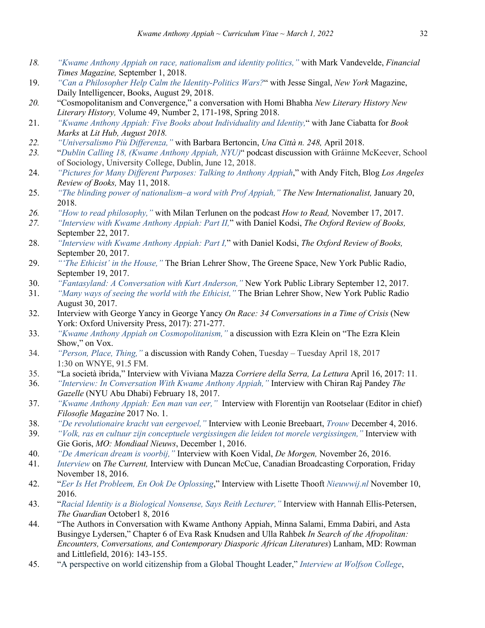- *18. "Kwame Anthony Appiah on race, nationalism and identity politics,"* with Mark Vandevelde, *Financial Times Magazine,* September 1, 2018.
- 19. *"Can a Philosopher Help Calm the Identity-Politics Wars?*" with Jesse Singal, *New York* Magazine, Daily Intelligencer, Books, August 29, 2018.
- *20.* "Cosmopolitanism and Convergence," a conversation with Homi Bhabha *New Literary History New Literary History,* Volume 49, Number 2, 171-198, Spring 2018.
- 21. *"Kwame Anthony Appiah: Five Books about Individuality and Identity,*" with Jane Ciabatta for *Book Marks* at *Lit Hub, August 2018.*
- *22. "Universalismo Più Differenza,"* with Barbara Bertoncin, *Una Città n. 248,* April 2018.
- *23.* "*Dublin Calling 18, (Kwame Anthony Appiah, NYU)*" podcast discussion with Gráinne McKeever, School of Sociology, University College, Dublin, June 12, 2018.
- 24. *"Pictures for Many Different Purposes: Talking to Anthony Appiah*," with Andy Fitch, Blog *Los Angeles Review of Books,* May 11, 2018.
- 25. *"The blinding power of nationalism–a word with Prof Appiah," The New Internationalist,* January 20, 2018.
- *26. "How to read philosophy,"* with Milan Terlunen on the podcast *How to Read,* November 17, 2017.
- *27. "Interview with Kwame Anthony Appiah: Part II,*" with Daniel Kodsi, *The Oxford Review of Books,*  September 22, 2017.
- 28. *"Interview with Kwame Anthony Appiah: Part I,*" with Daniel Kodsi, *The Oxford Review of Books,*  September 20, 2017.
- 29. *"'The Ethicist' in the House,"* The Brian Lehrer Show, The Greene Space, New York Public Radio, September 19, 2017.
- 30. *"Fantasyland: A Conversation with Kurt Anderson,"* New York Public Library September 12, 2017.
- 31. *"Many ways of seeing the world with the Ethicist,"* The Brian Lehrer Show, New York Public Radio August 30, 2017.
- 32. Interview with George Yancy in George Yancy *On Race: 34 Conversations in a Time of Crisis* (New York: Oxford University Press, 2017): 271-277.
- 33. *"Kwame Anthony Appiah on Cosmopolitanism,"* a discussion with Ezra Klein on "The Ezra Klein Show," on Vox.
- 34. *"Person, Place, Thing,"* a discussion with Randy Cohen, Tuesday Tuesday April 18, 2017 1:30 on WNYE, 91.5 FM.
- 35. "La società ibrida," Interview with Viviana Mazza *Corriere della Serra, La Lettura* April 16, 2017: 11.
- 36. *"Interview: In Conversation With Kwame Anthony Appiah,"* Interview with Chiran Raj Pandey *The Gazelle* (NYU Abu Dhabi) February 18, 2017.
- 37. *"Kwame Anthony Appiah: Een man van eer,"* Interview with Florentijn van Rootselaar (Editor in chief) *Filosofie Magazine* 2017 No. 1.
- 38. *"De revolutionaire kracht van eergevoel,"* Interview with Leonie Breebaart, *Trouw* December 4, 2016.
- 39. *"Volk, ras en cultuur zijn conceptuele vergissingen die leiden tot morele vergissingen,"* Interview with Gie Goris, *MO: Mondiaal Nieuws*, December 1, 2016.
- 40. *"De American dream is voorbij,"* Interview with Koen Vidal, *De Morgen,* November 26, 2016.
- 41. *Interview* on *The Current,* Interview with Duncan McCue, Canadian Broadcasting Corporation, Friday November 18, 2016.
- 42. "*Eer Is Het Probleem, En Ook De Oplossing*," Interview with Lisette Thooft *Nieuwwij.nl* November 10, 2016.
- 43. "*Racial Identity is a Biological Nonsense, Says Reith Lecturer,"* Interview with Hannah Ellis-Petersen, *The Guardian* October1 8, 2016
- 44. "The Authors in Conversation with Kwame Anthony Appiah, Minna Salami, Emma Dabiri, and Asta Busingye Lydersen," Chapter 6 of Eva Rask Knudsen and Ulla Rahbek *In Search of the Afropolitan: Encounters, Conversations, and Contemporary Diasporic African Literatures*) Lanham, MD: Rowman and Littlefield, 2016): 143-155.
- 45. "A perspective on world citizenship from a Global Thought Leader," *Interview at Wolfson College*,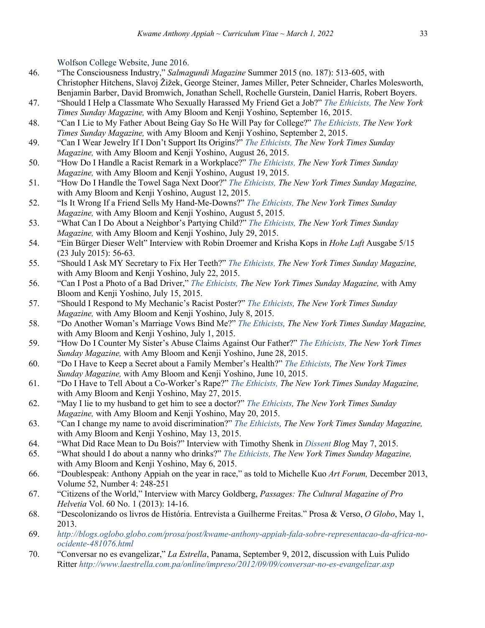Wolfson College Website, June 2016.

- 46. "The Consciousness Industry," *Salmagundi Magazine* Summer 2015 (no. 187): 513-605, with Christopher Hitchens, Slavoj Žižek, George Steiner, James Miller, Peter Schneider, Charles Molesworth, Benjamin Barber, David Bromwich, Jonathan Schell, Rochelle Gurstein, Daniel Harris, Robert Boyers.
- 47. "Should I Help a Classmate Who Sexually Harassed My Friend Get a Job?" *The Ethicists, The New York Times Sunday Magazine,* with Amy Bloom and Kenji Yoshino, September 16, 2015.
- 48. "Can I Lie to My Father About Being Gay So He Will Pay for College?" *The Ethicists, The New York Times Sunday Magazine,* with Amy Bloom and Kenji Yoshino, September 2, 2015.
- 49. "Can I Wear Jewelry If I Don't Support Its Origins?" *The Ethicists, The New York Times Sunday Magazine,* with Amy Bloom and Kenji Yoshino, August 26, 2015.
- 50. "How Do I Handle a Racist Remark in a Workplace?" *The Ethicists, The New York Times Sunday Magazine,* with Amy Bloom and Kenji Yoshino, August 19, 2015.
- 51. "How Do I Handle the Towel Saga Next Door?" *The Ethicists, The New York Times Sunday Magazine,*  with Amy Bloom and Kenji Yoshino, August 12, 2015.
- 52. "Is It Wrong If a Friend Sells My Hand-Me-Downs?" *The Ethicists, The New York Times Sunday Magazine,* with Amy Bloom and Kenji Yoshino, August 5, 2015.
- 53. "What Can I Do About a Neighbor's Partying Child?" *The Ethicists, The New York Times Sunday Magazine,* with Amy Bloom and Kenji Yoshino, July 29, 2015.
- 54. "Ein Bürger Dieser Welt" Interview with Robin Droemer and Krisha Kops in *Hohe Luft* Ausgabe 5/15 (23 July 2015): 56-63.
- 55. "Should I Ask MY Secretary to Fix Her Teeth?" *The Ethicists, The New York Times Sunday Magazine,*  with Amy Bloom and Kenji Yoshino, July 22, 2015.
- 56. "Can I Post a Photo of a Bad Driver," *The Ethicists, The New York Times Sunday Magazine,* with Amy Bloom and Kenji Yoshino, July 15, 2015.
- 57. "Should I Respond to My Mechanic's Racist Poster?" *The Ethicists, The New York Times Sunday Magazine,* with Amy Bloom and Kenji Yoshino, July 8, 2015.
- 58. "Do Another Woman's Marriage Vows Bind Me?" *The Ethicists, The New York Times Sunday Magazine,*  with Amy Bloom and Kenji Yoshino, July 1, 2015.
- 59. "How Do I Counter My Sister's Abuse Claims Against Our Father?" *The Ethicists, The New York Times Sunday Magazine,* with Amy Bloom and Kenji Yoshino, June 28, 2015.
- 60. "Do I Have to Keep a Secret about a Family Member's Health?" *The Ethicists, The New York Times Sunday Magazine,* with Amy Bloom and Kenji Yoshino, June 10, 2015.
- 61. "Do I Have to Tell About a Co-Worker's Rape?" *The Ethicists, The New York Times Sunday Magazine,*  with Amy Bloom and Kenji Yoshino, May 27, 2015.
- 62. "May I lie to my husband to get him to see a doctor?" *The Ethicists, The New York Times Sunday Magazine,* with Amy Bloom and Kenji Yoshino, May 20, 2015.
- 63. "Can I change my name to avoid discrimination?" *The Ethicists, The New York Times Sunday Magazine,*  with Amy Bloom and Kenji Yoshino, May 13, 2015.
- 64. "What Did Race Mean to Du Bois?" Interview with Timothy Shenk in *Dissent Blog* May 7, 2015.
- 65. "What should I do about a nanny who drinks?" *The Ethicists, The New York Times Sunday Magazine,*  with Amy Bloom and Kenji Yoshino, May 6, 2015.
- 66. "Doublespeak: Anthony Appiah on the year in race," as told to Michelle Kuo *Art Forum,* December 2013, Volume 52, Number 4: 248-251
- 67. "Citizens of the World," Interview with Marcy Goldberg, *Passages: The Cultural Magazine of Pro Helvetia* Vol. 60 No. 1 (2013): 14-16.
- 68. "Descolonizando os livros de História. Entrevista a Guilherme Freitas." Prosa & Verso, *O Globo*, May 1, 2013.
- 69. *http://blogs.oglobo.globo.com/prosa/post/kwame-anthony-appiah-fala-sobre-representacao-da-africa-noocidente-481076.html*
- 70. "Conversar no es evangelizar," *La Estrella*, Panama, September 9, 2012, discussion with Luis Pulido Ritter *http://www.laestrella.com.pa/online/impreso/2012/09/09/conversar-no-es-evangelizar.asp*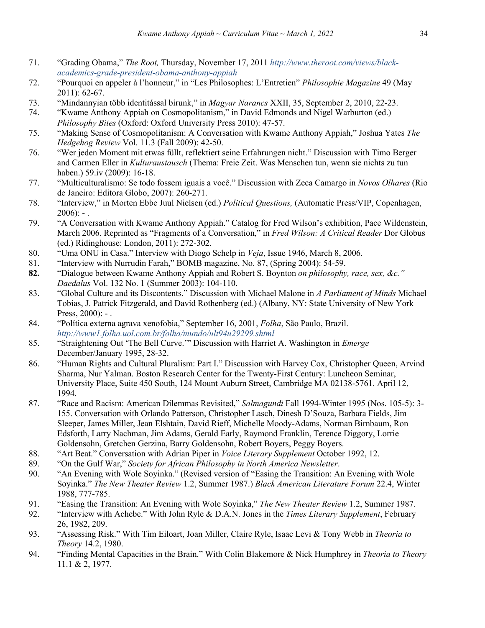- 71. "Grading Obama," *The Root,* Thursday, November 17, 2011 *http://www.theroot.com/views/blackacademics-grade-president-obama-anthony-appiah*
- 72. "Pourquoi en appeler à l'honneur," in "Les Philosophes: L'Entretien" *Philosophie Magazine* 49 (May 2011): 62-67.
- 73. "Mindannyian több identitással bírunk," in *Magyar Narancs* XXII, 35, September 2, 2010, 22-23.
- 74. "Kwame Anthony Appiah on Cosmopolitanism," in David Edmonds and Nigel Warburton (ed.) *Philosophy Bites* (Oxford: Oxford University Press 2010): 47-57.
- 75. "Making Sense of Cosmopolitanism: A Conversation with Kwame Anthony Appiah," Joshua Yates *The Hedgehog Review* Vol. 11.3 (Fall 2009): 42-50.
- 76. "Wer jeden Moment mit etwas füllt, reflektiert seine Erfahrungen nicht." Discussion with Timo Berger and Carmen Eller in *Kulturaustausch* (Thema: Freie Zeit. Was Menschen tun, wenn sie nichts zu tun haben.) 59.iv (2009): 16-18.
- 77. "Multiculturalismo: Se todo fossem iguais a você." Discussion with Zeca Camargo in *Novos Olhares* (Rio de Janeiro: Editora Globo, 2007): 260-271.
- 78. "Interview," in Morten Ebbe Juul Nielsen (ed.) *Political Questions,* (Automatic Press/VIP, Copenhagen,  $2006$ : -.
- 79. "A Conversation with Kwame Anthony Appiah." Catalog for Fred Wilson's exhibition, Pace Wildenstein, March 2006. Reprinted as "Fragments of a Conversation," in *Fred Wilson: A Critical Reader* Dor Globus (ed.) Ridinghouse: London, 2011): 272-302.
- 80. "Uma ONU in Casa." Interview with Diogo Schelp in *Veja*, Issue 1946, March 8, 2006.
- 81. "Interview with Nurrudin Farah," BOMB magazine, No. 87, (Spring 2004): 54-59.
- **82.** "Dialogue between Kwame Anthony Appiah and Robert S. Boynton *on philosophy, race, sex, &c." Daedalus* Vol. 132 No. 1 (Summer 2003): 104-110.
- 83. "Global Culture and its Discontents." Discussion with Michael Malone in *A Parliament of Minds* Michael Tobias, J. Patrick Fitzgerald, and David Rothenberg (ed.) (Albany, NY: State University of New York Press,  $2000$ : -.
- 84. "Política externa agrava xenofobia," September 16, 2001, *Folha*, São Paulo, Brazil. *http://www1.folha.uol.com.br/folha/mundo/ult94u29299.shtml*
- 85. "Straightening Out 'The Bell Curve.'" Discussion with Harriet A. Washington in *Emerge* December/January 1995, 28-32.
- 86. "Human Rights and Cultural Pluralism: Part I." Discussion with Harvey Cox, Christopher Queen, Arvind Sharma, Nur Yalman. Boston Research Center for the Twenty-First Century: Luncheon Seminar, University Place, Suite 450 South, 124 Mount Auburn Street, Cambridge MA 02138-5761. April 12, 1994.
- 87. "Race and Racism: American Dilemmas Revisited," *Salmagundi* Fall 1994-Winter 1995 (Nos. 105-5): 3- 155. Conversation with Orlando Patterson, Christopher Lasch, Dinesh D'Souza, Barbara Fields, Jim Sleeper, James Miller, Jean Elshtain, David Rieff, Michelle Moody-Adams, Norman Birnbaum, Ron Edsforth, Larry Nachman, Jim Adams, Gerald Early, Raymond Franklin, Terence Diggory, Lorrie Goldensohn, Gretchen Gerzina, Barry Goldensohn, Robert Boyers, Peggy Boyers.
- 88. "Art Beat." Conversation with Adrian Piper in *Voice Literary Supplement* October 1992, 12.
- 89. "On the Gulf War," *Society for African Philosophy in North America Newsletter*.
- 90. "An Evening with Wole Soyinka." (Revised version of "Easing the Transition: An Evening with Wole Soyinka." *The New Theater Review* 1.2, Summer 1987.) *Black American Literature Forum* 22.4, Winter 1988, 777-785.
- 91. "Easing the Transition: An Evening with Wole Soyinka," *The New Theater Review* 1.2, Summer 1987.
- 92. "Interview with Achebe." With John Ryle & D.A.N. Jones in the *Times Literary Supplement*, February 26, 1982, 209.
- 93. "Assessing Risk." With Tim Eiloart, Joan Miller, Claire Ryle, Isaac Levi & Tony Webb in *Theoria to Theory* 14.2, 1980.
- 94. "Finding Mental Capacities in the Brain." With Colin Blakemore & Nick Humphrey in *Theoria to Theory* 11.1 & 2, 1977.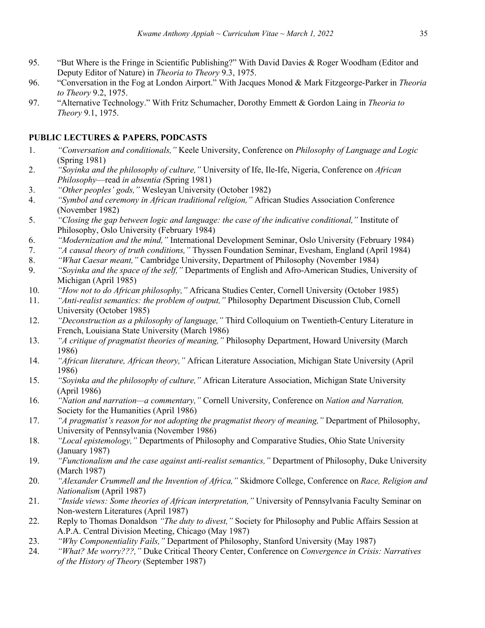- 95. "But Where is the Fringe in Scientific Publishing?" With David Davies & Roger Woodham (Editor and Deputy Editor of Nature) in *Theoria to Theory* 9.3, 1975.
- 96. "Conversation in the Fog at London Airport." With Jacques Monod & Mark Fitzgeorge-Parker in *Theoria to Theory* 9.2, 1975.
- 97. "Alternative Technology." With Fritz Schumacher, Dorothy Emmett & Gordon Laing in *Theoria to Theory* 9.1, 1975.

# **PUBLIC LECTURES & PAPERS, PODCASTS**

- 1. *"Conversation and conditionals,"* Keele University, Conference on *Philosophy of Language and Logic*  (Spring 1981)
- 2. *"Soyinka and the philosophy of culture,"* University of Ife, Ile-Ife, Nigeria, Conference on *African Philosophy*—read *in absentia (*Spring 1981)
- 3. *"Other peoples' gods,"* Wesleyan University (October 1982)
- 4. *"Symbol and ceremony in African traditional religion,"* African Studies Association Conference (November 1982)
- 5. *"Closing the gap between logic and language: the case of the indicative conditional,"* Institute of Philosophy, Oslo University (February 1984)
- 6. *"Modernization and the mind,"* International Development Seminar, Oslo University (February 1984)
- 7. *"A causal theory of truth conditions,"* Thyssen Foundation Seminar, Evesham, England (April 1984)
- 8. *"What Caesar meant,"* Cambridge University, Department of Philosophy (November 1984)
- 9. *"Soyinka and the space of the self,"* Departments of English and Afro-American Studies, University of Michigan (April 1985)
- 10. *"How not to do African philosophy,"* Africana Studies Center, Cornell University (October 1985)
- 11. *"Anti-realist semantics: the problem of output,"* Philosophy Department Discussion Club, Cornell University (October 1985)
- 12. *"Deconstruction as a philosophy of language,"* Third Colloquium on Twentieth-Century Literature in French, Louisiana State University (March 1986)
- 13. *"A critique of pragmatist theories of meaning,"* Philosophy Department, Howard University (March 1986)
- 14. *"African literature, African theory,"* African Literature Association, Michigan State University (April 1986)
- 15. *"Soyinka and the philosophy of culture,"* African Literature Association, Michigan State University (April 1986)
- 16. *"Nation and narration—a commentary,"* Cornell University, Conference on *Nation and Narration,* Society for the Humanities (April 1986)
- 17. *"A pragmatist's reason for not adopting the pragmatist theory of meaning,"* Department of Philosophy, University of Pennsylvania (November 1986)
- 18. *"Local epistemology,"* Departments of Philosophy and Comparative Studies, Ohio State University (January 1987)
- 19. *"Functionalism and the case against anti-realist semantics,"* Department of Philosophy, Duke University (March 1987)
- 20. *"Alexander Crummell and the Invention of Africa,"* Skidmore College, Conference on *Race, Religion and Nationalism* (April 1987)
- 21. *"Inside views: Some theories of African interpretation,"* University of Pennsylvania Faculty Seminar on Non-western Literatures (April 1987)
- 22. Reply to Thomas Donaldson *"The duty to divest,"* Society for Philosophy and Public Affairs Session at A.P.A. Central Division Meeting, Chicago (May 1987)
- 23. *"Why Componentiality Fails,"* Department of Philosophy, Stanford University (May 1987)
- 24. *"What? Me worry???,"* Duke Critical Theory Center, Conference on *Convergence in Crisis: Narratives of the History of Theory* (September 1987)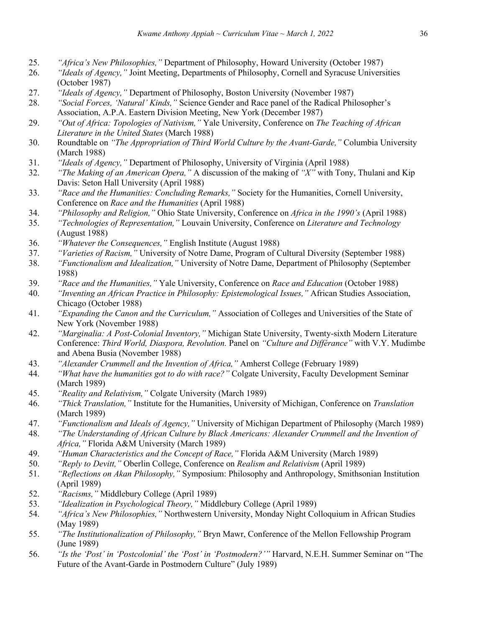- 25. *"Africa's New Philosophies,"* Department of Philosophy, Howard University (October 1987)
- 26. *"Ideals of Agency,"* Joint Meeting, Departments of Philosophy, Cornell and Syracuse Universities (October 1987)
- 27. *"Ideals of Agency,"* Department of Philosophy, Boston University (November 1987)
- 28. *"Social Forces, 'Natural' Kinds,"* Science Gender and Race panel of the Radical Philosopher's Association, A.P.A. Eastern Division Meeting, New York (December 1987)
- 29. *"Out of Africa: Topologies of Nativism,"* Yale University, Conference on *The Teaching of African Literature in the United States* (March 1988)
- 30. Roundtable on *"The Appropriation of Third World Culture by the Avant-Garde,"* Columbia University (March 1988)
- 31. *"Ideals of Agency,"* Department of Philosophy, University of Virginia (April 1988)
- 32. *"The Making of an American Opera,"* A discussion of the making of *"X"* with Tony, Thulani and Kip Davis: Seton Hall University (April 1988)
- 33. *"Race and the Humanities: Concluding Remarks,"* Society for the Humanities, Cornell University, Conference on *Race and the Humanities* (April 1988)
- 34. *"Philosophy and Religion,"* Ohio State University, Conference on *Africa in the 1990's* (April 1988)
- 35. *"Technologies of Representation,"* Louvain University, Conference on *Literature and Technology* (August 1988)
- 36. *"Whatever the Consequences,"* English Institute (August 1988)
- 37. *"Varieties of Racism,"* University of Notre Dame, Program of Cultural Diversity (September 1988)
- 38. *"Functionalism and Idealization,"* University of Notre Dame, Department of Philosophy (September 1988)
- 39. *"Race and the Humanities,"* Yale University, Conference on *Race and Education* (October 1988)
- 40. *"Inventing an African Practice in Philosophy: Epistemological Issues,"* African Studies Association, Chicago (October 1988)
- 41. *"Expanding the Canon and the Curriculum,"* Association of Colleges and Universities of the State of New York (November 1988)
- 42. *"Marginalia: A Post-Colonial Inventory,"* Michigan State University, Twenty-sixth Modern Literature Conference: *Third World, Diaspora, Revolution.* Panel on *"Culture and Différance"* with V.Y. Mudimbe and Abena Busia (November 1988)
- 43. *"Alexander Crummell and the Invention of Africa,"* Amherst College (February 1989)
- 44. *"What have the humanities got to do with race?"* Colgate University, Faculty Development Seminar (March 1989)
- 45. *"Reality and Relativism,"* Colgate University (March 1989)
- 46. *"Thick Translation,"* Institute for the Humanities, University of Michigan, Conference on *Translation* (March 1989)
- 47. *"Functionalism and Ideals of Agency,"* University of Michigan Department of Philosophy (March 1989)
- 48. *"The Understanding of African Culture by Black Americans: Alexander Crummell and the Invention of Africa,"* Florida A&M University (March 1989)
- 49. *"Human Characteristics and the Concept of Race,"* Florida A&M University (March 1989)
- 50. *"Reply to Devitt,"* Oberlin College, Conference on *Realism and Relativism* (April 1989)
- 51. *"Reflections on Akan Philosophy,"* Symposium: Philosophy and Anthropology, Smithsonian Institution (April 1989)
- 52. *"Racisms,"* Middlebury College (April 1989)
- 53. *"Idealization in Psychological Theory,"* Middlebury College (April 1989)
- 54. *"Africa's New Philosophies,"* Northwestern University, Monday Night Colloquium in African Studies (May 1989)
- 55. *"The Institutionalization of Philosophy,"* Bryn Mawr, Conference of the Mellon Fellowship Program (June 1989)
- 56. *"Is the 'Post' in 'Postcolonial' the 'Post' in 'Postmodern?'"* Harvard, N.E.H. Summer Seminar on "The Future of the Avant-Garde in Postmodern Culture" (July 1989)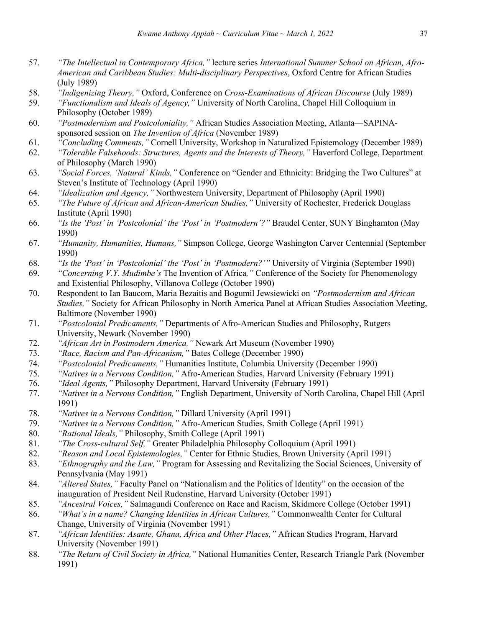- 57. *"The Intellectual in Contemporary Africa,"* lecture series *International Summer School on African, Afro-American and Caribbean Studies: Multi-disciplinary Perspectives*, Oxford Centre for African Studies (July 1989)
- 58. *"Indigenizing Theory,"* Oxford, Conference on *Cross-Examinations of African Discourse* (July 1989)
- 59. *"Functionalism and Ideals of Agency,"* University of North Carolina, Chapel Hill Colloquium in Philosophy (October 1989)
- 60. *"Postmodernism and Postcoloniality,"* African Studies Association Meeting, Atlanta—SAPINAsponsored session on *The Invention of Africa* (November 1989)
- 61. *"Concluding Comments,"* Cornell University, Workshop in Naturalized Epistemology (December 1989)
- 62. *"Tolerable Falsehoods: Structures, Agents and the Interests of Theory,"* Haverford College, Department of Philosophy (March 1990)
- 63. *"Social Forces, 'Natural' Kinds,"* Conference on "Gender and Ethnicity: Bridging the Two Cultures" at Steven's Institute of Technology (April 1990)
- 64. *"Idealization and Agency,"* Northwestern University, Department of Philosophy (April 1990)
- 65. *"The Future of African and African-American Studies,"* University of Rochester, Frederick Douglass Institute (April 1990)
- 66. *"Is the 'Post' in 'Postcolonial' the 'Post' in 'Postmodern'?"* Braudel Center, SUNY Binghamton (May 1990)
- 67. *"Humanity, Humanities, Humans,"* Simpson College, George Washington Carver Centennial (September 1990)
- 68. *"Is the 'Post' in 'Postcolonial' the 'Post' in 'Postmodern?'"* University of Virginia (September 1990)
- 69. *"Concerning V.Y. Mudimbe's* The Invention of Africa*,"* Conference of the Society for Phenomenology and Existential Philosophy, Villanova College (October 1990)
- 70. Respondent to Ian Baucom, Maria Bezaitis and Bogumil Jewsiewicki on *"Postmodernism and African Studies,"* Society for African Philosophy in North America Panel at African Studies Association Meeting, Baltimore (November 1990)
- 71. *"Postcolonial Predicaments,"* Departments of Afro-American Studies and Philosophy, Rutgers University, Newark (November 1990)
- 72. *"African Art in Postmodern America,"* Newark Art Museum (November 1990)
- 73. *"Race, Racism and Pan-Africanism,"* Bates College (December 1990)
- 74. *"Postcolonial Predicaments,"* Humanities Institute, Columbia University (December 1990)
- 75. *"Natives in a Nervous Condition,"* Afro-American Studies, Harvard University (February 1991)
- 76. *"Ideal Agents,"* Philosophy Department, Harvard University (February 1991)
- 77. *"Natives in a Nervous Condition,"* English Department, University of North Carolina, Chapel Hill (April 1991)
- 78. *"Natives in a Nervous Condition,"* Dillard University (April 1991)
- 79. *"Natives in a Nervous Condition,"* Afro-American Studies, Smith College (April 1991)
- 80. *"Rational Ideals,"* Philosophy, Smith College (April 1991)
- 81. *"The Cross-cultural Self,"* Greater Philadelphia Philosophy Colloquium (April 1991)
- 82. *"Reason and Local Epistemologies,"* Center for Ethnic Studies, Brown University (April 1991)
- 83. *"Ethnography and the Law,"* Program for Assessing and Revitalizing the Social Sciences, University of Pennsylvania (May 1991)
- 84. *"Altered States,"* Faculty Panel on "Nationalism and the Politics of Identity" on the occasion of the inauguration of President Neil Rudenstine, Harvard University (October 1991)
- 85. *"Ancestral Voices,"* Salmagundi Conference on Race and Racism, Skidmore College (October 1991)
- 86. *"What's in a name? Changing Identities in African Cultures,"* Commonwealth Center for Cultural Change, University of Virginia (November 1991)
- 87. *"African Identities: Asante, Ghana, Africa and Other Places,"* African Studies Program, Harvard University (November 1991)
- 88. *"The Return of Civil Society in Africa,"* National Humanities Center, Research Triangle Park (November 1991)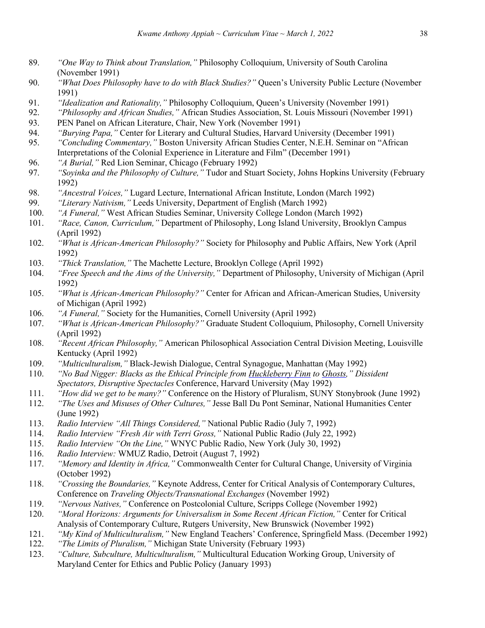- 89. *"One Way to Think about Translation,"* Philosophy Colloquium, University of South Carolina (November 1991)
- 90. *"What Does Philosophy have to do with Black Studies?"* Queen's University Public Lecture (November 1991)
- 91. *"Idealization and Rationality,"* Philosophy Colloquium, Queen's University (November 1991)
- 92. *"Philosophy and African Studies,"* African Studies Association, St. Louis Missouri (November 1991)
- 93. PEN Panel on African Literature, Chair, New York (November 1991)
- 94. *"Burying Papa,"* Center for Literary and Cultural Studies, Harvard University (December 1991)
- 95. *"Concluding Commentary,"* Boston University African Studies Center, N.E.H. Seminar on "African Interpretations of the Colonial Experience in Literature and Film" (December 1991)
- 96. *"A Burial,"* Red Lion Seminar, Chicago (February 1992)
- 97. *"Soyinka and the Philosophy of Culture,"* Tudor and Stuart Society, Johns Hopkins University (February 1992)
- 98. *"Ancestral Voices,"* Lugard Lecture, International African Institute, London (March 1992)
- 99. *"Literary Nativism,"* Leeds University, Department of English (March 1992)
- 100. *"A Funeral,"* West African Studies Seminar, University College London (March 1992)
- 101. *"Race, Canon, Curriculum,"* Department of Philosophy, Long Island University, Brooklyn Campus (April 1992)
- 102. *"What is African-American Philosophy?"* Society for Philosophy and Public Affairs, New York (April 1992)
- 103. *"Thick Translation,"* The Machette Lecture, Brooklyn College (April 1992)
- 104. *"Free Speech and the Aims of the University,"* Department of Philosophy, University of Michigan (April 1992)
- 105. *"What is African-American Philosophy?"* Center for African and African-American Studies, University of Michigan (April 1992)
- 106. *"A Funeral,"* Society for the Humanities, Cornell University (April 1992)
- 107. *"What is African-American Philosophy?"* Graduate Student Colloquium, Philosophy, Cornell University (April 1992)
- 108. *"Recent African Philosophy,"* American Philosophical Association Central Division Meeting, Louisville Kentucky (April 1992)
- 109. *"Multiculturalism,"* Black-Jewish Dialogue, Central Synagogue, Manhattan (May 1992)
- 110. *"No Bad Nigger: Blacks as the Ethical Principle from Huckleberry Finn to Ghosts," Dissident Spectators, Disruptive Spectacles* Conference, Harvard University (May 1992)
- 111. *"How did we get to be many?"* Conference on the History of Pluralism, SUNY Stonybrook (June 1992)
- 112. *"The Uses and Misuses of Other Cultures,"* Jesse Ball Du Pont Seminar, National Humanities Center (June 1992)
- 113. *Radio Interview "All Things Considered,"* National Public Radio (July 7, 1992)
- 114. *Radio Interview "Fresh Air with Terri Gross,"* National Public Radio (July 22, 1992)
- 115. *Radio Interview "On the Line,"* WNYC Public Radio, New York (July 30, 1992)
- 116. *Radio Interview:* WMUZ Radio, Detroit (August 7, 1992)
- 117. *"Memory and Identity in Africa,"* Commonwealth Center for Cultural Change, University of Virginia (October 1992)
- 118. *"Crossing the Boundaries,"* Keynote Address, Center for Critical Analysis of Contemporary Cultures, Conference on *Traveling Objects/Transnational Exchanges* (November 1992)
- 119. *"Nervous Natives,"* Conference on Postcolonial Culture, Scripps College (November 1992)
- 120. *"Moral Horizons: Arguments for Universalism in Some Recent African Fiction,"* Center for Critical Analysis of Contemporary Culture, Rutgers University, New Brunswick (November 1992)
- 121. *"My Kind of Multiculturalism,"* New England Teachers' Conference, Springfield Mass. (December 1992)
- 122. *"The Limits of Pluralism,"* Michigan State University (February 1993)
- 123. *"Culture, Subculture, Multiculturalism,"* Multicultural Education Working Group, University of Maryland Center for Ethics and Public Policy (January 1993)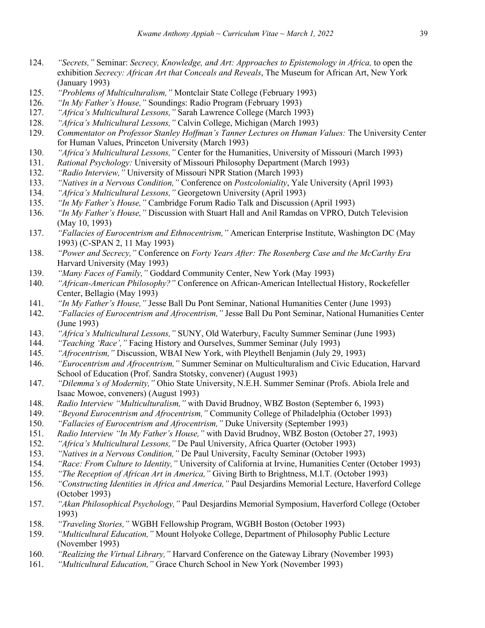- 124. *"Secrets,"* Seminar: *Secrecy, Knowledge, and Art: Approaches to Epistemology in Africa,* to open the exhibition *Secrecy: African Art that Conceals and Reveals*, The Museum for African Art, New York (January 1993)
- 125. *"Problems of Multiculturalism,"* Montclair State College (February 1993)
- 126. *"In My Father's House,"* Soundings: Radio Program (February 1993)
- 127. *"Africa's Multicultural Lessons,"* Sarah Lawrence College (March 1993)
- 128. *"Africa's Multicultural Lessons,"* Calvin College, Michigan (March 1993)
- 129. *Commentator on Professor Stanley Hoffman's Tanner Lectures on Human Values:* The University Center for Human Values, Princeton University (March 1993)
- 130. *"Africa's Multicultural Lessons,"* Center for the Humanities, University of Missouri (March 1993)
- 131. *Rational Psychology:* University of Missouri Philosophy Department (March 1993)
- 132. *"Radio Interview,"* University of Missouri NPR Station (March 1993)
- 133. *"Natives in a Nervous Condition,"* Conference on *Postcoloniality*, Yale University (April 1993)
- 134. *"Africa's Multicultural Lessons,"* Georgetown University (April 1993)
- 135. *"In My Father's House,"* Cambridge Forum Radio Talk and Discussion (April 1993)
- 136. *"In My Father's House,"* Discussion with Stuart Hall and Anil Ramdas on VPRO, Dutch Television (May 10, 1993)
- 137. *"Fallacies of Eurocentrism and Ethnocentrism,"* American Enterprise Institute, Washington DC (May 1993) (C-SPAN 2, 11 May 1993)
- 138. *"Power and Secrecy,"* Conference on *Forty Years After: The Rosenberg Case and the McCarthy Era*  Harvard University (May 1993)
- 139. *"Many Faces of Family,"* Goddard Community Center, New York (May 1993)
- 140. *"African-American Philosophy?"* Conference on African-American Intellectual History, Rockefeller Center, Bellagio (May 1993)
- 141. *"In My Father's House,"* Jesse Ball Du Pont Seminar, National Humanities Center (June 1993)
- 142. *"Fallacies of Eurocentrism and Afrocentrism,"* Jesse Ball Du Pont Seminar, National Humanities Center (June 1993)
- 143. *"Africa's Multicultural Lessons,"* SUNY, Old Waterbury, Faculty Summer Seminar (June 1993)
- 144. *"Teaching 'Race',"* Facing History and Ourselves, Summer Seminar (July 1993)
- 145. *"Afrocentrism,"* Discussion, WBAI New York, with Pleythell Benjamin (July 29, 1993)
- 146. *"Eurocentrism and Afrocentrism,"* Summer Seminar on Multiculturalism and Civic Education, Harvard School of Education (Prof. Sandra Stotsky, convener) (August 1993)
- 147. *"Dilemma's of Modernity,"* Ohio State University, N.E.H. Summer Seminar (Profs. Abiola Irele and Isaac Mowoe, conveners) (August 1993)
- 148. *Radio Interview "Multiculturalism,"* with David Brudnoy, WBZ Boston (September 6, 1993)
- 149. *"Beyond Eurocentrism and Afrocentrism,"* Community College of Philadelphia (October 1993)
- 150. *"Fallacies of Eurocentrism and Afrocentrism,"* Duke University (September 1993)
- 151. *Radio Interview "In My Father's House,"* with David Brudnoy, WBZ Boston (October 27, 1993)
- 152. *"Africa's Multicultural Lessons,"* De Paul University, Africa Quarter (October 1993)
- 153. *"Natives in a Nervous Condition,"* De Paul University, Faculty Seminar (October 1993)
- 154. *"Race: From Culture to Identity,"* University of California at Irvine, Humanities Center (October 1993)
- 155. *"The Reception of African Art in America,"* Giving Birth to Brightness, M.I.T. (October 1993)
- 156. *"Constructing Identities in Africa and America,"* Paul Desjardins Memorial Lecture, Haverford College (October 1993)
- 157. *"Akan Philosophical Psychology,"* Paul Desjardins Memorial Symposium, Haverford College (October 1993)
- 158. *"Traveling Stories,"* WGBH Fellowship Program, WGBH Boston (October 1993)
- 159. *"Multicultural Education,"* Mount Holyoke College, Department of Philosophy Public Lecture (November 1993)
- 160. *"Realizing the Virtual Library,"* Harvard Conference on the Gateway Library (November 1993)
- 161. *"Multicultural Education,"* Grace Church School in New York (November 1993)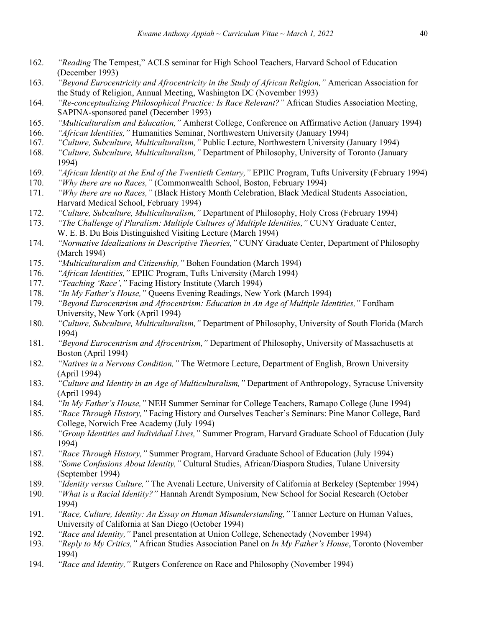- 162. *"Reading* The Tempest," ACLS seminar for High School Teachers, Harvard School of Education (December 1993)
- 163. *"Beyond Eurocentricity and Afrocentricity in the Study of African Religion,"* American Association for the Study of Religion, Annual Meeting, Washington DC (November 1993)
- 164. *"Re-conceptualizing Philosophical Practice: Is Race Relevant?"* African Studies Association Meeting, SAPINA-sponsored panel (December 1993)
- 165. *"Multiculturalism and Education,"* Amherst College, Conference on Affirmative Action (January 1994)
- 166. *"African Identities,"* Humanities Seminar, Northwestern University (January 1994)
- 167. *"Culture, Subculture, Multiculturalism,"* Public Lecture, Northwestern University (January 1994)
- 168. *"Culture, Subculture, Multiculturalism,"* Department of Philosophy, University of Toronto (January 1994)
- 169. *"African Identity at the End of the Twentieth Century,"* EPIIC Program, Tufts University (February 1994)
- 170. *"Why there are no Races,"* (Commonwealth School, Boston, February 1994)
- 171. *"Why there are no Races,"* (Black History Month Celebration, Black Medical Students Association, Harvard Medical School, February 1994)
- 172. *"Culture, Subculture, Multiculturalism,"* Department of Philosophy, Holy Cross (February 1994)
- 173. *"The Challenge of Pluralism: Multiple Cultures of Multiple Identities,"* CUNY Graduate Center, W. E. B. Du Bois Distinguished Visiting Lecture (March 1994)
- 174. *"Normative Idealizations in Descriptive Theories,"* CUNY Graduate Center, Department of Philosophy (March 1994)
- 175. *"Multiculturalism and Citizenship,"* Bohen Foundation (March 1994)
- 176. *"African Identities,"* EPIIC Program, Tufts University (March 1994)
- 177. *"Teaching 'Race',"* Facing History Institute (March 1994)
- 178. *"In My Father's House,"* Queens Evening Readings, New York (March 1994)
- 179. *"Beyond Eurocentrism and Afrocentrism: Education in An Age of Multiple Identities,"* Fordham University, New York (April 1994)
- 180. *"Culture, Subculture, Multiculturalism,"* Department of Philosophy, University of South Florida (March 1994)
- 181. *"Beyond Eurocentrism and Afrocentrism,"* Department of Philosophy, University of Massachusetts at Boston (April 1994)
- 182. *"Natives in a Nervous Condition,"* The Wetmore Lecture, Department of English, Brown University (April 1994)
- 183. *"Culture and Identity in an Age of Multiculturalism,"* Department of Anthropology, Syracuse University (April 1994)
- 184. *"In My Father's House,"* NEH Summer Seminar for College Teachers, Ramapo College (June 1994)
- 185. *"Race Through History,"* Facing History and Ourselves Teacher's Seminars: Pine Manor College, Bard College, Norwich Free Academy (July 1994)
- 186. *"Group Identities and Individual Lives,"* Summer Program, Harvard Graduate School of Education (July 1994)
- 187. *"Race Through History,"* Summer Program, Harvard Graduate School of Education (July 1994)
- 188. *"Some Confusions About Identity,"* Cultural Studies, African/Diaspora Studies, Tulane University (September 1994)
- 189. *"Identity versus Culture,"* The Avenali Lecture, University of California at Berkeley (September 1994)
- 190. *"What is a Racial Identity?"* Hannah Arendt Symposium, New School for Social Research (October 1994)
- 191. *"Race, Culture, Identity: An Essay on Human Misunderstanding,"* Tanner Lecture on Human Values, University of California at San Diego (October 1994)
- 192. *"Race and Identity,"* Panel presentation at Union College, Schenectady (November 1994)
- 193. *"Reply to My Critics,"* African Studies Association Panel on *In My Father's House*, Toronto (November 1994)
- 194. *"Race and Identity,"* Rutgers Conference on Race and Philosophy (November 1994)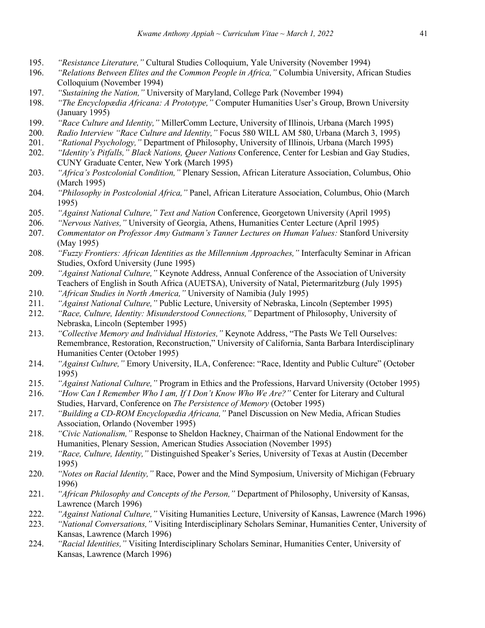- 195. *"Resistance Literature,"* Cultural Studies Colloquium, Yale University (November 1994)
- 196. *"Relations Between Elites and the Common People in Africa,"* Columbia University, African Studies Colloquium (November 1994)
- 197. *"Sustaining the Nation,"* University of Maryland, College Park (November 1994)
- 198. *"The Encyclopædia Africana: A Prototype,"* Computer Humanities User's Group, Brown University (January 1995)
- 199. *"Race Culture and Identity,"* MillerComm Lecture, University of Illinois, Urbana (March 1995)
- 200. *Radio Interview "Race Culture and Identity,"* Focus 580 WILL AM 580, Urbana (March 3, 1995)
- 201. *"Rational Psychology,"* Department of Philosophy, University of Illinois, Urbana (March 1995)
- 202. *"Identity's Pitfalls," Black Nations, Queer Nations* Conference, Center for Lesbian and Gay Studies, CUNY Graduate Center, New York (March 1995)
- 203. *"Africa's Postcolonial Condition,"* Plenary Session, African Literature Association, Columbus, Ohio (March 1995)
- 204. *"Philosophy in Postcolonial Africa,"* Panel, African Literature Association, Columbus, Ohio (March 1995)
- 205. *"Against National Culture," Text and Nation* Conference, Georgetown University (April 1995)
- 206. *"Nervous Natives,"* University of Georgia, Athens, Humanities Center Lecture (April 1995)
- 207. *Commentator on Professor Amy Gutmann's Tanner Lectures on Human Values:* Stanford University (May 1995)
- 208. *"Fuzzy Frontiers: African Identities as the Millennium Approaches,"* Interfaculty Seminar in African Studies, Oxford University (June 1995)
- 209. *"Against National Culture,"* Keynote Address, Annual Conference of the Association of University Teachers of English in South Africa (AUETSA), University of Natal, Pietermaritzburg (July 1995)
- 210. *"African Studies in North America,"* University of Namibia (July 1995)
- 211. *"Against National Culture,"* Public Lecture, University of Nebraska, Lincoln (September 1995)
- 212. *"Race, Culture, Identity: Misunderstood Connections,"* Department of Philosophy, University of Nebraska, Lincoln (September 1995)
- 213. *"Collective Memory and Individual Histories,"* Keynote Address, "The Pasts We Tell Ourselves: Remembrance, Restoration, Reconstruction," University of California, Santa Barbara Interdisciplinary Humanities Center (October 1995)
- 214. *"Against Culture,"* Emory University, ILA, Conference: "Race, Identity and Public Culture" (October 1995)
- 215. *"Against National Culture,"* Program in Ethics and the Professions, Harvard University (October 1995)
- 216. *"How Can I Remember Who I am, If I Don't Know Who We Are?"* Center for Literary and Cultural Studies, Harvard, Conference on *The Persistence of Memory* (October 1995)
- 217. *"Building a CD-ROM Encyclopædia Africana,"* Panel Discussion on New Media, African Studies Association, Orlando (November 1995)
- 218. *"Civic Nationalism,"* Response to Sheldon Hackney, Chairman of the National Endowment for the Humanities, Plenary Session, American Studies Association (November 1995)
- 219. *"Race, Culture, Identity,"* Distinguished Speaker's Series, University of Texas at Austin (December 1995)
- 220. *"Notes on Racial Identity,"* Race, Power and the Mind Symposium, University of Michigan (February 1996)
- 221. *"African Philosophy and Concepts of the Person,"* Department of Philosophy, University of Kansas, Lawrence (March 1996)
- 222. *"Against National Culture,"* Visiting Humanities Lecture, University of Kansas, Lawrence (March 1996)
- 223. *"National Conversations,"* Visiting Interdisciplinary Scholars Seminar, Humanities Center, University of Kansas, Lawrence (March 1996)
- 224. *"Racial Identities,"* Visiting Interdisciplinary Scholars Seminar, Humanities Center, University of Kansas, Lawrence (March 1996)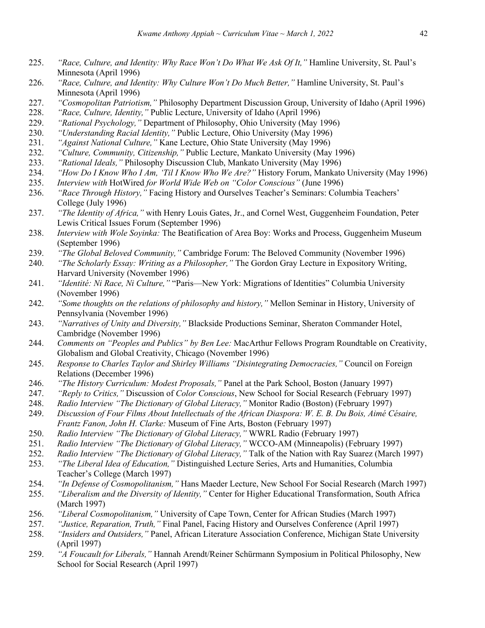- 225. *"Race, Culture, and Identity: Why Race Won't Do What We Ask Of It,"* Hamline University, St. Paul's Minnesota (April 1996)
- 226. *"Race, Culture, and Identity: Why Culture Won't Do Much Better,"* Hamline University, St. Paul's Minnesota (April 1996)
- 227. *"Cosmopolitan Patriotism,"* Philosophy Department Discussion Group, University of Idaho (April 1996)
- 228. *"Race, Culture, Identity,"* Public Lecture, University of Idaho (April 1996)
- 229. *"Rational Psychology,"* Department of Philosophy, Ohio University (May 1996)
- 230. *"Understanding Racial Identity,"* Public Lecture, Ohio University (May 1996)
- 231. *"Against National Culture,"* Kane Lecture, Ohio State University (May 1996)
- 232. *"Culture, Community, Citizenship,"* Public Lecture, Mankato University (May 1996)
- 233. *"Rational Ideals,"* Philosophy Discussion Club, Mankato University (May 1996)
- 234. *"How Do I Know Who I Am, 'Til I Know Who We Are?"* History Forum, Mankato University (May 1996)
- 235. *Interview with* HotWired *for World Wide Web on "Color Conscious"* (June 1996)
- 236. *"Race Through History,"* Facing History and Ourselves Teacher's Seminars: Columbia Teachers' College (July 1996)
- 237. *"The Identity of Africa,"* with Henry Louis Gates, Jr., and Cornel West, Guggenheim Foundation, Peter Lewis Critical Issues Forum (September 1996)
- 238. *Interview with Wole Soyinka:* The Beatification of Area Boy: Works and Process, Guggenheim Museum (September 1996)
- 239. *"The Global Beloved Community,"* Cambridge Forum: The Beloved Community (November 1996)
- 240. *"The Scholarly Essay: Writing as a Philosopher,"* The Gordon Gray Lecture in Expository Writing, Harvard University (November 1996)
- 241. *"Identité: Ni Race, Ni Culture,"* "Paris—New York: Migrations of Identities" Columbia University (November 1996)
- 242. *"Some thoughts on the relations of philosophy and history,"* Mellon Seminar in History, University of Pennsylvania (November 1996)
- 243. *"Narratives of Unity and Diversity,"* Blackside Productions Seminar, Sheraton Commander Hotel, Cambridge (November 1996)
- 244. *Comments on "Peoples and Publics" by Ben Lee:* MacArthur Fellows Program Roundtable on Creativity, Globalism and Global Creativity, Chicago (November 1996)
- 245. *Response to Charles Taylor and Shirley Williams "Disintegrating Democracies,"* Council on Foreign Relations (December 1996)
- 246. *"The History Curriculum: Modest Proposals,"* Panel at the Park School, Boston (January 1997)
- 247. *"Reply to Critics,"* Discussion of *Color Conscious*, New School for Social Research (February 1997)
- 248. *Radio Interview "The Dictionary of Global Literacy,"* Monitor Radio (Boston) (February 1997)
- 249. *Discussion of Four Films About Intellectuals of the African Diaspora: W. E. B. Du Bois, Aimé Césaire, Frantz Fanon, John H. Clarke:* Museum of Fine Arts, Boston (February 1997)
- 250. *Radio Interview "The Dictionary of Global Literacy,"* WWRL Radio (February 1997)
- 251. *Radio Interview "The Dictionary of Global Literacy,"* WCCO-AM (Minneapolis) (February 1997)
- 252. *Radio Interview "The Dictionary of Global Literacy,"* Talk of the Nation with Ray Suarez (March 1997)
- 253. *"The Liberal Idea of Education,"* Distinguished Lecture Series, Arts and Humanities, Columbia Teacher's College (March 1997)
- 254. *"In Defense of Cosmopolitanism,"* Hans Maeder Lecture, New School For Social Research (March 1997)
- 255. *"Liberalism and the Diversity of Identity,"* Center for Higher Educational Transformation, South Africa (March 1997)
- 256. *"Liberal Cosmopolitanism,"* University of Cape Town, Center for African Studies (March 1997)
- 257. *"Justice, Reparation, Truth,"* Final Panel, Facing History and Ourselves Conference (April 1997)
- 258. *"Insiders and Outsiders,"* Panel, African Literature Association Conference, Michigan State University (April 1997)
- 259. *"A Foucault for Liberals,"* Hannah Arendt/Reiner Schürmann Symposium in Political Philosophy, New School for Social Research (April 1997)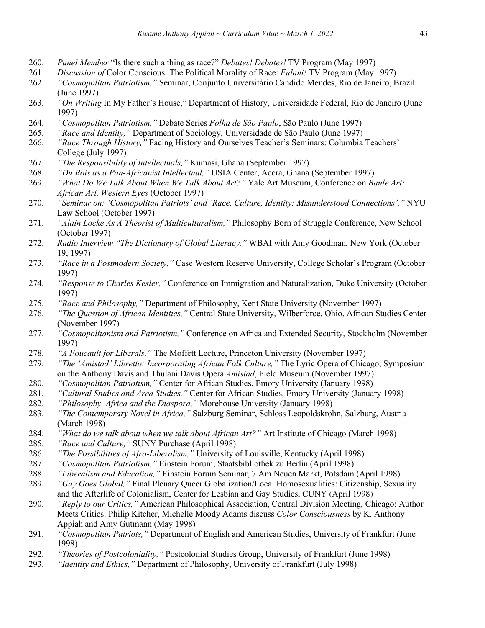- 260. *Panel Member* "Is there such a thing as race?" *Debates! Debates!* TV Program (May 1997)
- 261. *Discussion of* Color Conscious: The Political Morality of Race: *Fulani!* TV Program (May 1997)
- 262. *"Cosmopolitan Patriotism,"* Seminar, Conjunto Universitário Candido Mendes, Rio de Janeiro, Brazil (June 1997)
- 263. *"On Writing* In My Father's House," Department of History, Universidade Federal, Rio de Janeiro (June 1997)
- 264. *"Cosmopolitan Patriotism,"* Debate Series *Folha de São Paulo*, São Paulo (June 1997)
- 265. *"Race and Identity,"* Department of Sociology, Universidade de São Paulo (June 1997)
- 266. *"Race Through History,"* Facing History and Ourselves Teacher's Seminars: Columbia Teachers' College (July 1997)
- 267. *"The Responsibility of Intellectuals,"* Kumasi, Ghana (September 1997)
- 268. *"Du Bois as a Pan-Africanist Intellectual,"* USIA Center, Accra, Ghana (September 1997)
- 269. *"What Do We Talk About When We Talk About Art?"* Yale Art Museum, Conference on *Baule Art: African Art, Western Eyes* (October 1997)
- 270. *"Seminar on: 'Cosmopolitan Patriots' and 'Race, Culture, Identity: Misunderstood Connections',"* NYU Law School (October 1997)
- 271. *"Alain Locke As A Theorist of Multiculturalism,"* Philosophy Born of Struggle Conference, New School (October 1997)
- 272. *Radio Interview "The Dictionary of Global Literacy,"* WBAI with Amy Goodman, New York (October 19, 1997)
- 273. *"Race in a Postmodern Society,"* Case Western Reserve University, College Scholar's Program (October 1997)
- 274. *"Response to Charles Kesler,"* Conference on Immigration and Naturalization, Duke University (October 1997)
- 275. *"Race and Philosophy,"* Department of Philosophy, Kent State University (November 1997)
- 276. *"The Question of African Identities,"* Central State University, Wilberforce, Ohio, African Studies Center (November 1997)
- 277. *"Cosmopolitanism and Patriotism,"* Conference on Africa and Extended Security, Stockholm (November 1997)
- 278. *"A Foucault for Liberals,"* The Moffett Lecture, Princeton University (November 1997)
- 279. *"The 'Amistad' Libretto: Incorporating African Folk Culture,"* The Lyric Opera of Chicago, Symposium on the Anthony Davis and Thulani Davis Opera *Amistad*, Field Museum (November 1997)
- 280. *"Cosmopolitan Patriotism,"* Center for African Studies, Emory University (January 1998)
- 281. *"Cultural Studies and Area Studies,"* Center for African Studies, Emory University (January 1998)
- 282. *"Philosophy, Africa and the Diaspora,"* Morehouse University (January 1998)
- 283. *"The Contemporary Novel in Africa,"* Salzburg Seminar, Schloss Leopoldskrohn, Salzburg, Austria (March 1998)
- 284. *"What do we talk about when we talk about African Art?"* Art Institute of Chicago (March 1998)
- 285. *"Race and Culture,"* SUNY Purchase (April 1998)
- 286. *"The Possibilities of Afro-Liberalism,"* University of Louisville, Kentucky (April 1998)
- 287. *"Cosmopolitan Patriotism,"* Einstein Forum, Staatsbibliothek zu Berlin (April 1998)
- 288. *"Liberalism and Education,"* Einstein Forum Seminar, 7 Am Neuen Markt, Potsdam (April 1998)
- 289. *"Gay Goes Global,"* Final Plenary Queer Globalization/Local Homosexualities: Citizenship, Sexuality and the Afterlife of Colonialism, Center for Lesbian and Gay Studies, CUNY (April 1998)
- 290. *"Reply to our Critics,"* American Philosophical Association, Central Division Meeting, Chicago: Author Meets Critics: Philip Kitcher, Michelle Moody Adams discuss *Color Consciousness* by K. Anthony Appiah and Amy Gutmann (May 1998)
- 291. *"Cosmopolitan Patriots,"* Department of English and American Studies, University of Frankfurt (June 1998)
- 292. *"Theories of Postcoloniality,"* Postcolonial Studies Group, University of Frankfurt (June 1998)
- 293. *"Identity and Ethics,"* Department of Philosophy, University of Frankfurt (July 1998)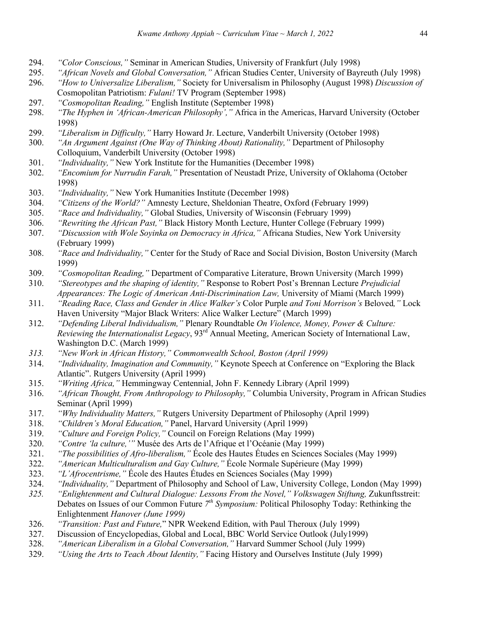- 294. *"Color Conscious,"* Seminar in American Studies, University of Frankfurt (July 1998)
- 295. *"African Novels and Global Conversation,"* African Studies Center, University of Bayreuth (July 1998)
- 296. *"How to Universalize Liberalism,"* Society for Universalism in Philosophy (August 1998) *Discussion of* Cosmopolitan Patriotism: *Fulani!* TV Program (September 1998)
- 297. *"Cosmopolitan Reading,"* English Institute (September 1998)
- 298. *"The Hyphen in 'African-American Philosophy',"* Africa in the Americas, Harvard University (October 1998)
- 299. *"Liberalism in Difficulty,"* Harry Howard Jr. Lecture, Vanderbilt University (October 1998)
- 300. *"An Argument Against (One Way of Thinking About) Rationality,"* Department of Philosophy Colloquium, Vanderbilt University (October 1998)
- 301. *"Individuality,"* New York Institute for the Humanities (December 1998)
- 302. *"Encomium for Nurrudin Farah,"* Presentation of Neustadt Prize, University of Oklahoma (October 1998)
- 303. *"Individuality,"* New York Humanities Institute (December 1998)
- 304. *"Citizens of the World?"* Amnesty Lecture, Sheldonian Theatre, Oxford (February 1999)
- 305. *"Race and Individuality,"* Global Studies, University of Wisconsin (February 1999)
- 306. *"Rewriting the African Past,"* Black History Month Lecture, Hunter College (February 1999)
- 307. *"Discussion with Wole Soyinka on Democracy in Africa,"* Africana Studies, New York University (February 1999)
- 308. *"Race and Individuality,"* Center for the Study of Race and Social Division, Boston University (March 1999)
- 309. *"Cosmopolitan Reading,"* Department of Comparative Literature, Brown University (March 1999)
- 310. *"Stereotypes and the shaping of identity,"* Response to Robert Post's Brennan Lecture *Prejudicial Appearances: The Logic of American Anti-Discrimination Law,* University of Miami (March 1999)
- 311. *"Reading Race, Class and Gender in Alice Walker's* Color Purple *and Toni Morrison's* Beloved*,"* Lock Haven University "Major Black Writers: Alice Walker Lecture" (March 1999)
- 312. *"Defending Liberal Individualism,"* Plenary Roundtable *On Violence, Money, Power & Culture: Reviewing the Internationalist Legacy*, 93rd Annual Meeting, American Society of International Law, Washington D.C. (March 1999)
- *313. "New Work in African History," Commonwealth School, Boston (April 1999)*
- 314. *"Individuality, Imagination and Community,"* Keynote Speech at Conference on "Exploring the Black Atlantic". Rutgers University (April 1999)
- 315. *"Writing Africa,"* Hemmingway Centennial, John F. Kennedy Library (April 1999)
- 316. *"African Thought, From Anthropology to Philosophy,"* Columbia University, Program in African Studies Seminar (April 1999)
- 317. *"Why Individuality Matters,"* Rutgers University Department of Philosophy (April 1999)
- 318. *"Children's Moral Education,"* Panel, Harvard University (April 1999)
- 319. *"Culture and Foreign Policy,"* Council on Foreign Relations (May 1999)
- 320. *"Contre 'la culture,'"* Musée des Arts de l'Afrique et l'Océanie (May 1999)
- 321. *"The possibilities of Afro-liberalism,"* École des Hautes Études en Sciences Sociales (May 1999)
- 322. *"American Multiculturalism and Gay Culture,"* École Normale Supérieure (May 1999)
- 323. *"L'Afrocentrisme,"* École des Hautes Études en Sciences Sociales (May 1999)
- 324. *"Individuality,"* Department of Philosophy and School of Law, University College, London (May 1999)
- *325. "Enlightenment and Cultural Dialogue: Lessons From the Novel," Volkswagen Stiftung,* Zukunftsstreit: Debates on Issues of our Common Future *7th Symposium:* Political Philosophy Today: Rethinking the Enlightenment *Hanover (June 1999)*
- 326. *"Transition: Past and Future,*" NPR Weekend Edition, with Paul Theroux (July 1999)
- 327. Discussion of Encyclopedias, Global and Local, BBC World Service Outlook (July1999)
- 328. *"American Liberalism in a Global Conversation,"* Harvard Summer School (July 1999)
- 329. *"Using the Arts to Teach About Identity,"* Facing History and Ourselves Institute (July 1999)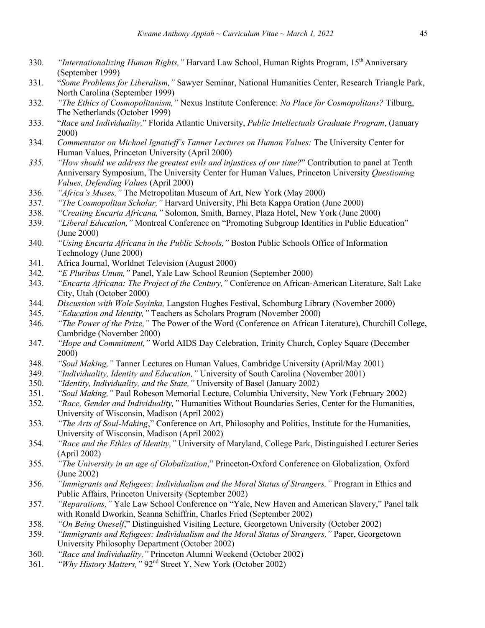- 330. *"Internationalizing Human Rights,"* Harvard Law School, Human Rights Program, 15th Anniversary (September 1999)
- 331. "*Some Problems for Liberalism,"* Sawyer Seminar, National Humanities Center, Research Triangle Park, North Carolina (September 1999)
- 332. *"The Ethics of Cosmopolitanism,"* Nexus Institute Conference: *No Place for Cosmopolitans?* Tilburg, The Netherlands (October 1999)
- 333. "*Race and Individuality,*" Florida Atlantic University, *Public Intellectuals Graduate Program*, (January 2000)
- 334. *Commentator on Michael Ignatieff's Tanner Lectures on Human Values:* The University Center for Human Values, Princeton University (April 2000)
- *335. "How should we address the greatest evils and injustices of our time?*" Contribution to panel at Tenth Anniversary Symposium, The University Center for Human Values, Princeton University *Questioning Values, Defending Values* (April 2000)
- 336. *"Africa's Muses,"* The Metropolitan Museum of Art, New York (May 2000)
- 337. *"The Cosmopolitan Scholar,"* Harvard University, Phi Beta Kappa Oration (June 2000)
- 338. *"Creating Encarta Africana,"* Solomon, Smith, Barney, Plaza Hotel, New York (June 2000)
- 339. *"Liberal Education,"* Montreal Conference on "Promoting Subgroup Identities in Public Education" (June 2000)
- 340. *"Using Encarta Africana in the Public Schools,"* Boston Public Schools Office of Information Technology (June 2000)
- 341. Africa Journal, Worldnet Television (August 2000)
- 342. *"E Pluribus Unum,"* Panel, Yale Law School Reunion (September 2000)
- 343. *"Encarta Africana: The Project of the Century,"* Conference on African-American Literature, Salt Lake City, Utah (October 2000)
- 344. *Discussion with Wole Soyinka,* Langston Hughes Festival, Schomburg Library (November 2000)
- 345. *"Education and Identity,"* Teachers as Scholars Program (November 2000)
- 346. *"The Power of the Prize,"* The Power of the Word (Conference on African Literature), Churchill College, Cambridge (November 2000)
- 347. *"Hope and Commitment,"* World AIDS Day Celebration, Trinity Church, Copley Square (December 2000)
- 348. *"Soul Making,"* Tanner Lectures on Human Values, Cambridge University (April/May 2001)
- 349. *"Individuality, Identity and Education,"* University of South Carolina (November 2001)
- 350. *"Identity, Individuality, and the State,"* University of Basel (January 2002)
- 351. *"Soul Making,"* Paul Robeson Memorial Lecture, Columbia University, New York (February 2002)
- 352. *"Race, Gender and Individuality,"* Humanities Without Boundaries Series, Center for the Humanities, University of Wisconsin, Madison (April 2002)
- 353. *"The Arts of Soul-Making*," Conference on Art, Philosophy and Politics, Institute for the Humanities, University of Wisconsin, Madison (April 2002)
- 354. *"Race and the Ethics of Identity,"* University of Maryland, College Park, Distinguished Lecturer Series (April 2002)
- 355. *"The University in an age of Globalization*," Princeton-Oxford Conference on Globalization, Oxford (June 2002)
- 356. *"Immigrants and Refugees: Individualism and the Moral Status of Strangers,"* Program in Ethics and Public Affairs, Princeton University (September 2002)
- 357. *"Reparations,"* Yale Law School Conference on "Yale, New Haven and American Slavery," Panel talk with Ronald Dworkin, Seanna Schiffrin, Charles Fried (September 2002)
- 358. *"On Being Oneself*," Distinguished Visiting Lecture, Georgetown University (October 2002)
- 359. *"Immigrants and Refugees: Individualism and the Moral Status of Strangers,"* Paper, Georgetown University Philosophy Department (October 2002)
- 360. *"Race and Individuality,"* Princeton Alumni Weekend (October 2002)
- 361. *"Why History Matters,"* 92nd Street Y, New York (October 2002)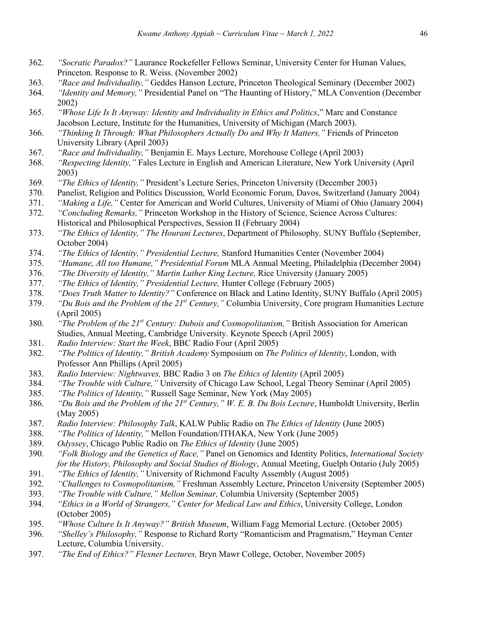- 362. *"Socratic Paradox?"* Laurance Rockefeller Fellows Seminar, University Center for Human Values, Princeton. Response to R. Weiss. (November 2002)
- 363. *"Race and Individuality,"* Geddes Hanson Lecture, Princeton Theological Seminary (December 2002)
- 364. *"Identity and Memory,"* Presidential Panel on "The Haunting of History," MLA Convention (December 2002)
- 365. *"Whose Life Is It Anyway: Identity and Individuality in Ethics and Politics*," Marc and Constance Jacobson Lecture, Institute for the Humanities, University of Michigan (March 2003).
- 366. *"Thinking It Through: What Philosophers Actually Do and Why It Matters,"* Friends of Princeton University Library (April 2003)
- 367. *"Race and Individuality,"* Benjamin E. Mays Lecture, Morehouse College (April 2003)
- 368. *"Respecting Identity,"* Fales Lecture in English and American Literature, New York University (April 2003)
- 369. *"The Ethics of Identity,"* President's Lecture Series, Princeton University (December 2003)
- 370. Panelist, Religion and Politics Discussion, World Economic Forum, Davos, Switzerland (January 2004)
- 371. *"Making a Life,"* Center for American and World Cultures, University of Miami of Ohio (January 2004)
- 372. *"Concluding Remarks,"* Princeton Workshop in the History of Science, Science Across Cultures: Historical and Philosophical Perspectives, Session II (February 2004)
- 373. *"The Ethics of Identity," The Hourani Lectures*, Department of Philosophy*,* SUNY Buffalo (September, October 2004)
- 374. *"The Ethics of Identity," Presidential Lecture,* Stanford Humanities Center (November 2004)
- 375. *"Humane, All too Humane," Presidential Forum* MLA Annual Meeting, Philadelphia (December 2004)
- 376. *"The Diversity of Identity," Martin Luther King Lecture,* Rice University (January 2005)
- 377. *"The Ethics of Identity," Presidential Lecture,* Hunter College (February 2005)
- 378. *"Does Truth Matter to Identity?"* Conference on Black and Latino Identity, SUNY Buffalo (April 2005)
- 379. *"Du Bois and the Problem of the 21st Century,"* Columbia University, Core program Humanities Lecture (April 2005)
- 380. *"The Problem of the 21st Century: Dubois and Cosmopolitanism,"* British Association for American Studies, Annual Meeting, Cambridge University. Keynote Speech (April 2005)
- 381. *Radio Interview: Start the Week*, BBC Radio Four (April 2005)
- 382. *"The Politics of Identity," British Academy* Symposium on *The Politics of Identity*, London, with Professor Ann Phillips (April 2005)
- 383. *Radio Interview: Nightwaves,* BBC Radio 3 on *The Ethics of Identity* (April 2005)
- 384. *"The Trouble with Culture,"* University of Chicago Law School, Legal Theory Seminar (April 2005)
- 385. *"The Politics of Identity,"* Russell Sage Seminar, New York (May 2005)
- 386. *"Du Bois and the Problem of the 21st Century," W. E. B. Du Bois Lecture*, Humboldt University, Berlin (May 2005)
- 387. *Radio Interview: Philosophy Talk*, KALW Public Radio on *The Ethics of Identity* (June 2005)
- 388. *"The Politics of Identity,"* Mellon Foundation/ITHAKA, New York (June 2005)
- 389. *Odyssey*, Chicago Public Radio on *The Ethics of Identity* (June 2005)
- 390. *"Folk Biology and the Genetics of Race,"* Panel on Genomics and Identity Politics, *International Society for the History, Philosophy and Social Studies of Biology*, Annual Meeting, Guelph Ontario (July 2005)
- 391. *"The Ethics of Identity,"* University of Richmond Faculty Assembly (August 2005)
- 392. *"Challenges to Cosmopolitanism,"* Freshman Assembly Lecture, Princeton University (September 2005)
- 393. *"The Trouble with Culture," Mellon Seminar,* Columbia University (September 2005)
- 394. *"Ethics in a World of Strangers," Center for Medical Law and Ethics*, University College, London (October 2005)
- 395. *"Whose Culture Is It Anyway?" British Museum*, William Fagg Memorial Lecture. (October 2005)
- 396. *"Shelley's Philosophy,"* Response to Richard Rorty "Romanticism and Pragmatism," Heyman Center Lecture, Columbia University.
- 397. *"The End of Ethics?" Flexner Lectures,* Bryn Mawr College, October, November 2005)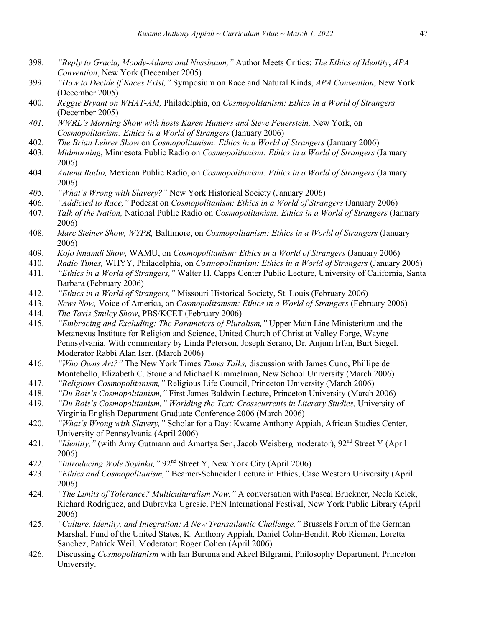- 398. *"Reply to Gracia, Moody-Adams and Nussbaum,"* Author Meets Critics: *The Ethics of Identity*, *APA Convention*, New York (December 2005)
- 399. *"How to Decide if Races Exist,"* Symposium on Race and Natural Kinds, *APA Convention*, New York (December 2005)
- 400. *Reggie Bryant on WHAT-AM,* Philadelphia, on *Cosmopolitanism: Ethics in a World of Strangers*  (December 2005)
- *401. WWRL's Morning Show with hosts Karen Hunters and Steve Feuerstein,* New York, on *Cosmopolitanism: Ethics in a World of Strangers* (January 2006)
- 402. *The Brian Lehrer Show* on *Cosmopolitanism: Ethics in a World of Strangers* (January 2006)
- 403. *Midmorning*, Minnesota Public Radio on *Cosmopolitanism: Ethics in a World of Strangers* (January 2006)
- 404. *Antena Radio,* Mexican Public Radio, on *Cosmopolitanism: Ethics in a World of Strangers* (January 2006)
- *405. "What's Wrong with Slavery?"* New York Historical Society (January 2006)
- 406. *"Addicted to Race,"* Podcast on *Cosmopolitanism: Ethics in a World of Strangers* (January 2006)
- 407. *Talk of the Nation,* National Public Radio on *Cosmopolitanism: Ethics in a World of Strangers* (January 2006)
- 408. *Marc Steiner Show, WYPR,* Baltimore, on *Cosmopolitanism: Ethics in a World of Strangers* (January 2006)
- 409. *Kojo Nnamdi Show,* WAMU, on *Cosmopolitanism: Ethics in a World of Strangers* (January 2006)
- 410. *Radio Times,* WHYY, Philadelphia, on *Cosmopolitanism: Ethics in a World of Strangers* (January 2006)
- 411. *"Ethics in a World of Strangers,"* Walter H. Capps Center Public Lecture, University of California, Santa Barbara (February 2006)
- 412. *"Ethics in a World of Strangers,"* Missouri Historical Society, St. Louis (February 2006)
- 413. *News Now,* Voice of America, on *Cosmopolitanism: Ethics in a World of Strangers* (February 2006)
- 414. *The Tavis Smiley Show*, PBS/KCET (February 2006)
- 415. *"Embracing and Excluding: The Parameters of Pluralism,"* Upper Main Line Ministerium and the Metanexus Institute for Religion and Science, United Church of Christ at Valley Forge, Wayne Pennsylvania. With commentary by Linda Peterson, Joseph Serano, Dr. Anjum Irfan, Burt Siegel. Moderator Rabbi Alan Iser. (March 2006)
- 416. *"Who Owns Art?"* The New York Times *Times Talks,* discussion with James Cuno, Phillipe de Montebello, Elizabeth C. Stone and Michael Kimmelman, New School University (March 2006)
- 417. *"Religious Cosmopolitanism,"* Religious Life Council, Princeton University (March 2006)
- 418. *"Du Bois's Cosmopolitanism,"* First James Baldwin Lecture, Princeton University (March 2006)
- 419. *"Du Bois's Cosmopolitanism," Worlding the Text: Crosscurrents in Literary Studies,* University of Virginia English Department Graduate Conference 2006 (March 2006)
- 420. *"What's Wrong with Slavery,"* Scholar for a Day: Kwame Anthony Appiah, African Studies Center, University of Pennsylvania (April 2006)
- 421. *"Identity,"* (with Amy Gutmann and Amartya Sen, Jacob Weisberg moderator), 92<sup>nd</sup> Street Y (April 2006)
- 422. *"Introducing Wole Soyinka,"* 92nd Street Y, New York City (April 2006)
- 423. *"Ethics and Cosmopolitanism,"* Beamer-Schneider Lecture in Ethics, Case Western University (April 2006)
- 424. *"The Limits of Tolerance? Multiculturalism Now,"* A conversation with Pascal Bruckner, Necla Kelek, Richard Rodriguez, and Dubravka Ugresic, PEN International Festival, New York Public Library (April 2006)
- 425. *"Culture, Identity, and Integration: A New Transatlantic Challenge,"* Brussels Forum of the German Marshall Fund of the United States, K. Anthony Appiah, Daniel Cohn-Bendit, Rob Riemen, Loretta Sanchez, Patrick Weil. Moderator: Roger Cohen (April 2006)
- 426. Discussing *Cosmopolitanism* with Ian Buruma and Akeel Bilgrami, Philosophy Department, Princeton University.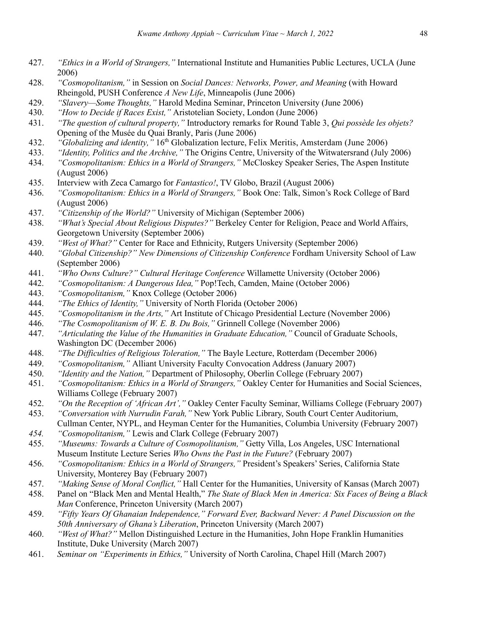- 427. *"Ethics in a World of Strangers,"* International Institute and Humanities Public Lectures, UCLA (June 2006)
- 428. *"Cosmopolitanism,"* in Session on *Social Dances: Networks, Power, and Meaning* (with Howard Rheingold, PUSH Conference *A New Life*, Minneapolis (June 2006)
- 429. *"Slavery—Some Thoughts,"* Harold Medina Seminar, Princeton University (June 2006)
- 430. *"How to Decide if Races Exist,"* Aristotelian Society, London (June 2006)
- 431. *"The question of cultural property,"* Introductory remarks for Round Table 3, *Qui possède les objets?* Opening of the Musée du Quai Branly, Paris (June 2006)
- 432. *"Globalizing and identity*, <sup>2</sup> 16<sup>th</sup> Globalization lecture, Felix Meritis, Amsterdam (June 2006)
- 433. *"Identity, Politics and the Archive,"* The Origins Centre, University of the Witwatersrand (July 2006)
- 434. *"Cosmopolitanism: Ethics in a World of Strangers,"* McCloskey Speaker Series, The Aspen Institute (August 2006)
- 435. Interview with Zeca Camargo for *Fantastico!*, TV Globo, Brazil (August 2006)
- 436. *"Cosmopolitanism: Ethics in a World of Strangers,"* Book One: Talk, Simon's Rock College of Bard (August 2006)
- 437. *"Citizenship of the World?"* University of Michigan (September 2006)
- 438. *"What's Special About Religious Disputes?"* Berkeley Center for Religion, Peace and World Affairs, Georgetown University (September 2006)
- 439. *"West of What?"* Center for Race and Ethnicity, Rutgers University (September 2006)
- 440. *"Global Citizenship?" New Dimensions of Citizenship Conference* Fordham University School of Law (September 2006)
- 441. *"Who Owns Culture?" Cultural Heritage Conference* Willamette University (October 2006)
- 442. *"Cosmopolitanism: A Dangerous Idea,"* Pop!Tech, Camden, Maine (October 2006)
- 443. *"Cosmopolitanism,"* Knox College (October 2006)
- 444. *"The Ethics of Identity,"* University of North Florida (October 2006)
- 445. *"Cosmopolitanism in the Arts,"* Art Institute of Chicago Presidential Lecture (November 2006)
- 446. *"The Cosmopolitanism of W. E. B. Du Bois,"* Grinnell College (November 2006)
- 447. *"Articulating the Value of the Humanities in Graduate Education,"* Council of Graduate Schools, Washington DC (December 2006)
- 448. *"The Difficulties of Religious Toleration,"* The Bayle Lecture, Rotterdam (December 2006)
- 449. *"Cosmopolitanism,"* Alliant University Faculty Convocation Address (January 2007)
- 450. *"Identity and the Nation,"* Department of Philosophy, Oberlin College (February 2007)
- 451. *"Cosmopolitanism: Ethics in a World of Strangers,"* Oakley Center for Humanities and Social Sciences, Williams College (February 2007)
- 452. *"On the Reception of 'African Art',"* Oakley Center Faculty Seminar, Williams College (February 2007)
- 453. *"Conversation with Nurrudin Farah,"* New York Public Library, South Court Center Auditorium, Cullman Center, NYPL, and Heyman Center for the Humanities, Columbia University (February 2007)
- *454. "Cosmopolitanism,"* Lewis and Clark College (February 2007)
- 455. *"Museums: Towards a Culture of Cosmopolitanism,"* Getty Villa, Los Angeles, USC International Museum Institute Lecture Series *Who Owns the Past in the Future?* (February 2007)
- 456. *"Cosmopolitanism: Ethics in a World of Strangers,"* President's Speakers' Series, California State University, Monterey Bay (February 2007)
- 457. *"Making Sense of Moral Conflict,"* Hall Center for the Humanities, University of Kansas (March 2007)
- 458. Panel on "Black Men and Mental Health," *The State of Black Men in America: Six Faces of Being a Black Man* Conference, Princeton University (March 2007)
- 459. *"Fifty Years Of Ghanaian Independence," Forward Ever, Backward Never: A Panel Discussion on the 50th Anniversary of Ghana's Liberation*, Princeton University (March 2007)
- 460. *"West of What?"* Mellon Distinguished Lecture in the Humanities, John Hope Franklin Humanities Institute, Duke University (March 2007)
- 461. *Seminar on "Experiments in Ethics,"* University of North Carolina, Chapel Hill (March 2007)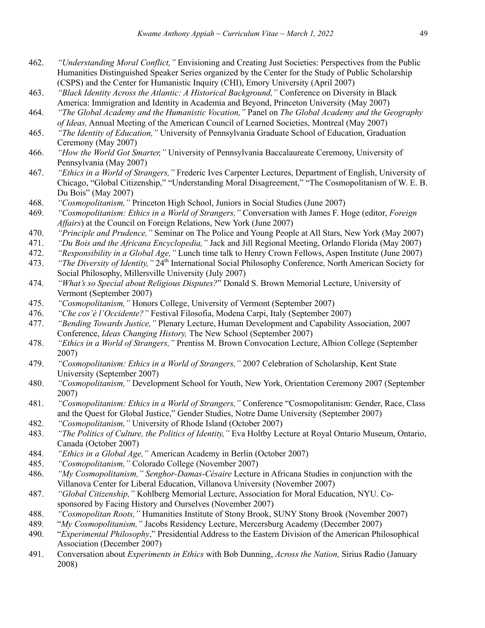- 462. *"Understanding Moral Conflict,"* Envisioning and Creating Just Societies: Perspectives from the Public Humanities Distinguished Speaker Series organized by the Center for the Study of Public Scholarship (CSPS) and the Center for Humanistic Inquiry (CHI), Emory University (April 2007)
- 463. *"Black Identity Across the Atlantic: A Historical Background,"* Conference on Diversity in Black America: Immigration and Identity in Academia and Beyond, Princeton University (May 2007)
- 464. *"The Global Academy and the Humanistic Vocation,"* Panel on *The Global Academy and the Geography of Ideas,* Annual Meeting of the American Council of Learned Societies, Montreal (May 2007)
- 465. *"The Identity of Education,"* University of Pennsylvania Graduate School of Education, Graduation Ceremony (May 2007)
- 466. *"How the World Got Smarter,"* University of Pennsylvania Baccalaureate Ceremony, University of Pennsylvania (May 2007)
- 467. *"Ethics in a World of Strangers,"* Frederic Ives Carpenter Lectures, Department of English, University of Chicago, "Global Citizenship," "Understanding Moral Disagreement," "The Cosmopolitanism of W. E. B. Du Bois" (May 2007)
- 468. *"Cosmopolitanism,"* Princeton High School, Juniors in Social Studies (June 2007)
- 469. *"Cosmopolitanism: Ethics in a World of Strangers,"* Conversation with James F. Hoge (editor, *Foreign Affairs*) at the Council on Foreign Relations, New York (June 2007)
- 470. *"Principle and Prudence,"* Seminar on The Police and Young People at All Stars, New York (May 2007)
- 471. *"Du Bois and the Africana Encyclopedia,"* Jack and Jill Regional Meeting, Orlando Florida (May 2007)
- 472. *"Responsibility in a Global Age,"* Lunch time talk to Henry Crown Fellows, Aspen Institute (June 2007)
- 473. *"The Diversity of Identity,"* 24th International Social Philosophy Conference, North American Society for Social Philosophy, Millersville University (July 2007)
- 474. *"What's so Special about Religious Disputes?*" Donald S. Brown Memorial Lecture, University of Vermont (September 2007)
- 475. *"Cosmopolitanism,"* Honors College, University of Vermont (September 2007)
- 476. *"Che cos'è l'Occidente?"* Festival Filosofia, Modena Carpi, Italy (September 2007)
- 477. *"Bending Towards Justice,"* Plenary Lecture, Human Development and Capability Association, 2007 Conference, *Ideas Changing History,* The New School (September 2007)
- 478. *"Ethics in a World of Strangers,"* Prentiss M. Brown Convocation Lecture, Albion College (September 2007)
- 479. *"Cosmopolitanism: Ethics in a World of Strangers,"* 2007 Celebration of Scholarship, Kent State University (September 2007)
- 480. *"Cosmopolitanism,"* Development School for Youth, New York, Orientation Ceremony 2007 (September 2007)
- 481. *"Cosmopolitanism: Ethics in a World of Strangers,"* Conference "Cosmopolitanism: Gender, Race, Class and the Quest for Global Justice," Gender Studies, Notre Dame University (September 2007)
- 482. *"Cosmopolitanism,"* University of Rhode Island (October 2007)
- 483. *"The Politics of Culture, the Politics of Identity,"* Eva Holtby Lecture at Royal Ontario Museum, Ontario, Canada (October 2007)
- 484. *"Ethics in a Global Age,"* American Academy in Berlin (October 2007)
- 485. *"Cosmopolitanism,"* Colorado College (November 2007)
- 486. *"My Cosmopolitanism," Senghor-Damas-Césaire* Lecture in Africana Studies in conjunction with the Villanova Center for Liberal Education, Villanova University (November 2007)
- 487. *"Global Citizenship,"* Kohlberg Memorial Lecture, Association for Moral Education, NYU. Cosponsored by Facing History and Ourselves (November 2007)
- 488. *"Cosmopolitan Roots,"* Humanities Institute of Stony Brook, SUNY Stony Brook (November 2007)
- 489. "*My Cosmopolitanism,"* Jacobs Residency Lecture, Mercersburg Academy (December 2007)
- 490. "*Experimental Philosophy*," Presidential Address to the Eastern Division of the American Philosophical Association (December 2007)
- 491. Conversation about *Experiments in Ethics* with Bob Dunning, *Across the Nation,* Sirius Radio (January 2008)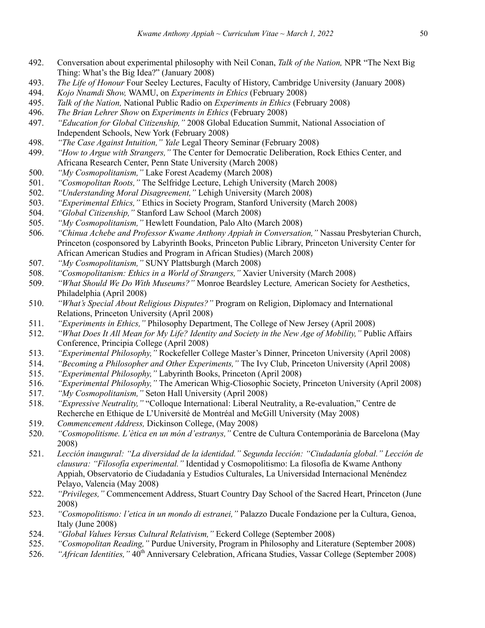- 492. Conversation about experimental philosophy with Neil Conan, *Talk of the Nation,* NPR "The Next Big Thing: What's the Big Idea?" (January 2008)
- 493. *The Life of Honour* Four Seeley Lectures, Faculty of History, Cambridge University (January 2008)
- 494. *Kojo Nnamdi Show,* WAMU, on *Experiments in Ethics* (February 2008)
- 495. *Talk of the Nation,* National Public Radio on *Experiments in Ethics* (February 2008)
- 496. *The Brian Lehrer Show* on *Experiments in Ethics* (February 2008)
- 497. *"Education for Global Citizenship,"* 2008 Global Education Summit, National Association of Independent Schools, New York (February 2008)
- 498. *"The Case Against Intuition," Yale* Legal Theory Seminar (February 2008)
- 499. *"How to Argue with Strangers,"* The Center for Democratic Deliberation, Rock Ethics Center, and Africana Research Center, Penn State University (March 2008)
- 500. *"My Cosmopolitanism,"* Lake Forest Academy (March 2008)
- 501. *"Cosmopolitan Roots,"* The Selfridge Lecture, Lehigh University (March 2008)
- 502. *"Understanding Moral Disagreement,"* Lehigh University (March 2008)
- 503. *"Experimental Ethics,"* Ethics in Society Program, Stanford University (March 2008)
- 504. *"Global Citizenship,"* Stanford Law School (March 2008)
- 505. *"My Cosmopolitanism,"* Hewlett Foundation, Palo Alto (March 2008)
- 506. *"Chinua Achebe and Professor Kwame Anthony Appiah in Conversation,"* Nassau Presbyterian Church, Princeton (cosponsored by Labyrinth Books, Princeton Public Library, Princeton University Center for African American Studies and Program in African Studies) (March 2008)
- 507. *"My Cosmopolitanism,"* SUNY Plattsburgh (March 2008)
- 508. *"Cosmopolitanism: Ethics in a World of Strangers,"* Xavier University (March 2008)
- 509. *"What Should We Do With Museums?"* Monroe Beardsley Lecture*,* American Society for Aesthetics, Philadelphia (April 2008)
- 510. *"What's Special About Religious Disputes?"* Program on Religion, Diplomacy and International Relations, Princeton University (April 2008)
- 511. *"Experiments in Ethics,"* Philosophy Department, The College of New Jersey (April 2008)
- 512. *"What Does It All Mean for My Life? Identity and Society in the New Age of Mobility,"* Public Affairs Conference, Principia College (April 2008)
- 513. *"Experimental Philosophy,"* Rockefeller College Master's Dinner, Princeton University (April 2008)
- 514. *"Becoming a Philosopher and Other Experiments,"* The Ivy Club, Princeton University (April 2008)
- 515. *"Experimental Philosophy,"* Labyrinth Books, Princeton (April 2008)
- 516. *"Experimental Philosophy,"* The American Whig-Cliosophic Society, Princeton University (April 2008)
- 517. *"My Cosmopolitanism,"* Seton Hall University (April 2008)
- 518. *"Expressive Neutrality,"* "Colloque International: Liberal Neutrality, a Re-evaluation," Centre de Recherche en Ethique de L'Université de Montréal and McGill University (May 2008)
- 519. *Commencement Address,* Dickinson College, (May 2008)
- 520. *"Cosmopolitisme. L'ètica en un món d'estranys,"* Centre de Cultura Contemporània de Barcelona (May 2008)
- 521. *Lección inaugural: "La diversidad de la identidad." Segunda lección: "Ciudadanía global." Lección de clausura: "Filosofía experimental."* Identidad y Cosmopolitismo: La filosofía de Kwame Anthony Appiah, Observatorio de Ciudadanía y Estudios Culturales, La Universidad Internacional Menéndez Pelayo, Valencia (May 2008)
- 522. *"Privileges,"* Commencement Address, Stuart Country Day School of the Sacred Heart, Princeton (June 2008)
- 523. *"Cosmopolitismo: l'etica in un mondo di estranei,"* Palazzo Ducale Fondazione per la Cultura, Genoa, Italy (June 2008)
- 524. *"Global Values Versus Cultural Relativism,"* Eckerd College (September 2008)
- 525. *"Cosmopolitan Reading,"* Purdue University, Program in Philosophy and Literature (September 2008)
- 526. *"African Identities,"* 40<sup>th</sup> Anniversary Celebration, Africana Studies, Vassar College (September 2008)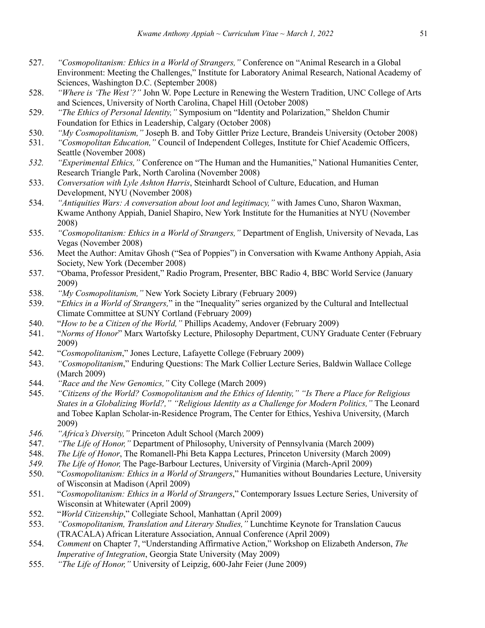- 527. *"Cosmopolitanism: Ethics in a World of Strangers,"* Conference on "Animal Research in a Global Environment: Meeting the Challenges," Institute for Laboratory Animal Research, National Academy of Sciences, Washington D.C. (September 2008)
- 528. *"Where is 'The West'?"* John W. Pope Lecture in Renewing the Western Tradition, UNC College of Arts and Sciences, University of North Carolina, Chapel Hill (October 2008)
- 529. *"The Ethics of Personal Identity,"* Symposium on "Identity and Polarization," Sheldon Chumir Foundation for Ethics in Leadership, Calgary (October 2008)
- 530. *"My Cosmopolitanism,"* Joseph B. and Toby Gittler Prize Lecture, Brandeis University (October 2008)
- 531. *"Cosmopolitan Education,"* Council of Independent Colleges, Institute for Chief Academic Officers, Seattle (November 2008)
- *532. "Experimental Ethics,"* Conference on "The Human and the Humanities," National Humanities Center, Research Triangle Park, North Carolina (November 2008)
- 533. *Conversation with Lyle Ashton Harris*, Steinhardt School of Culture, Education, and Human Development, NYU (November 2008)
- 534. *"Antiquities Wars: A conversation about loot and legitimacy,"* with James Cuno, Sharon Waxman, Kwame Anthony Appiah, Daniel Shapiro, New York Institute for the Humanities at NYU (November 2008)
- 535. *"Cosmopolitanism: Ethics in a World of Strangers,"* Department of English, University of Nevada, Las Vegas (November 2008)
- 536. Meet the Author: Amitav Ghosh ("Sea of Poppies") in Conversation with Kwame Anthony Appiah, Asia Society, New York (December 2008)
- 537. "Obama, Professor President," Radio Program, Presenter, BBC Radio 4, BBC World Service (January 2009)
- 538. *"My Cosmopolitanism,"* New York Society Library (February 2009)
- 539. "*Ethics in a World of Strangers,*" in the "Inequality" series organized by the Cultural and Intellectual Climate Committee at SUNY Cortland (February 2009)
- 540. "*How to be a Citizen of the World,"* Phillips Academy, Andover (February 2009)
- 541. "*Norms of Honor*" Marx Wartofsky Lecture, Philosophy Department, CUNY Graduate Center (February 2009)
- 542. "*Cosmopolitanism*," Jones Lecture, Lafayette College (February 2009)
- 543. *"Cosmopolitanism*," Enduring Questions: The Mark Collier Lecture Series, Baldwin Wallace College (March 2009)
- 544. *"Race and the New Genomics,"* City College (March 2009)
- 545. *"Citizens of the World? Cosmopolitanism and the Ethics of Identity," "Is There a Place for Religious States in a Globalizing World?," "Religious Identity as a Challenge for Modern Politics,"* The Leonard and Tobee Kaplan Scholar-in-Residence Program, The Center for Ethics, Yeshiva University, (March 2009)
- *546. "Africa's Diversity,"* Princeton Adult School (March 2009)
- 547. *"The Life of Honor,"* Department of Philosophy, University of Pennsylvania (March 2009)
- 548. *The Life of Honor*, The Romanell-Phi Beta Kappa Lectures, Princeton University (March 2009)
- *549. The Life of Honor,* The Page-Barbour Lectures, University of Virginia (March-April 2009)
- 550. "*Cosmopolitanism: Ethics in a World of Strangers*," Humanities without Boundaries Lecture, University of Wisconsin at Madison (April 2009)
- 551. "*Cosmopolitanism: Ethics in a World of Strangers*," Contemporary Issues Lecture Series, University of Wisconsin at Whitewater (April 2009)
- 552. "*World Citizenship*," Collegiate School, Manhattan (April 2009)
- 553. *"Cosmopolitanism, Translation and Literary Studies,"* Lunchtime Keynote for Translation Caucus (TRACALA) African Literature Association, Annual Conference (April 2009)
- 554. *Comment* on Chapter 7, "Understanding Affirmative Action," Workshop on Elizabeth Anderson, *The Imperative of Integration*, Georgia State University (May 2009)
- 555. *"The Life of Honor,"* University of Leipzig, 600-Jahr Feier (June 2009)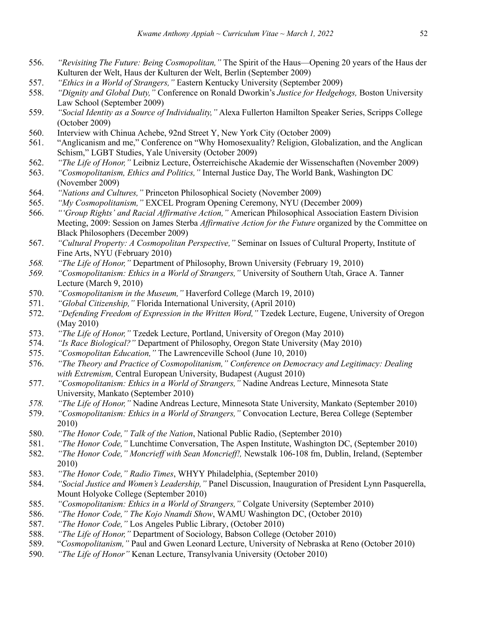- 556. *"Revisiting The Future: Being Cosmopolitan,"* The Spirit of the Haus—Opening 20 years of the Haus der Kulturen der Welt, Haus der Kulturen der Welt, Berlin (September 2009)
- 557. *"Ethics in a World of Strangers,"* Eastern Kentucky University (September 2009)
- 558. *"Dignity and Global Duty,"* Conference on Ronald Dworkin's *Justice for Hedgehogs,* Boston University Law School (September 2009)
- 559. *"Social Identity as a Source of Individuality,"* Alexa Fullerton Hamilton Speaker Series, Scripps College (October 2009)
- 560. Interview with Chinua Achebe, 92nd Street Y, New York City (October 2009)
- 561. "Anglicanism and me," Conference on "Why Homosexuality? Religion, Globalization, and the Anglican Schism," LGBT Studies, Yale University (October 2009)
- 562. *"The Life of Honor,"* Leibniz Lecture, Österreichische Akademie der Wissenschaften (November 2009)
- 563. *"Cosmopolitanism, Ethics and Politics,"* Internal Justice Day, The World Bank, Washington DC (November 2009)
- 564. *"Nations and Cultures,"* Princeton Philosophical Society (November 2009)
- 565. *"My Cosmopolitanism,"* EXCEL Program Opening Ceremony, NYU (December 2009)
- 566. *"'Group Rights' and Racial Affirmative Action,"* American Philosophical Association Eastern Division Meeting, 2009: Session on James Sterba *Affirmative Action for the Future* organized by the Committee on Black Philosophers (December 2009)
- 567. *"Cultural Property: A Cosmopolitan Perspective,"* Seminar on Issues of Cultural Property, Institute of Fine Arts, NYU (February 2010)
- *568. "The Life of Honor,"* Department of Philosophy, Brown University (February 19, 2010)
- *569. "Cosmopolitanism: Ethics in a World of Strangers,"* University of Southern Utah, Grace A. Tanner Lecture (March 9, 2010)
- 570. *"Cosmopolitanism in the Museum,"* Haverford College (March 19, 2010)
- 571. *"Global Citizenship,"* Florida International University, (April 2010)
- 572. *"Defending Freedom of Expression in the Written Word,"* Tzedek Lecture, Eugene, University of Oregon (May 2010)
- 573. *"The Life of Honor,"* Tzedek Lecture, Portland, University of Oregon (May 2010)
- 574. *"Is Race Biological?"* Department of Philosophy, Oregon State University (May 2010)
- 575. *"Cosmopolitan Education,"* The Lawrenceville School (June 10, 2010)
- 576. *"The Theory and Practice of Cosmopolitanism," Conference on Democracy and Legitimacy: Dealing with Extremism,* Central European University, Budapest (August 2010)
- 577. *"Cosmopolitanism: Ethics in a World of Strangers,"* Nadine Andreas Lecture, Minnesota State University, Mankato (September 2010)
- *578. "The Life of Honor,"* Nadine Andreas Lecture, Minnesota State University, Mankato (September 2010)
- 579. *"Cosmopolitanism: Ethics in a World of Strangers,"* Convocation Lecture, Berea College (September 2010)
- 580. *"The Honor Code," Talk of the Nation*, National Public Radio, (September 2010)
- 581. *"The Honor Code,"* Lunchtime Conversation, The Aspen Institute, Washington DC, (September 2010)
- 582. *"The Honor Code," Moncrieff with Sean Moncrieff!,* Newstalk 106-108 fm, Dublin, Ireland, (September 2010)
- 583. *"The Honor Code," Radio Times*, WHYY Philadelphia, (September 2010)
- 584. *"Social Justice and Women's Leadership,"* Panel Discussion, Inauguration of President Lynn Pasquerella, Mount Holyoke College (September 2010)
- 585. *"Cosmopolitanism: Ethics in a World of Strangers,"* Colgate University (September 2010)
- 586. *"The Honor Code," The Kojo Nnamdi Show*, WAMU Washington DC, (October 2010)
- 587. *"The Honor Code,"* Los Angeles Public Library, (October 2010)
- 588. *"The Life of Honor,"* Department of Sociology, Babson College (October 2010)
- 589. "*Cosmopolitanism,"* Paul and Gwen Leonard Lecture, University of Nebraska at Reno (October 2010)
- 590. *"The Life of Honor"* Kenan Lecture, Transylvania University (October 2010)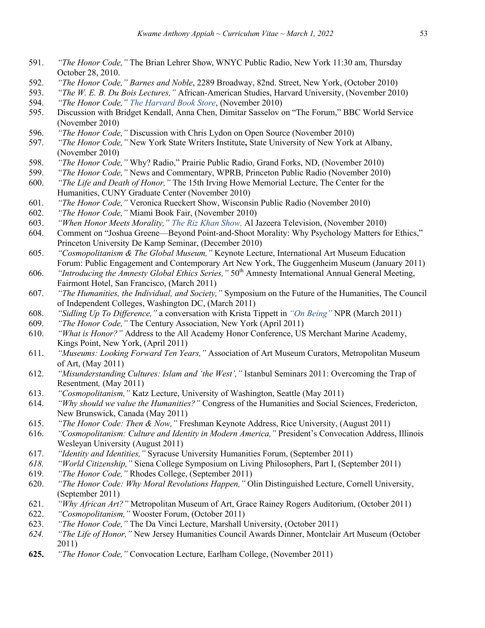- 591. *"The Honor Code,"* The Brian Lehrer Show, WNYC Public Radio, New York 11:30 am, Thursday October 28, 2010.
- 592. *"The Honor Code," Barnes and Noble*, 2289 Broadway, 82nd. Street, New York, (October 2010)
- 593. *"The W. E. B. Du Bois Lectures,"* African-American Studies, Harvard University, (November 2010)
- 594. *"The Honor Code," The Harvard Book Store*, (November 2010)
- 595. Discussion with Bridget Kendall, Anna Chen, Dimitar Sasselov on "The Forum," BBC World Service (November 2010)
- 596. *"The Honor Code,"* Discussion with Chris Lydon on Open Source (November 2010)
- 597. *"The Honor Code,"* New York State Writers Institute**,** State University of New York at Albany, (November 2010)
- 598. *"The Honor Code,"* Why? Radio," Prairie Public Radio, Grand Forks, ND, (November 2010)
- 599. *"The Honor Code,"* News and Commentary, WPRB, Princeton Public Radio (November 2010)
- 600. *"The Life and Death of Honor,"* The 15th Irving Howe Memorial Lecture, The Center for the Humanities, CUNY Graduate Center (November 2010)
- 601. *"The Honor Code,"* Veronica Rueckert Show, Wisconsin Public Radio (November 2010)
- 602. *"The Honor Code,"* Miami Book Fair, (November 2010)
- 603. *"When Honor Meets Morality," The Riz Khan Show,* Al Jazeera Television, (November 2010)
- 604. Comment on "Joshua Greene—Beyond Point-and-Shoot Morality: Why Psychology Matters for Ethics," Princeton University De Kamp Seminar, (December 2010)
- 605. *"Cosmopolitanism & The Global Museum,"* Keynote Lecture, International Art Museum Education Forum: Public Engagement and Contemporary Art New York, The Guggenheim Museum (January 2011)
- 606. *"Introducing the Amnesty Global Ethics Series,"* 50th Amnesty International Annual General Meeting, Fairmont Hotel, San Francisco, (March 2011)
- 607. *"The Humanities, the Individual, and Society,"* Symposium on the Future of the Humanities, The Council of Independent Colleges, Washington DC, (March 2011)
- 608. *"Sidling Up To Difference,"* a conversation with Krista Tippett in *"On Being"* NPR (March 2011)
- 609. *"The Honor Code,"* The Century Association, New York (April 2011)
- 610. *"What is Honor?"* Address to the All Academy Honor Conference, US Merchant Marine Academy, Kings Point, New York, (April 2011)
- 611. *"Museums: Looking Forward Ten Years,"* Association of Art Museum Curators, Metropolitan Museum of Art, (May 2011)
- 612. *"Misunderstanding Cultures: Islam and 'the West',"* Istanbul Seminars 2011: Overcoming the Trap of Resentment*,* (May 2011)
- 613. *"Cosmopolitanism,"* Katz Lecture, University of Washington, Seattle (May 2011)
- 614. *"Why should we value the Humanities?"* Congress of the Humanities and Social Sciences, Fredericton, New Brunswick, Canada (May 2011)
- 615. *"The Honor Code: Then & Now,"* Freshman Keynote Address, Rice University, (August 2011)
- 616. *"Cosmopolitanism: Culture and Identity in Modern America,"* President's Convocation Address, Illinois Wesleyan University (August 2011)
- 617. *"Identity and Identities,"* Syracuse University Humanities Forum, (September 2011)
- *618. "World Citizenship,"* Siena College Symposium on Living Philosophers, Part I, (September 2011)
- 619. *"The Honor Code,"* Rhodes College, (September 2011)
- 620. *"The Honor Code: Why Moral Revolutions Happen,"* Olin Distinguished Lecture, Cornell University, (September 2011)
- 621. *"Why African Art?"* Metropolitan Museum of Art, Grace Rainey Rogers Auditorium, (October 2011)
- 622. *"Cosmopolitanism,"* Wooster Forum, (October 2011)
- 623. *"The Honor Code,"* The Da Vinci Lecture, Marshall University, (October 2011)
- *624. "The Life of Honor,"* New Jersey Humanities Council Awards Dinner, Montclair Art Museum (October 2011)
- **625.** *"The Honor Code,"* Convocation Lecture, Earlham College, (November 2011)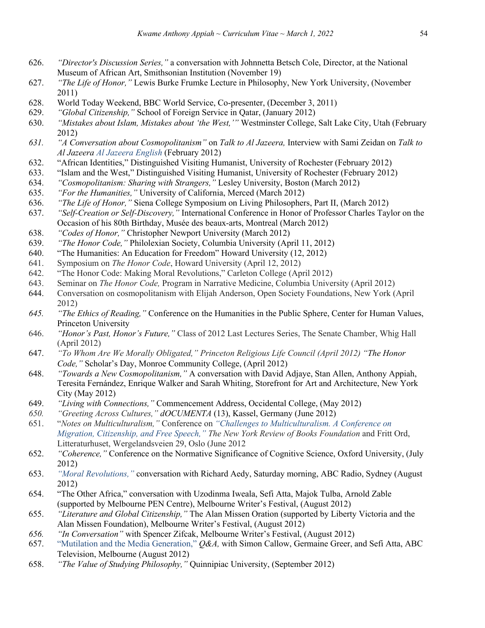- 626. *"Director's Discussion Series,"* a conversation with Johnnetta Betsch Cole, Director, at the National Museum of African Art, Smithsonian Institution (November 19)
- 627. *"The Life of Honor,"* Lewis Burke Frumke Lecture in Philosophy, New York University, (November 2011)
- 628. World Today Weekend, BBC World Service, Co-presenter, (December 3, 2011)
- 629. *"Global Citizenship,"* School of Foreign Service in Qatar, (January 2012)
- 630. *"Mistakes about Islam, Mistakes about 'the West,'"* Westminster College, Salt Lake City, Utah (February 2012)
- *631. "A Conversation about Cosmopolitanism"* on *Talk to Al Jazeera,* Interview with Sami Zeidan on *Talk to Al Jazeera Al Jazeera English* (February 2012)
- 632. "African Identities," Distinguished Visiting Humanist, University of Rochester (February 2012)
- 633. "Islam and the West," Distinguished Visiting Humanist, University of Rochester (February 2012)
- 634. *"Cosmopolitanism: Sharing with Strangers,"* Lesley University, Boston (March 2012)
- 635. *"For the Humanities,"* University of California, Merced (March 2012)
- 636. *"The Life of Honor,"* Siena College Symposium on Living Philosophers, Part II, (March 2012)
- 637. *"Self-Creation or Self-Discovery,"* International Conference in Honor of Professor Charles Taylor on the Occasion of his 80th Birthday, Musée des beaux-arts, Montreal (March 2012)
- 638. *"Codes of Honor,"* Christopher Newport University (March 2012)
- 639. *"The Honor Code,"* Philolexian Society, Columbia University (April 11, 2012)
- 640. "The Humanities: An Education for Freedom" Howard University (12, 2012)
- 641. Symposium on *The Honor Code*, Howard University (April 12, 2012)
- 642. "The Honor Code: Making Moral Revolutions," Carleton College (April 2012)
- 643. Seminar on *The Honor Code,* Program in Narrative Medicine, Columbia University (April 2012)
- 644. Conversation on cosmopolitanism with Elijah Anderson, Open Society Foundations, New York (April 2012)
- *645. "The Ethics of Reading,"* Conference on the Humanities in the Public Sphere, Center for Human Values, Princeton University
- 646. *"Honor's Past, Honor's Future,"* Class of 2012 Last Lectures Series, The Senate Chamber, Whig Hall (April 2012)
- 647. *"To Whom Are We Morally Obligated," Princeton Religious Life Council (April 2012) "The Honor Code,"* Scholar's Day, Monroe Community College, (April 2012)
- 648. *"Towards a New Cosmopolitanism,"* A conversation with David Adjaye, Stan Allen, Anthony Appiah, Teresita Fernández, Enrique Walker and Sarah Whiting, Storefront for Art and Architecture, New York City (May 2012)
- 649. *"Living with Connections,"* Commencement Address, Occidental College, (May 2012)
- *650. "Greeting Across Cultures," dOCUMENTA* (13), Kassel, Germany (June 2012)
- 651. "*Notes on Multiculturalism,"* Conference on *"Challenges to Multiculturalism. A Conference on Migration, Citizenship, and Free Speech," The New York Review of Books Foundation* and Fritt Ord, Litteraturhuset, Wergelandsveien 29, Oslo (June 2012
- 652. *"Coherence,"* Conference on the Normative Significance of Cognitive Science, Oxford University, (July 2012)
- 653. *"Moral Revolutions,"* conversation with Richard Aedy, Saturday morning, ABC Radio, Sydney (August 2012)
- 654. "The Other Africa," conversation with Uzodinma Iweala, Sefi Atta, Majok Tulba, Arnold Zable (supported by Melbourne PEN Centre), Melbourne Writer's Festival, (August 2012)
- 655. *"Literature and Global Citizenship,"* The Alan Missen Oration (supported by Liberty Victoria and the Alan Missen Foundation), Melbourne Writer's Festival, (August 2012)
- *656. "In Conversation"* with Spencer Zifcak, Melbourne Writer's Festival, (August 2012)
- 657. "Mutilation and the Media Generation," *Q&A,* with Simon Callow, Germaine Greer, and Sefi Atta, ABC Television, Melbourne (August 2012)
- 658. *"The Value of Studying Philosophy,"* Quinnipiac University, (September 2012)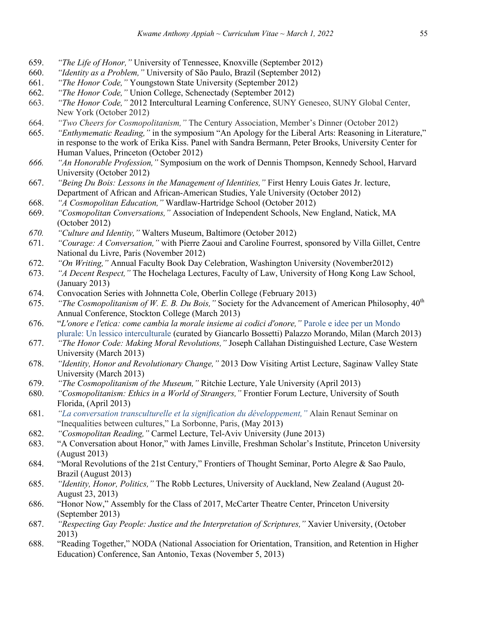- 659. *"The Life of Honor,"* University of Tennessee, Knoxville (September 2012)
- 660. *"Identity as a Problem,"* University of São Paulo, Brazil (September 2012)
- 661. *"The Honor Code,"* Youngstown State University (September 2012)
- 662. *"The Honor Code,"* Union College, Schenectady (September 2012)
- 663. *"The Honor Code,"* 2012 Intercultural Learning Conference, SUNY Geneseo, SUNY Global Center, New York (October 2012)
- 664. *"Two Cheers for Cosmopolitanism,"* The Century Association, Member's Dinner (October 2012)
- 665. *"Enthymematic Reading,"* in the symposium "An Apology for the Liberal Arts: Reasoning in Literature," in response to the work of Erika Kiss. Panel with Sandra Bermann, Peter Brooks, University Center for Human Values, Princeton (October 2012)
- *666. "An Honorable Profession,"* Symposium on the work of Dennis Thompson, Kennedy School, Harvard University (October 2012)
- 667. *"Being Du Bois: Lessons in the Management of Identities,"* First Henry Louis Gates Jr. lecture, Department of African and African-American Studies, Yale University (October 2012)
- 668. *"A Cosmopolitan Education,"* Wardlaw-Hartridge School (October 2012)
- 669. *"Cosmopolitan Conversations,"* Association of Independent Schools, New England, Natick, MA (October 2012)
- *670. "Culture and Identity,"* Walters Museum, Baltimore (October 2012)
- 671. *"Courage: A Conversation,"* with Pierre Zaoui and Caroline Fourrest, sponsored by Villa Gillet, Centre National du Livre, Paris (November 2012)
- 672. *"On Writing,"* Annual Faculty Book Day Celebration, Washington University (November2012)
- 673. *"A Decent Respect,"* The Hochelaga Lectures, Faculty of Law, University of Hong Kong Law School, (January 2013)
- 674. Convocation Series with Johnnetta Cole, Oberlin College (February 2013)
- 675. *"The Cosmopolitanism of W. E. B. Du Bois,"* Society for the Advancement of American Philosophy, 40th Annual Conference, Stockton College (March 2013)
- 676. "*L'onore e l'etica: come cambia la morale insieme ai codici d'onore,"* Parole e idee per un Mondo plurale: Un lessico interculturale (curated by Giancarlo Bossetti) Palazzo Morando, Milan (March 2013)
- 677. *"The Honor Code: Making Moral Revolutions,"* Joseph Callahan Distinguished Lecture, Case Western University (March 2013)
- 678. *"Identity, Honor and Revolutionary Change,"* 2013 Dow Visiting Artist Lecture, Saginaw Valley State University (March 2013)
- 679. *"The Cosmopolitanism of the Museum,"* Ritchie Lecture, Yale University (April 2013)
- 680. *"Cosmopolitanism: Ethics in a World of Strangers,"* Frontier Forum Lecture, University of South Florida, (April 2013)
- 681. *"La conversation transculturelle et la signification du développement,"* Alain Renaut Seminar on "Inequalities between cultures," La Sorbonne, Paris, (May 2013)
- 682. *"Cosmopolitan Reading,"* Carmel Lecture, Tel-Aviv University (June 2013)
- 683. "A Conversation about Honor," with James Linville, Freshman Scholar's Institute, Princeton University (August 2013)
- 684. "Moral Revolutions of the 21st Century," Frontiers of Thought Seminar, Porto Alegre & Sao Paulo, Brazil (August 2013)
- 685. *"Identity, Honor, Politics,"* The Robb Lectures, University of Auckland, New Zealand (August 20- August 23, 2013)
- 686. "Honor Now," Assembly for the Class of 2017, McCarter Theatre Center, Princeton University (September 2013)
- 687. *"Respecting Gay People: Justice and the Interpretation of Scriptures,"* Xavier University, (October 2013)
- 688. "Reading Together," NODA (National Association for Orientation, Transition, and Retention in Higher Education) Conference, San Antonio, Texas (November 5, 2013)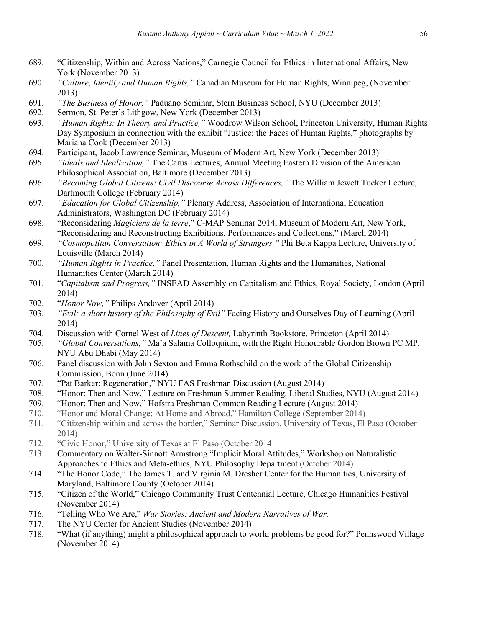- 689. "Citizenship, Within and Across Nations," Carnegie Council for Ethics in International Affairs, New York (November 2013)
- 690. *"Culture, Identity and Human Rights,"* Canadian Museum for Human Rights, Winnipeg, (November 2013)
- 691. *"The Business of Honor,"* Paduano Seminar, Stern Business School, NYU (December 2013)
- 692. Sermon, St. Peter's Lithgow, New York (December 2013)
- 693. *"Human Rights: In Theory and Practice,"* Woodrow Wilson School, Princeton University, Human Rights Day Symposium in connection with the exhibit "Justice: the Faces of Human Rights," photographs by Mariana Cook (December 2013)
- 694. Participant, Jacob Lawrence Seminar, Museum of Modern Art, New York (December 2013)
- 695. *"Ideals and Idealization,"* The Carus Lectures, Annual Meeting Eastern Division of the American Philosophical Association, Baltimore (December 2013)
- 696. *"Becoming Global Citizens: Civil Discourse Across Differences,"* The William Jewett Tucker Lecture, Dartmouth College (February 2014)
- 697. *"Education for Global Citizenship,"* Plenary Address, Association of International Education Administrators, Washington DC (February 2014)
- 698. "Reconsidering *Magiciens de la terre*," C-MAP Seminar 2014, Museum of Modern Art, New York, "Reconsidering and Reconstructing Exhibitions, Performances and Collections," (March 2014)
- 699. *"Cosmopolitan Conversation: Ethics in A World of Strangers,"* Phi Beta Kappa Lecture, University of Louisville (March 2014)
- 700. *"Human Rights in Practice,"* Panel Presentation, Human Rights and the Humanities, National Humanities Center (March 2014)
- 701. "*Capitalism and Progress,"* INSEAD Assembly on Capitalism and Ethics, Royal Society, London (April 2014)
- 702. "*Honor Now,"* Philips Andover (April 2014)
- 703. *"Evil: a short history of the Philosophy of Evil"* Facing History and Ourselves Day of Learning (April 2014)
- 704. Discussion with Cornel West of *Lines of Descent,* Labyrinth Bookstore, Princeton (April 2014)
- 705. *"Global Conversations,"* Ma'a Salama Colloquium, with the Right Honourable Gordon Brown PC MP, NYU Abu Dhabi (May 2014)
- 706. Panel discussion with John Sexton and Emma Rothschild on the work of the Global Citizenship Commission, Bonn (June 2014)
- 707. "Pat Barker: Regeneration," NYU FAS Freshman Discussion (August 2014)
- 708. "Honor: Then and Now," Lecture on Freshman Summer Reading, Liberal Studies, NYU (August 2014)
- 709. "Honor: Then and Now," Hofstra Freshman Common Reading Lecture (August 2014)
- 710. "Honor and Moral Change: At Home and Abroad," Hamilton College (September 2014)
- 711. "Citizenship within and across the border," Seminar Discussion, University of Texas, El Paso (October 2014)
- 712. "Civic Honor," University of Texas at El Paso (October 2014
- 713. Commentary on Walter-Sinnott Armstrong "Implicit Moral Attitudes," Workshop on Naturalistic Approaches to Ethics and Meta-ethics, NYU Philosophy Department (October 2014)
- 714. "The Honor Code," The James T. and Virginia M. Dresher Center for the Humanities, University of Maryland, Baltimore County (October 2014)
- 715. "Citizen of the World," Chicago Community Trust Centennial Lecture, Chicago Humanities Festival (November 2014)
- 716. "Telling Who We Are," *War Stories: Ancient and Modern Narratives of War,*
- 717. The NYU Center for Ancient Studies (November 2014)
- 718. "What (if anything) might a philosophical approach to world problems be good for?" Pennswood Village (November 2014)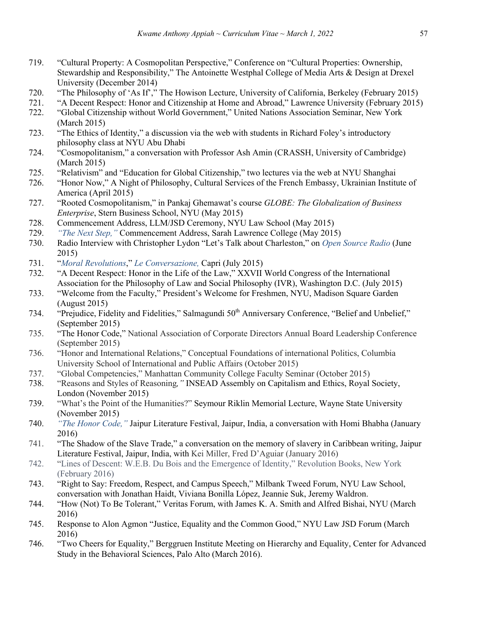- 719. "Cultural Property: A Cosmopolitan Perspective," Conference on "Cultural Properties: Ownership, Stewardship and Responsibility," The Antoinette Westphal College of Media Arts & Design at Drexel University (December 2014)
- 720. "The Philosophy of 'As If'," The Howison Lecture, University of California, Berkeley (February 2015)
- 721. "A Decent Respect: Honor and Citizenship at Home and Abroad," Lawrence University (February 2015) 722. "Global Citizenship without World Government," United Nations Association Seminar, New York
- (March 2015)
- 723. "The Ethics of Identity," a discussion via the web with students in Richard Foley's introductory philosophy class at NYU Abu Dhabi
- 724. "Cosmopolitanism," a conversation with Professor Ash Amin (CRASSH, University of Cambridge) (March 2015)
- 725. "Relativism" and "Education for Global Citizenship," two lectures via the web at NYU Shanghai
- 726. "Honor Now," A Night of Philosophy, Cultural Services of the French Embassy, Ukrainian Institute of America (April 2015)
- 727. "Rooted Cosmopolitanism," in Pankaj Ghemawat's course *GLOBE: The Globalization of Business Enterprise*, Stern Business School, NYU (May 2015)
- 728. Commencement Address, LLM/JSD Ceremony, NYU Law School (May 2015)
- 729. *"The Next Step,"* Commencement Address, Sarah Lawrence College (May 2015)
- 730. Radio Interview with Christopher Lydon "Let's Talk about Charleston," on *Open Source Radio* (June 2015)
- 731. "*Moral Revolutions*," *Le Conversazione,* Capri (July 2015)
- 732. "A Decent Respect: Honor in the Life of the Law," XXVII World Congress of the International Association for the Philosophy of Law and Social Philosophy (IVR), Washington D.C. (July 2015)
- 733. "Welcome from the Faculty," President's Welcome for Freshmen, NYU, Madison Square Garden (August 2015)
- 734. "Prejudice, Fidelity and Fidelities," Salmagundi 50<sup>th</sup> Anniversary Conference, "Belief and Unbelief," (September 2015)
- 735. "The Honor Code," National Association of Corporate Directors Annual Board Leadership Conference (September 2015)
- 736. "Honor and International Relations," Conceptual Foundations of international Politics, Columbia University School of International and Public Affairs (October 2015)
- 737. "Global Competencies," Manhattan Community College Faculty Seminar (October 2015)
- 738. "Reasons and Styles of Reasoning*,"* INSEAD Assembly on Capitalism and Ethics, Royal Society, London (November 2015)
- 739. "What's the Point of the Humanities?" Seymour Riklin Memorial Lecture, Wayne State University (November 2015)
- 740. *"The Honor Code,"* Jaipur Literature Festival, Jaipur, India, a conversation with Homi Bhabha (January 2016)
- 741. "The Shadow of the Slave Trade," a conversation on the memory of slavery in Caribbean writing, Jaipur Literature Festival, Jaipur, India, with Kei Miller, Fred D'Aguiar (January 2016)
- 742. "Lines of Descent: W.E.B. Du Bois and the Emergence of Identity," Revolution Books, New York (February 2016)
- 743. "Right to Say: Freedom, Respect, and Campus Speech," Milbank Tweed Forum, NYU Law School, conversation with Jonathan Haidt, Viviana Bonilla López, Jeannie Suk, Jeremy Waldron.
- 744. "How (Not) To Be Tolerant," Veritas Forum, with James K. A. Smith and Alfred Bishai, NYU (March 2016)
- 745. Response to Alon Agmon "Justice, Equality and the Common Good," NYU Law JSD Forum (March 2016)
- 746. "Two Cheers for Equality," Berggruen Institute Meeting on Hierarchy and Equality, Center for Advanced Study in the Behavioral Sciences, Palo Alto (March 2016).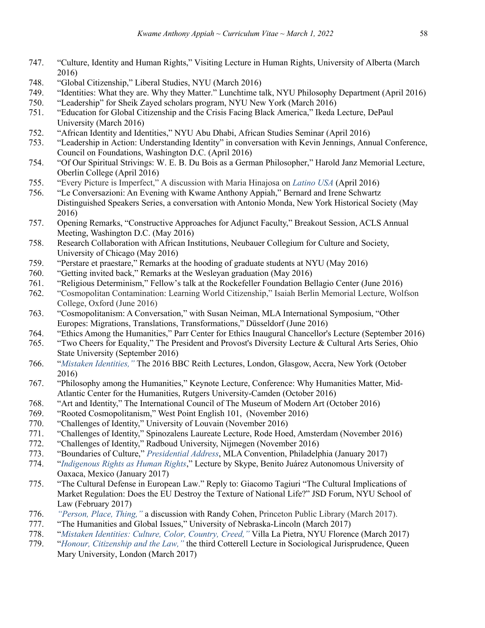- 747. "Culture, Identity and Human Rights," Visiting Lecture in Human Rights, University of Alberta (March 2016)
- 748. "Global Citizenship," Liberal Studies, NYU (March 2016)
- 749. "Identities: What they are. Why they Matter." Lunchtime talk, NYU Philosophy Department (April 2016)
- 750. "Leadership" for Sheik Zayed scholars program, NYU New York (March 2016)
- 751. "Education for Global Citizenship and the Crisis Facing Black America," Ikeda Lecture, DePaul University (March 2016)
- 752. "African Identity and Identities," NYU Abu Dhabi, African Studies Seminar (April 2016)
- 753. "Leadership in Action: Understanding Identity" in conversation with Kevin Jennings, Annual Conference, Council on Foundations, Washington D.C. (April 2016)
- 754. "Of Our Spiritual Strivings: W. E. B. Du Bois as a German Philosopher," Harold Janz Memorial Lecture, Oberlin College (April 2016)
- 755. "Every Picture is Imperfect," A discussion with Maria Hinajosa on *Latino USA* (April 2016)
- 756. "Le Conversazioni: An Evening with Kwame Anthony Appiah," Bernard and Irene Schwartz Distinguished Speakers Series, a conversation with Antonio Monda, New York Historical Society (May 2016)
- 757. Opening Remarks, "Constructive Approaches for Adjunct Faculty," Breakout Session, ACLS Annual Meeting, Washington D.C. (May 2016)
- 758. Research Collaboration with African Institutions, Neubauer Collegium for Culture and Society, University of Chicago (May 2016)
- 759. "Perstare et praestare," Remarks at the hooding of graduate students at NYU (May 2016)
- 760. "Getting invited back," Remarks at the Wesleyan graduation (May 2016)
- 761. "Religious Determinism," Fellow's talk at the Rockefeller Foundation Bellagio Center (June 2016)
- 762. "Cosmopolitan Contamination: Learning World Citizenship," Isaiah Berlin Memorial Lecture, Wolfson College, Oxford (June 2016)
- 763. "Cosmopolitanism: A Conversation," with Susan Neiman, MLA International Symposium, "Other Europes: Migrations, Translations, Transformations," Düsseldorf (June 2016)
- 764. "Ethics Among the Humanities," Parr Center for Ethics Inaugural Chancellor's Lecture (September 2016)
- 765. "Two Cheers for Equality," The President and Provost's Diversity Lecture & Cultural Arts Series, Ohio State University (September 2016)
- 766. "*Mistaken Identities,"* The 2016 BBC Reith Lectures, London, Glasgow, Accra, New York (October 2016)
- 767. "Philosophy among the Humanities," Keynote Lecture, Conference: Why Humanities Matter, Mid-Atlantic Center for the Humanities, Rutgers University-Camden (October 2016)
- 768. "Art and Identity," The International Council of The Museum of Modern Art (October 2016)
- 769. "Rooted Cosmopolitanism," West Point English 101, (November 2016)
- 770. "Challenges of Identity," University of Louvain (November 2016)
- 771. "Challenges of Identity," Spinozalens Laureate Lecture, Rode Hoed, Amsterdam (November 2016)
- 772. "Challenges of Identity," Radboud University, Nijmegen (November 2016)
- 773. "Boundaries of Culture," *Presidential Address*, MLA Convention, Philadelphia (January 2017)
- 774. "*Indigenous Rights as Human Rights*," Lecture by Skype, Benito Juárez Autonomous University of Oaxaca, Mexico (January 2017)
- 775. "The Cultural Defense in European Law." Reply to: Giacomo Tagiuri "The Cultural Implications of Market Regulation: Does the EU Destroy the Texture of National Life?" JSD Forum, NYU School of Law (February 2017)
- 776. *"Person, Place, Thing,"* a discussion with Randy Cohen, Princeton Public Library (March 2017).
- 777. "The Humanities and Global Issues," University of Nebraska-Lincoln (March 2017)
- 778. "*Mistaken Identities: Culture, Color, Country, Creed,"* Villa La Pietra, NYU Florence (March 2017)
- 779. "*Honour, Citizenship and the Law,"* the third Cotterell Lecture in Sociological Jurisprudence, Queen Mary University, London (March 2017)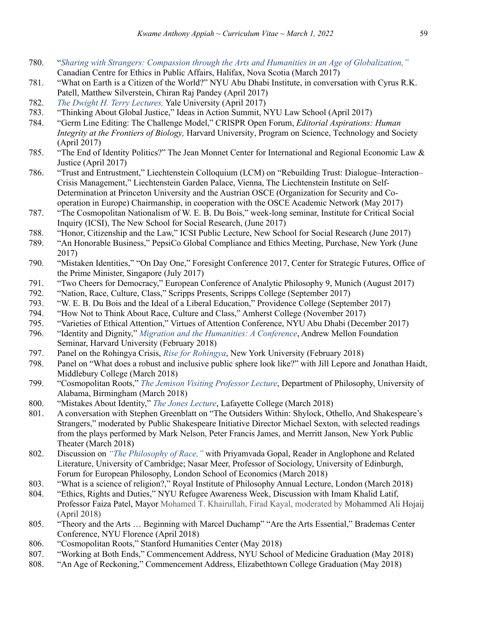- 780. "*Sharing with Strangers: Compassion through the Arts and Humanities in an Age of Globalization,"* Canadian Centre for Ethics in Public Affairs, Halifax, Nova Scotia (March 2017)
- 781. "What on Earth is a Citizen of the World?" NYU Abu Dhabi Institute, in conversation with Cyrus R.K. Patell, Matthew Silverstein, Chiran Raj Pandey (April 2017)
- 782. *The Dwight H. Terry Lectures,* Yale University (April 2017)
- 783. "Thinking About Global Justice," Ideas in Action Summit, NYU Law School (April 2017)
- 784. "Germ Line Editing: The Challenge Model," CRISPR Open Forum, *Editorial Aspirations: Human Integrity at the Frontiers of Biology,* Harvard University, Program on Science, Technology and Society (April 2017)
- 785. "The End of Identity Politics?" The Jean Monnet Center for International and Regional Economic Law & Justice (April 2017)
- 786. "Trust and Entrustment," Liechtenstein Colloquium (LCM) on "Rebuilding Trust: Dialogue–Interaction– Crisis Management," Liechtenstein Garden Palace, Vienna, The Liechtenstein Institute on Self-Determination at Princeton University and the Austrian OSCE (Organization for Security and Cooperation in Europe) Chairmanship, in cooperation with the OSCE Academic Network (May 2017)
- 787. "The Cosmopolitan Nationalism of W. E. B. Du Bois," week-long seminar, Institute for Critical Social Inquiry (ICSI), The New School for Social Research, (June 2017)
- 788. "Honor, Citizenship and the Law," ICSI Public Lecture, New School for Social Research (June 2017)
- 789. "An Honorable Business," PepsiCo Global Compliance and Ethics Meeting, Purchase, New York (June 2017)
- 790. "Mistaken Identities," "On Day One," Foresight Conference 2017, Center for Strategic Futures, Office of the Prime Minister, Singapore (July 2017)
- 791. "Two Cheers for Democracy," European Conference of Analytic Philosophy 9, Munich (August 2017)
- 792. "Nation, Race, Culture, Class," Scripps Presents, Scripps College (September 2017)
- 793. "W. E. B. Du Bois and the Ideal of a Liberal Education," Providence College (September 2017)
- 794. "How Not to Think About Race, Culture and Class," Amherst College (November 2017)
- 795. "Varieties of Ethical Attention," Virtues of Attention Conference, NYU Abu Dhabi (December 2017)
- 796. "Identity and Dignity," *Migration and the Humanities: A Conference*, Andrew Mellon Foundation Seminar, Harvard University (February 2018)
- 797. Panel on the Rohingya Crisis, *Rise for Rohingya*, New York University (February 2018)
- 798. Panel on "What does a robust and inclusive public sphere look like?" with Jill Lepore and Jonathan Haidt, Middlebury College (March 2018)
- 799. "Cosmopolitan Roots," *The Jemison Visiting Professor Lecture*, Department of Philosophy, University of Alabama, Birmingham (March 2018)
- 800. "Mistakes About Identity," *The Jones Lecture*, Lafayette College (March 2018)
- 801. A conversation with Stephen Greenblatt on "The Outsiders Within: Shylock, Othello, And Shakespeare's Strangers," moderated by Public Shakespeare Initiative Director Michael Sexton, with selected readings from the plays performed by Mark Nelson, Peter Francis James, and Merritt Janson, New York Public Theater (March 2018)
- 802. Discussion on *"The Philosophy of Race,"* with Priyamvada Gopal, Reader in Anglophone and Related Literature, University of Cambridge; Nasar Meer, Professor of Sociology, University of Edinburgh, Forum for European Philosophy, London School of Economics (March 2018)
- 803. "What is a science of religion?," Royal Institute of Philosophy Annual Lecture, London (March 2018)
- 804. "Ethics, Rights and Duties," NYU Refugee Awareness Week, Discussion with Imam Khalid Latif, Professor Faiza Patel, Mayor Mohamed T. Khairullah, Firad Kayal, moderated by Mohammed Ali Hojaij (April 2018)
- 805. "Theory and the Arts … Beginning with Marcel Duchamp" "Are the Arts Essential," Brademas Center Conference, NYU Florence (April 2018)
- 806. "Cosmopolitan Roots," Stanford Humanities Center (May 2018)
- 807. "Working at Both Ends," Commencement Address, NYU School of Medicine Graduation (May 2018)
- 808. "An Age of Reckoning," Commencement Address, Elizabethtown College Graduation (May 2018)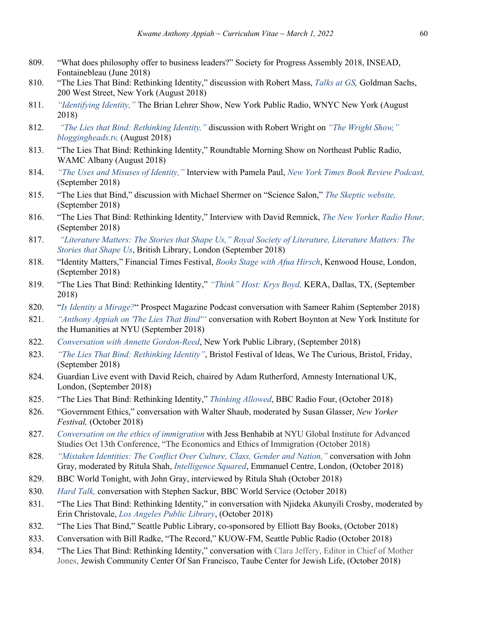- 809. "What does philosophy offer to business leaders?" Society for Progress Assembly 2018, INSEAD, Fontainebleau (June 2018)
- 810. "The Lies That Bind: Rethinking Identity," discussion with Robert Mass, *Talks at GS,* Goldman Sachs, 200 West Street, New York (August 2018)
- 811. *"Identifying Identity,"* The Brian Lehrer Show, New York Public Radio, WNYC New York (August 2018)
- 812. *"The Lies that Bind: Rethinking Identity,"* discussion with Robert Wright on *"The Wright Show," bloggingheads.tv,* (August 2018)
- 813. "The Lies That Bind: Rethinking Identity," Roundtable Morning Show on Northeast Public Radio, WAMC Albany (August 2018)
- 814. *"The Uses and Misuses of Identity,"* Interview with Pamela Paul, *New York Times Book Review Podcast,* (September 2018)
- 815. "The Lies that Bind," discussion with Michael Shermer on "Science Salon," *The Skeptic website,* (September 2018)
- 816. "The Lies That Bind: Rethinking Identity," Interview with David Remnick, *The New Yorker Radio Hour,*  (September 2018)
- 817. *"Literature Matters: The Stories that Shape Us," Royal Society of Literature, Literature Matters: The Stories that Shape Us*, British Library, London (September 2018)
- 818. "Identity Matters," Financial Times Festival, *Books Stage with Afua Hirsch*, Kenwood House, London, (September 2018)
- 819. "The Lies That Bind: Rethinking Identity," *"Think" Host: Krys Boyd,* KERA, Dallas, TX, (September 2018)
- 820. "*Is Identity a Mirage?*" Prospect Magazine Podcast conversation with Sameer Rahim (September 2018)
- 821. *"Anthony Appiah on 'The Lies That Bind'"* conversation with Robert Boynton at New York Institute for the Humanities at NYU (September 2018)
- 822. *Conversation with Annette Gordon-Reed*, New York Public Library, (September 2018)
- 823. *"The Lies That Bind: Rethinking Identity"*, Bristol Festival of Ideas, We The Curious, Bristol, Friday, (September 2018)
- 824. Guardian Live event with David Reich, chaired by Adam Rutherford, Amnesty International UK, London, (September 2018)
- 825. "The Lies That Bind: Rethinking Identity," *Thinking Allowed*, BBC Radio Four, (October 2018)
- 826. "Government Ethics," conversation with Walter Shaub, moderated by Susan Glasser, *New Yorker Festival,* (October 2018)
- 827. *Conversation on the ethics of immigration* with Jess Benhabib at NYU Global Institute for Advanced Studies Oct 13th Conference, "The Economics and Ethics of Immigration (October 2018)
- 828. *"Mistaken Identities: The Conflict Over Culture, Class, Gender and Nation,"* conversation with John Gray, moderated by Ritula Shah, *Intelligence Squared*, Emmanuel Centre, London, (October 2018)
- 829. BBC World Tonight, with John Gray, interviewed by Ritula Shah (October 2018)
- 830. *Hard Talk,* conversation with Stephen Sackur, BBC World Service (October 2018)
- 831. "The Lies That Bind: Rethinking Identity," in conversation with Njideka Akunyili Crosby, moderated by Erin Christovale, *Los Angeles Public Library*, (October 2018)
- 832. "The Lies That Bind," Seattle Public Library, co-sponsored by Elliott Bay Books, (October 2018)
- 833. Conversation with Bill Radke, "The Record," KUOW-FM, Seattle Public Radio (October 2018)
- 834. "The Lies That Bind: Rethinking Identity," conversation with Clara Jeffery, Editor in Chief of Mother Jones, Jewish Community Center Of San Francisco, Taube Center for Jewish Life, (October 2018)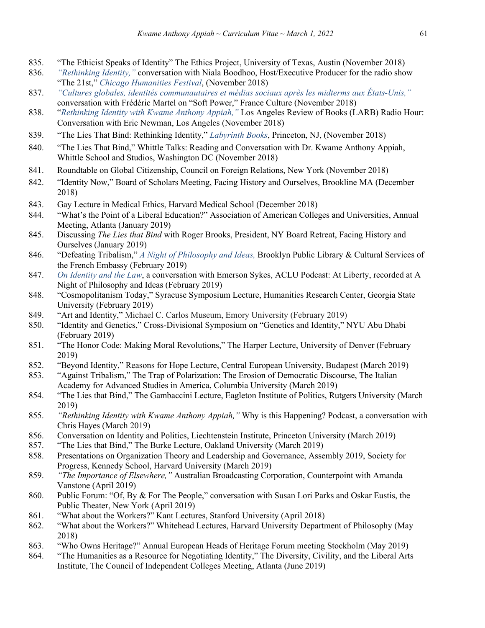- 835. "The Ethicist Speaks of Identity" The Ethics Project, University of Texas, Austin (November 2018)
- 836. *"Rethinking Identity,"* conversation with Niala Boodhoo, Host/Executive Producer for the radio show "The 21st," *Chicago Humanities Festival*, (November 2018)
- 837. *"Cultures globales, identités communautaires et médias sociaux après les midterms aux États-Unis,"* conversation with Frédéric Martel on "Soft Power," France Culture (November 2018)
- 838. "*Rethinking Identity with Kwame Anthony Appiah,"* Los Angeles Review of Books (LARB) Radio Hour: Conversation with Eric Newman, Los Angeles (November 2018)
- 839. "The Lies That Bind: Rethinking Identity," *Labyrinth Books*, Princeton, NJ, (November 2018)
- 840. "The Lies That Bind," Whittle Talks: Reading and Conversation with Dr. Kwame Anthony Appiah, Whittle School and Studios, Washington DC (November 2018)
- 841. Roundtable on Global Citizenship, Council on Foreign Relations, New York (November 2018)
- 842. "Identity Now," Board of Scholars Meeting, Facing History and Ourselves, Brookline MA (December 2018)
- 843. Gay Lecture in Medical Ethics, Harvard Medical School (December 2018)
- 844. "What's the Point of a Liberal Education?" Association of American Colleges and Universities, Annual Meeting, Atlanta (January 2019)
- 845. Discussing *The Lies that Bind* with Roger Brooks, President, NY Board Retreat, Facing History and Ourselves (January 2019)
- 846. "Defeating Tribalism," *A Night of Philosophy and Ideas,* Brooklyn Public Library & Cultural Services of the French Embassy (February 2019)
- 847. *On Identity and the Law*, a conversation with Emerson Sykes, ACLU Podcast: At Liberty, recorded at A Night of Philosophy and Ideas (February 2019)
- 848. "Cosmopolitanism Today," Syracuse Symposium Lecture, Humanities Research Center, Georgia State University (February 2019)
- 849. "Art and Identity," Michael C. Carlos Museum, Emory University (February 2019)
- 850. "Identity and Genetics," Cross-Divisional Symposium on "Genetics and Identity," NYU Abu Dhabi (February 2019)
- 851. "The Honor Code: Making Moral Revolutions," The Harper Lecture, University of Denver (February 2019)
- 852. "Beyond Identity," Reasons for Hope Lecture, Central European University, Budapest (March 2019)
- 853. "Against Tribalism," The Trap of Polarization: The Erosion of Democratic Discourse, The Italian Academy for Advanced Studies in America, Columbia University (March 2019)
- 854. "The Lies that Bind," The Gambaccini Lecture, Eagleton Institute of Politics, Rutgers University (March 2019)
- 855. *"Rethinking Identity with Kwame Anthony Appiah,"* Why is this Happening? Podcast, a conversation with Chris Hayes (March 2019)
- 856. Conversation on Identity and Politics, Liechtenstein Institute, Princeton University (March 2019)
- 857. "The Lies that Bind," The Burke Lecture, Oakland University (March 2019)
- 858. Presentations on Organization Theory and Leadership and Governance, Assembly 2019, Society for Progress, Kennedy School, Harvard University (March 2019)
- 859. *"The Importance of Elsewhere,"* Australian Broadcasting Corporation, Counterpoint with Amanda Vanstone (April 2019)
- 860. Public Forum: "Of, By & For The People," conversation with Susan Lori Parks and Oskar Eustis, the Public Theater, New York (April 2019)
- 861. "What about the Workers?" Kant Lectures, Stanford University (April 2018)
- 862. "What about the Workers?" Whitehead Lectures, Harvard University Department of Philosophy (May 2018)
- 863. "Who Owns Heritage?" Annual European Heads of Heritage Forum meeting Stockholm (May 2019)
- 864. "The Humanities as a Resource for Negotiating Identity," The Diversity, Civility, and the Liberal Arts Institute, The Council of Independent Colleges Meeting, Atlanta (June 2019)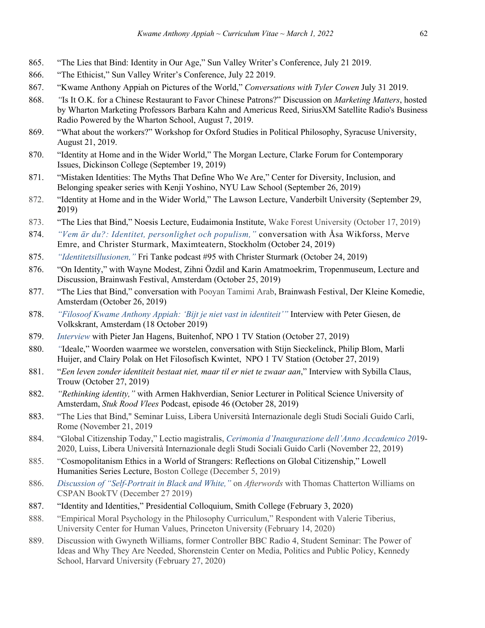- 865. "The Lies that Bind: Identity in Our Age," Sun Valley Writer's Conference, July 21 2019.
- 866. "The Ethicist," Sun Valley Writer's Conference, July 22 2019.
- 867. "Kwame Anthony Appiah on Pictures of the World," *Conversations with Tyler Cowen* July 31 2019.
- 868. *"*Is It O.K. for a Chinese Restaurant to Favor Chinese Patrons?" Discussion on *Marketing Matters*, hosted by Wharton Marketing Professors Barbara Kahn and Americus Reed, SiriusXM Satellite Radio's Business Radio Powered by the Wharton School, August 7, 2019.
- 869. "What about the workers?" Workshop for Oxford Studies in Political Philosophy, Syracuse University, August 21, 2019.
- 870. "Identity at Home and in the Wider World," The Morgan Lecture, Clarke Forum for Contemporary Issues, Dickinson College (September 19, 2019)
- 871. "Mistaken Identities: The Myths That Define Who We Are," Center for Diversity, Inclusion, and Belonging speaker series with Kenji Yoshino, NYU Law School (September 26, 2019)
- 872. "Identity at Home and in the Wider World," The Lawson Lecture, Vanderbilt University (September 29, **2**019)
- 873. "The Lies that Bind," Noesis Lecture, Eudaimonia Institute, Wake Forest University (October 17, 2019)
- 874. *"Vem är du?: Identitet, personlighet och populism,"* conversation with Åsa Wikforss, Merve Emre, and Christer Sturmark, Maximteatern, Stockholm (October 24, 2019)
- 875. *"Identitetsillusionen,"* Fri Tanke podcast #95 with Christer Sturmark (October 24, 2019)
- 876. "On Identity," with Wayne Modest, Zihni Özdil and Karin Amatmoekrim, Tropenmuseum, Lecture and Discussion, Brainwash Festival, Amsterdam (October 25, 2019)
- 877. "The Lies that Bind," conversation with Pooyan Tamimi Arab, Brainwash Festival, Der Kleine Komedie, Amsterdam (October 26, 2019)
- 878. *"Filosoof Kwame Anthony Appiah: 'Bijt je niet vast in identiteit'"* Interview with Peter Giesen, de Volkskrant, Amsterdam (18 October 2019)
- 879. *Interview* with Pieter Jan Hagens, Buitenhof, NPO 1 TV Station (October 27, 2019)
- 880. *"*Ideale," Woorden waarmee we worstelen, conversation with Stijn Sieckelinck, Philip Blom, Marli Huijer, and Clairy Polak on Het Filosofisch Kwintet, NPO 1 TV Station (October 27, 2019)
- 881. "*Een leven zonder identiteit bestaat niet, maar til er niet te zwaar aan*," Interview with Sybilla Claus, Trouw (October 27, 2019)
- 882. *"Rethinking identity,"* with Armen Hakhverdian, Senior Lecturer in Political Science University of Amsterdam, *Stuk Rood Vlees* Podcast, episode 46 (October 28, 2019)
- 883. "The Lies that Bind," Seminar Luiss, Libera Università Internazionale degli Studi Sociali Guido Carli, Rome (November 21, 2019
- 884. "Global Citizenship Today," Lectio magistralis, *Cerimonia d'Inaugurazione dell'Anno Accademico 20*19- 2020, Luiss, Libera Università Internazionale degli Studi Sociali Guido Carli (November 22, 2019)
- 885. "Cosmopolitanism Ethics in a World of Strangers: Reflections on Global Citizenship," Lowell Humanities Series Lecture, Boston College (December 5, 2019)
- 886. *Discussion of "Self-Portrait in Black and White,"* on *Afterwords* with Thomas Chatterton Williams on CSPAN BookTV (December 27 2019)
- 887. "Identity and Identities," Presidential Colloquium, Smith College (February 3, 2020)
- 888. "Empirical Moral Psychology in the Philosophy Curriculum," Respondent with Valerie Tiberius, University Center for Human Values, Princeton University (February 14, 2020)
- 889. Discussion with Gwyneth Williams, former Controller BBC Radio 4, Student Seminar: The Power of Ideas and Why They Are Needed, Shorenstein Center on Media, Politics and Public Policy, Kennedy School, Harvard University (February 27, 2020)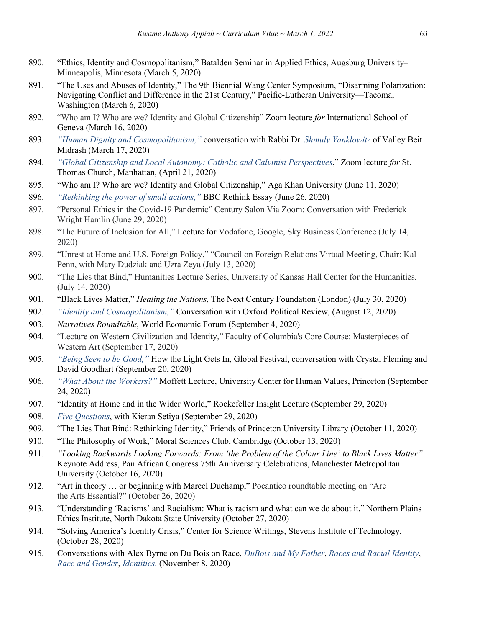- 890. "Ethics, Identity and Cosmopolitanism," Batalden Seminar in Applied Ethics, Augsburg University-Minneapolis, Minnesota (March 5, 2020)
- 891. "The Uses and Abuses of Identity," The 9th Biennial Wang Center Symposium, "Disarming Polarization: Navigating Conflict and Difference in the 21st Century," Pacific-Lutheran University—Tacoma, Washington (March 6, 2020)
- 892. "Who am I? Who are we? Identity and Global Citizenship" Zoom lecture *for* International School of Geneva (March 16, 2020)
- 893. *"Human Dignity and Cosmopolitanism,"* conversation with Rabbi Dr. *Shmuly Yanklowitz* of Valley Beit Midrash (March 17, 2020)
- 894. *"Global Citizenship and Local Autonomy: Catholic and Calvinist Perspectives*," Zoom lecture *for* St. Thomas Church, Manhattan, (April 21, 2020)
- 895. "Who am I? Who are we? Identity and Global Citizenship," Aga Khan University (June 11, 2020)
- 896. *"Rethinking the power of small actions,"* BBC Rethink Essay (June 26, 2020)
- 897. "Personal Ethics in the Covid-19 Pandemic" Century Salon Via Zoom: Conversation with Frederick Wright Hamlin (June 29, 2020)
- 898. "The Future of Inclusion for All," Lecture for Vodafone, Google, Sky Business Conference (July 14, 2020)
- 899. "Unrest at Home and U.S. Foreign Policy," "Council on Foreign Relations Virtual Meeting, Chair: Kal Penn, with Mary Dudziak and Uzra Zeya (July 13, 2020)
- 900. "The Lies that Bind," Humanities Lecture Series, University of Kansas Hall Center for the Humanities, (July 14, 2020)
- 901. "Black Lives Matter," *Healing the Nations,* The Next Century Foundation (London) (July 30, 2020)
- 902. *"Identity and Cosmopolitanism,"* Conversation with Oxford Political Review, (August 12, 2020)
- 903. *Narratives Roundtable*, World Economic Forum (September 4, 2020)
- 904. "Lecture on Western Civilization and Identity," Faculty of Columbia's Core Course: Masterpieces of Western Art (September 17, 2020)
- 905. *"Being Seen to be Good,"* How the Light Gets In, Global Festival, conversation with Crystal Fleming and David Goodhart (September 20, 2020)
- 906. *"What About the Workers?"* Moffett Lecture, University Center for Human Values, Princeton (September 24, 2020)
- 907. "Identity at Home and in the Wider World," Rockefeller Insight Lecture (September 29, 2020)
- 908. *Five Questions*, with Kieran Setiya (September 29, 2020)
- 909. "The Lies That Bind: Rethinking Identity," Friends of Princeton University Library (October 11, 2020)
- 910. "The Philosophy of Work," Moral Sciences Club, Cambridge (October 13, 2020)
- 911. *"Looking Backwards Looking Forwards: From 'the Problem of the Colour Line' to Black Lives Matter"* Keynote Address, Pan African Congress 75th Anniversary Celebrations, Manchester Metropolitan University (October 16, 2020)
- 912. "Art in theory … or beginning with Marcel Duchamp," Pocantico roundtable meeting on "Are the Arts Essential?" (October 26, 2020)
- 913. "Understanding 'Racisms' and Racialism: What is racism and what can we do about it," Northern Plains Ethics Institute, North Dakota State University (October 27, 2020)
- 914. "Solving America's Identity Crisis," Center for Science Writings, Stevens Institute of Technology, (October 28, 2020)
- 915. Conversations with Alex Byrne on Du Bois on Race, *DuBois and My Father*, *Races and Racial Identity*, *Race and Gender*, *Identities.* (November 8, 2020)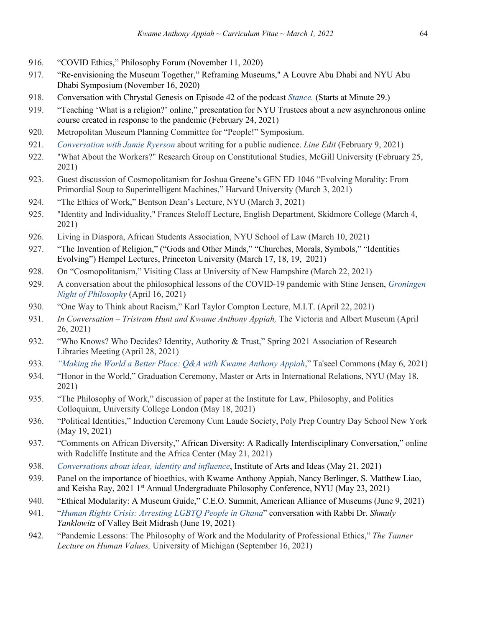- 916. "COVID Ethics," Philosophy Forum (November 11, 2020)
- 917. "Re-envisioning the Museum Together," Reframing Museums," A Louvre Abu Dhabi and NYU Abu Dhabi Symposium (November 16, 2020)
- 918. Conversation with Chrystal Genesis on Episode 42 of the podcast *Stance.* (Starts at Minute 29.)
- 919. "Teaching 'What is a religion?' online," presentation for NYU Trustees about a new asynchronous online course created in response to the pandemic (February 24, 2021)
- 920. Metropolitan Museum Planning Committee for "People!" Symposium.
- 921. *Conversation with Jamie Ryerson* about writing for a public audience. *Line Edit* (February 9, 2021)
- 922. "What About the Workers?" Research Group on Constitutional Studies, McGill University (February 25, 2021)
- 923. Guest discussion of Cosmopolitanism for Joshua Greene's GEN ED 1046 "Evolving Morality: From Primordial Soup to Superintelligent Machines," Harvard University (March 3, 2021)
- 924. "The Ethics of Work," Bentson Dean's Lecture, NYU (March 3, 2021)
- 925. "Identity and Individuality," Frances Steloff Lecture, English Department, Skidmore College (March 4, 2021)
- 926. Living in Diaspora, African Students Association, NYU School of Law (March 10, 2021)
- 927. "The Invention of Religion," ("Gods and Other Minds," "Churches, Morals, Symbols," "Identities Evolving") Hempel Lectures, Princeton University (March 17, 18, 19, 2021)
- 928. On "Cosmopolitanism," Visiting Class at University of New Hampshire (March 22, 2021)
- 929. A conversation about the philosophical lessons of the COVID-19 pandemic with Stine Jensen, *Groningen Night of Philosophy* (April 16, 2021)
- 930. "One Way to Think about Racism," Karl Taylor Compton Lecture, M.I.T. (April 22, 2021)
- 931. *In Conversation – Tristram Hunt and Kwame Anthony Appiah,* The Victoria and Albert Museum (April 26, 2021)
- 932. "Who Knows? Who Decides? Identity, Authority & Trust," Spring 2021 Association of Research Libraries Meeting (April 28, 2021)
- 933. *"Making the World a Better Place: Q&A with Kwame Anthony Appiah*," Ta'seel Commons (May 6, 2021)
- 934. "Honor in the World," Graduation Ceremony, Master or Arts in International Relations, NYU (May 18, 2021)
- 935. "The Philosophy of Work," discussion of paper at the Institute for Law, Philosophy, and Politics Colloquium, University College London (May 18, 2021)
- 936. "Political Identities," Induction Ceremony Cum Laude Society, Poly Prep Country Day School New York (May 19, 2021)
- 937. "Comments on African Diversity," African Diversity: A Radically Interdisciplinary Conversation," online with Radcliffe Institute and the Africa Center (May 21, 2021)
- 938. *Conversations about ideas, identity and influence*, Institute of Arts and Ideas (May 21, 2021)
- 939. Panel on the importance of bioethics, with Kwame Anthony Appiah, Nancy Berlinger, S. Matthew Liao, and Keisha Ray, 2021 1<sup>st</sup> Annual Undergraduate Philosophy Conference, NYU (May 23, 2021)
- 940. "Ethical Modularity: A Museum Guide," C.E.O. Summit, American Alliance of Museums (June 9, 2021)
- 941. "*Human Rights Crisis: Arresting LGBTQ People in Ghana*" conversation with Rabbi Dr. *Shmuly Yanklowitz* of Valley Beit Midrash (June 19, 2021)
- 942. "Pandemic Lessons: The Philosophy of Work and the Modularity of Professional Ethics," *The Tanner Lecture on Human Values,* University of Michigan (September 16, 2021)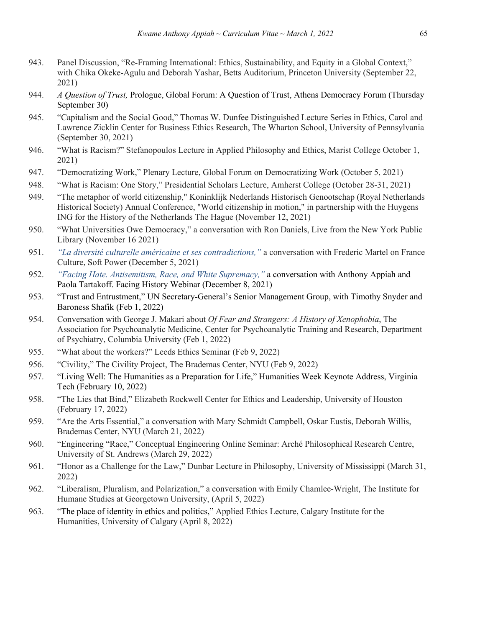- 943. Panel Discussion, "Re-Framing International: Ethics, Sustainability, and Equity in a Global Context," with Chika Okeke-Agulu and Deborah Yashar, Betts Auditorium, Princeton University (September 22, 2021)
- 944. *A Question of Trust,* Prologue, Global Forum: A Question of Trust, Athens Democracy Forum (Thursday September 30)
- 945. "Capitalism and the Social Good," Thomas W. Dunfee Distinguished Lecture Series in Ethics, Carol and Lawrence Zicklin Center for Business Ethics Research, The Wharton School, University of Pennsylvania (September 30, 2021)
- 946. "What is Racism?" Stefanopoulos Lecture in Applied Philosophy and Ethics, Marist College October 1, 2021)
- 947. "Democratizing Work," Plenary Lecture, Global Forum on Democratizing Work (October 5, 2021)
- 948. "What is Racism: One Story," Presidential Scholars Lecture, Amherst College (October 28-31, 2021)
- 949. "The metaphor of world citizenship," Koninklijk Nederlands Historisch Genootschap (Royal Netherlands Historical Society) Annual Conference, "World citizenship in motion," in partnership with the Huygens ING for the History of the Netherlands The Hague (November 12, 2021)
- 950. "What Universities Owe Democracy," a conversation with Ron Daniels, Live from the New York Public Library (November 16 2021)
- 951. *"La diversité culturelle américaine et ses contradictions,"* a conversation with Frederic Martel on France Culture, Soft Power (December 5, 2021)
- 952. *"Facing Hate. Antisemitism, Race, and White Supremacy,"* a conversation with Anthony Appiah and Paola Tartakoff. Facing History Webinar (December 8, 2021)
- 953. "Trust and Entrustment," UN Secretary-General's Senior Management Group, with Timothy Snyder and Baroness Shafik (Feb 1, 2022)
- 954. Conversation with George J. Makari about *Of Fear and Strangers: A History of Xenophobia*, The Association for Psychoanalytic Medicine, Center for Psychoanalytic Training and Research, Department of Psychiatry, Columbia University (Feb 1, 2022)
- 955. "What about the workers?" Leeds Ethics Seminar (Feb 9, 2022)
- 956. "Civility," The Civility Project, The Brademas Center, NYU (Feb 9, 2022)
- 957. "Living Well: The Humanities as a Preparation for Life," Humanities Week Keynote Address, Virginia Tech (February 10, 2022)
- 958. "The Lies that Bind," Elizabeth Rockwell Center for Ethics and Leadership, University of Houston (February 17, 2022)
- 959. "Are the Arts Essential," a conversation with Mary Schmidt Campbell, Oskar Eustis, Deborah Willis, Brademas Center, NYU (March 21, 2022)
- 960. "Engineering "Race," Conceptual Engineering Online Seminar: Arché Philosophical Research Centre, University of St. Andrews (March 29, 2022)
- 961. "Honor as a Challenge for the Law," Dunbar Lecture in Philosophy, University of Mississippi (March 31, 2022)
- 962. "Liberalism, Pluralism, and Polarization," a conversation with Emily Chamlee-Wright, The Institute for Humane Studies at Georgetown University, (April 5, 2022)
- 963. "The place of identity in ethics and politics," Applied Ethics Lecture, Calgary Institute for the Humanities, University of Calgary (April 8, 2022)